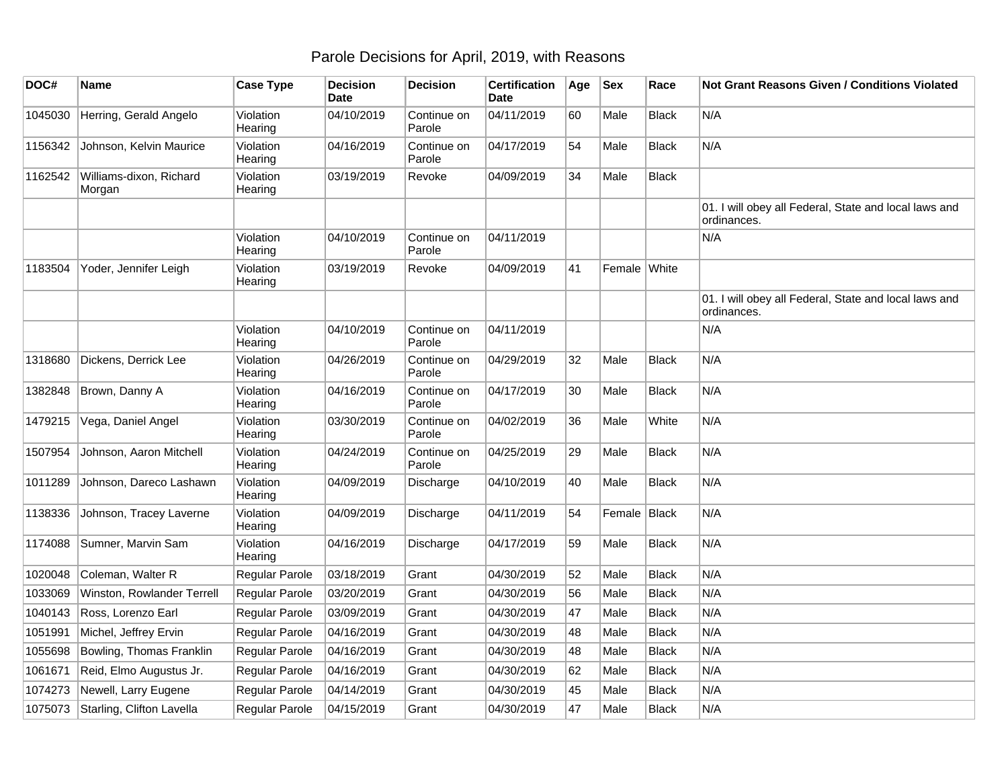## Parole Decisions for April, 2019, with Reasons

| DOC#    | <b>Name</b>                       | <b>Case Type</b>      | <b>Decision</b><br><b>Date</b> | <b>Decision</b>       | <b>Certification</b><br>Date | Age | <b>Sex</b>   | Race         | <b>Not Grant Reasons Given / Conditions Violated</b>                 |
|---------|-----------------------------------|-----------------------|--------------------------------|-----------------------|------------------------------|-----|--------------|--------------|----------------------------------------------------------------------|
| 1045030 | Herring, Gerald Angelo            | Violation<br>Hearing  | 04/10/2019                     | Continue on<br>Parole | 04/11/2019                   | 60  | Male         | <b>Black</b> | N/A                                                                  |
| 1156342 | Johnson, Kelvin Maurice           | Violation<br>Hearing  | 04/16/2019                     | Continue on<br>Parole | 04/17/2019                   | 54  | Male         | <b>Black</b> | N/A                                                                  |
| 1162542 | Williams-dixon, Richard<br>Morgan | Violation<br>Hearing  | 03/19/2019                     | Revoke                | 04/09/2019                   | 34  | Male         | <b>Black</b> |                                                                      |
|         |                                   |                       |                                |                       |                              |     |              |              | 01. I will obey all Federal, State and local laws and<br>ordinances. |
|         |                                   | Violation<br>Hearing  | 04/10/2019                     | Continue on<br>Parole | 04/11/2019                   |     |              |              | N/A                                                                  |
| 1183504 | Yoder, Jennifer Leigh             | Violation<br>Hearing  | 03/19/2019                     | Revoke                | 04/09/2019                   | 41  | Female White |              |                                                                      |
|         |                                   |                       |                                |                       |                              |     |              |              | 01. I will obey all Federal, State and local laws and<br>ordinances. |
|         |                                   | Violation<br>Hearing  | 04/10/2019                     | Continue on<br>Parole | 04/11/2019                   |     |              |              | N/A                                                                  |
| 1318680 | Dickens, Derrick Lee              | Violation<br>Hearing  | 04/26/2019                     | Continue on<br>Parole | 04/29/2019                   | 32  | Male         | <b>Black</b> | N/A                                                                  |
| 1382848 | Brown, Danny A                    | Violation<br>Hearing  | 04/16/2019                     | Continue on<br>Parole | 04/17/2019                   | 30  | Male         | <b>Black</b> | N/A                                                                  |
| 1479215 | Vega, Daniel Angel                | Violation<br>Hearing  | 03/30/2019                     | Continue on<br>Parole | 04/02/2019                   | 36  | Male         | White        | N/A                                                                  |
| 1507954 | Johnson, Aaron Mitchell           | Violation<br>Hearing  | 04/24/2019                     | Continue on<br>Parole | 04/25/2019                   | 29  | Male         | <b>Black</b> | N/A                                                                  |
| 1011289 | Johnson, Dareco Lashawn           | Violation<br>Hearing  | 04/09/2019                     | Discharge             | 04/10/2019                   | 40  | Male         | <b>Black</b> | N/A                                                                  |
| 1138336 | Johnson, Tracey Laverne           | Violation<br>Hearing  | 04/09/2019                     | Discharge             | 04/11/2019                   | 54  | Female Black |              | N/A                                                                  |
| 1174088 | Sumner, Marvin Sam                | Violation<br>Hearing  | 04/16/2019                     | Discharge             | 04/17/2019                   | 59  | Male         | <b>Black</b> | N/A                                                                  |
| 1020048 | Coleman, Walter R                 | Regular Parole        | 03/18/2019                     | Grant                 | 04/30/2019                   | 52  | Male         | <b>Black</b> | N/A                                                                  |
| 1033069 | Winston, Rowlander Terrell        | Regular Parole        | 03/20/2019                     | Grant                 | 04/30/2019                   | 56  | Male         | <b>Black</b> | N/A                                                                  |
| 1040143 | Ross, Lorenzo Earl                | Regular Parole        | 03/09/2019                     | Grant                 | 04/30/2019                   | 47  | Male         | <b>Black</b> | N/A                                                                  |
| 1051991 | Michel, Jeffrey Ervin             | Regular Parole        | 04/16/2019                     | Grant                 | 04/30/2019                   | 48  | Male         | <b>Black</b> | N/A                                                                  |
| 1055698 | Bowling, Thomas Franklin          | Regular Parole        | 04/16/2019                     | Grant                 | 04/30/2019                   | 48  | Male         | <b>Black</b> | N/A                                                                  |
| 1061671 | Reid, Elmo Augustus Jr.           | Regular Parole        | 04/16/2019                     | Grant                 | 04/30/2019                   | 62  | Male         | <b>Black</b> | N/A                                                                  |
| 1074273 | Newell, Larry Eugene              | Regular Parole        | 04/14/2019                     | Grant                 | 04/30/2019                   | 45  | Male         | <b>Black</b> | N/A                                                                  |
| 1075073 | Starling, Clifton Lavella         | <b>Regular Parole</b> | 04/15/2019                     | Grant                 | 04/30/2019                   | 47  | Male         | <b>Black</b> | N/A                                                                  |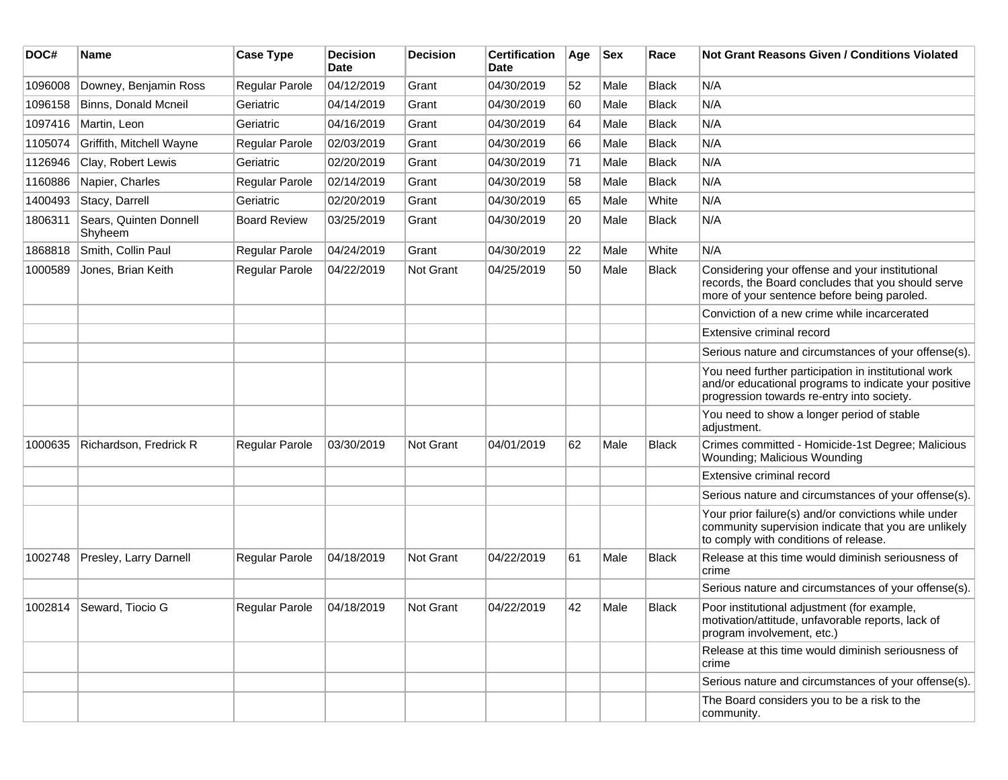| DOC#    | Name                              | <b>Case Type</b>      | <b>Decision</b><br>Date | <b>Decision</b> | <b>Certification</b><br>Date | Age | <b>Sex</b> | Race         | Not Grant Reasons Given / Conditions Violated                                                                                                               |
|---------|-----------------------------------|-----------------------|-------------------------|-----------------|------------------------------|-----|------------|--------------|-------------------------------------------------------------------------------------------------------------------------------------------------------------|
| 1096008 | Downey, Benjamin Ross             | Regular Parole        | 04/12/2019              | Grant           | 04/30/2019                   | 52  | Male       | Black        | N/A                                                                                                                                                         |
| 1096158 | Binns, Donald Mcneil              | Geriatric             | 04/14/2019              | Grant           | 04/30/2019                   | 60  | Male       | <b>Black</b> | N/A                                                                                                                                                         |
| 1097416 | Martin, Leon                      | Geriatric             | 04/16/2019              | Grant           | 04/30/2019                   | 64  | Male       | <b>Black</b> | N/A                                                                                                                                                         |
| 1105074 | Griffith, Mitchell Wayne          | Regular Parole        | 02/03/2019              | Grant           | 04/30/2019                   | 66  | Male       | <b>Black</b> | N/A                                                                                                                                                         |
| 1126946 | Clay, Robert Lewis                | Geriatric             | 02/20/2019              | Grant           | 04/30/2019                   | 71  | Male       | Black        | N/A                                                                                                                                                         |
| 1160886 | Napier, Charles                   | Regular Parole        | 02/14/2019              | Grant           | 04/30/2019                   | 58  | Male       | Black        | N/A                                                                                                                                                         |
| 1400493 | Stacy, Darrell                    | Geriatric             | 02/20/2019              | Grant           | 04/30/2019                   | 65  | Male       | White        | N/A                                                                                                                                                         |
| 1806311 | Sears, Quinten Donnell<br>Shyheem | <b>Board Review</b>   | 03/25/2019              | Grant           | 04/30/2019                   | 20  | Male       | Black        | N/A                                                                                                                                                         |
| 1868818 | Smith, Collin Paul                | Regular Parole        | 04/24/2019              | Grant           | 04/30/2019                   | 22  | Male       | White        | N/A                                                                                                                                                         |
| 1000589 | Jones, Brian Keith                | Regular Parole        | 04/22/2019              | Not Grant       | 04/25/2019                   | 50  | Male       | <b>Black</b> | Considering your offense and your institutional<br>records, the Board concludes that you should serve<br>more of your sentence before being paroled.        |
|         |                                   |                       |                         |                 |                              |     |            |              | Conviction of a new crime while incarcerated                                                                                                                |
|         |                                   |                       |                         |                 |                              |     |            |              | Extensive criminal record                                                                                                                                   |
|         |                                   |                       |                         |                 |                              |     |            |              | Serious nature and circumstances of your offense(s).                                                                                                        |
|         |                                   |                       |                         |                 |                              |     |            |              | You need further participation in institutional work<br>and/or educational programs to indicate your positive<br>progression towards re-entry into society. |
|         |                                   |                       |                         |                 |                              |     |            |              | You need to show a longer period of stable<br>adjustment.                                                                                                   |
| 1000635 | Richardson, Fredrick R            | <b>Regular Parole</b> | 03/30/2019              | Not Grant       | 04/01/2019                   | 62  | Male       | <b>Black</b> | Crimes committed - Homicide-1st Degree; Malicious<br>Wounding; Malicious Wounding                                                                           |
|         |                                   |                       |                         |                 |                              |     |            |              | Extensive criminal record                                                                                                                                   |
|         |                                   |                       |                         |                 |                              |     |            |              | Serious nature and circumstances of your offense(s).                                                                                                        |
|         |                                   |                       |                         |                 |                              |     |            |              | Your prior failure(s) and/or convictions while under<br>community supervision indicate that you are unlikely<br>to comply with conditions of release.       |
| 1002748 | Presley, Larry Darnell            | Regular Parole        | 04/18/2019              | Not Grant       | 04/22/2019                   | 61  | Male       | <b>Black</b> | Release at this time would diminish seriousness of<br>crime                                                                                                 |
|         |                                   |                       |                         |                 |                              |     |            |              | Serious nature and circumstances of your offense(s).                                                                                                        |
|         | 1002814 Seward, Tiocio G          | Regular Parole        | 04/18/2019              | Not Grant       | 04/22/2019                   | 42  | Male       | <b>Black</b> | Poor institutional adjustment (for example,<br>motivation/attitude, unfavorable reports, lack of<br>program involvement, etc.)                              |
|         |                                   |                       |                         |                 |                              |     |            |              | Release at this time would diminish seriousness of<br>crime                                                                                                 |
|         |                                   |                       |                         |                 |                              |     |            |              | Serious nature and circumstances of your offense(s).                                                                                                        |
|         |                                   |                       |                         |                 |                              |     |            |              | The Board considers you to be a risk to the<br>community.                                                                                                   |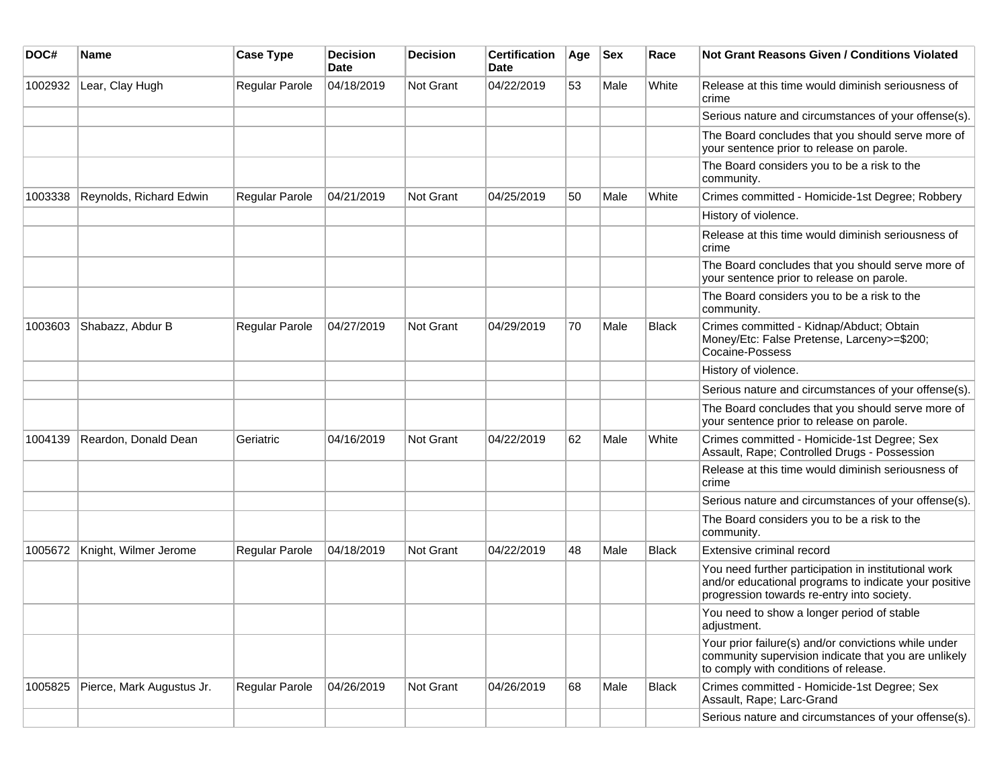| DOC#    | Name                      | <b>Case Type</b> | <b>Decision</b><br><b>Date</b> | <b>Decision</b>  | <b>Certification</b><br>Date | Age | <b>Sex</b> | Race         | Not Grant Reasons Given / Conditions Violated                                                                                                               |
|---------|---------------------------|------------------|--------------------------------|------------------|------------------------------|-----|------------|--------------|-------------------------------------------------------------------------------------------------------------------------------------------------------------|
| 1002932 | Lear, Clay Hugh           | Regular Parole   | 04/18/2019                     | <b>Not Grant</b> | 04/22/2019                   | 53  | Male       | White        | Release at this time would diminish seriousness of<br>crime                                                                                                 |
|         |                           |                  |                                |                  |                              |     |            |              | Serious nature and circumstances of your offense(s).                                                                                                        |
|         |                           |                  |                                |                  |                              |     |            |              | The Board concludes that you should serve more of<br>your sentence prior to release on parole.                                                              |
|         |                           |                  |                                |                  |                              |     |            |              | The Board considers you to be a risk to the<br>community.                                                                                                   |
| 1003338 | Reynolds, Richard Edwin   | Regular Parole   | 04/21/2019                     | <b>Not Grant</b> | 04/25/2019                   | 50  | Male       | White        | Crimes committed - Homicide-1st Degree; Robbery                                                                                                             |
|         |                           |                  |                                |                  |                              |     |            |              | History of violence.                                                                                                                                        |
|         |                           |                  |                                |                  |                              |     |            |              | Release at this time would diminish seriousness of<br>crime                                                                                                 |
|         |                           |                  |                                |                  |                              |     |            |              | The Board concludes that you should serve more of<br>your sentence prior to release on parole.                                                              |
|         |                           |                  |                                |                  |                              |     |            |              | The Board considers you to be a risk to the<br>community.                                                                                                   |
| 1003603 | Shabazz, Abdur B          | Regular Parole   | 04/27/2019                     | Not Grant        | 04/29/2019                   | 70  | Male       | <b>Black</b> | Crimes committed - Kidnap/Abduct; Obtain<br>Money/Etc: False Pretense, Larceny>=\$200;<br>Cocaine-Possess                                                   |
|         |                           |                  |                                |                  |                              |     |            |              | History of violence.                                                                                                                                        |
|         |                           |                  |                                |                  |                              |     |            |              | Serious nature and circumstances of your offense(s).                                                                                                        |
|         |                           |                  |                                |                  |                              |     |            |              | The Board concludes that you should serve more of<br>your sentence prior to release on parole.                                                              |
| 1004139 | Reardon, Donald Dean      | Geriatric        | 04/16/2019                     | <b>Not Grant</b> | 04/22/2019                   | 62  | Male       | White        | Crimes committed - Homicide-1st Degree; Sex<br>Assault, Rape; Controlled Drugs - Possession                                                                 |
|         |                           |                  |                                |                  |                              |     |            |              | Release at this time would diminish seriousness of<br>crime                                                                                                 |
|         |                           |                  |                                |                  |                              |     |            |              | Serious nature and circumstances of your offense(s).                                                                                                        |
|         |                           |                  |                                |                  |                              |     |            |              | The Board considers you to be a risk to the<br>community.                                                                                                   |
| 1005672 | Knight, Wilmer Jerome     | Regular Parole   | 04/18/2019                     | <b>Not Grant</b> | 04/22/2019                   | 48  | Male       | Black        | Extensive criminal record                                                                                                                                   |
|         |                           |                  |                                |                  |                              |     |            |              | You need further participation in institutional work<br>and/or educational programs to indicate your positive<br>progression towards re-entry into society. |
|         |                           |                  |                                |                  |                              |     |            |              | You need to show a longer period of stable<br>adjustment.                                                                                                   |
|         |                           |                  |                                |                  |                              |     |            |              | Your prior failure(s) and/or convictions while under<br>community supervision indicate that you are unlikely<br>to comply with conditions of release.       |
| 1005825 | Pierce, Mark Augustus Jr. | Regular Parole   | 04/26/2019                     | Not Grant        | 04/26/2019                   | 68  | Male       | Black        | Crimes committed - Homicide-1st Degree; Sex<br>Assault, Rape; Larc-Grand                                                                                    |
|         |                           |                  |                                |                  |                              |     |            |              | Serious nature and circumstances of your offense(s).                                                                                                        |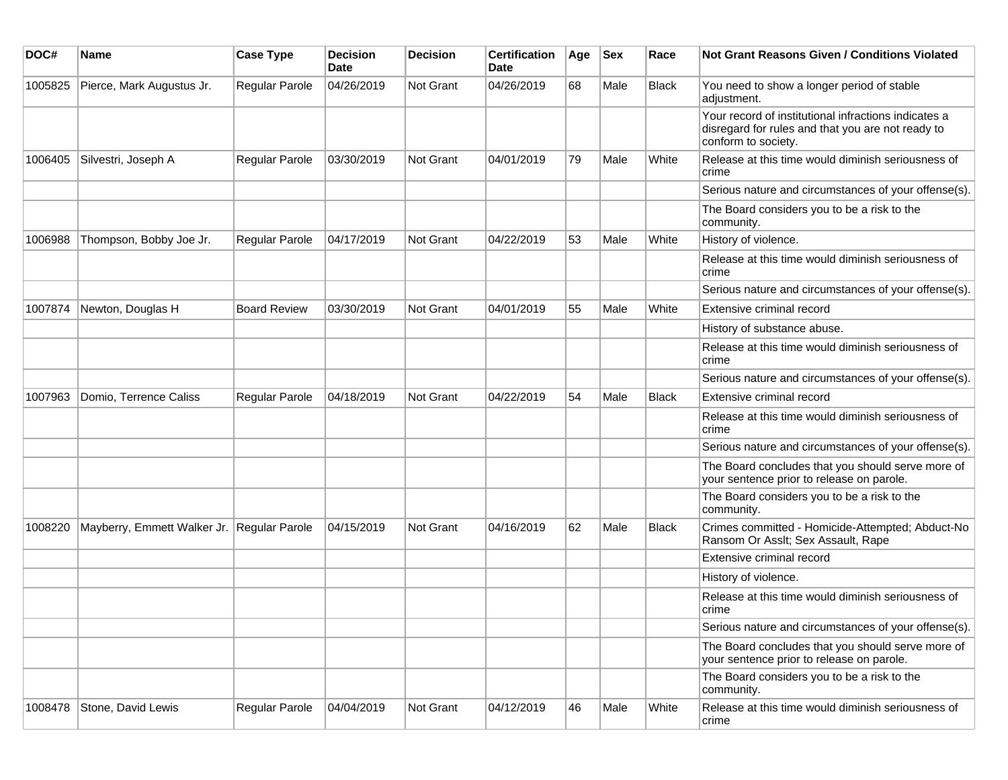| DOC#    | <b>Name</b>                                | <b>Case Type</b>    | <b>Decision</b><br>Date | <b>Decision</b>  | <b>Certification</b><br>Date | Age | <b>Sex</b> | Race         | <b>Not Grant Reasons Given / Conditions Violated</b>                                                                             |
|---------|--------------------------------------------|---------------------|-------------------------|------------------|------------------------------|-----|------------|--------------|----------------------------------------------------------------------------------------------------------------------------------|
| 1005825 | Pierce, Mark Augustus Jr.                  | Regular Parole      | 04/26/2019              | Not Grant        | 04/26/2019                   | 68  | Male       | <b>Black</b> | You need to show a longer period of stable<br>adjustment.                                                                        |
|         |                                            |                     |                         |                  |                              |     |            |              | Your record of institutional infractions indicates a<br>disregard for rules and that you are not ready to<br>conform to society. |
| 1006405 | Silvestri, Joseph A                        | Regular Parole      | 03/30/2019              | Not Grant        | 04/01/2019                   | 79  | Male       | White        | Release at this time would diminish seriousness of<br>crime                                                                      |
|         |                                            |                     |                         |                  |                              |     |            |              | Serious nature and circumstances of your offense(s).                                                                             |
|         |                                            |                     |                         |                  |                              |     |            |              | The Board considers you to be a risk to the<br>community.                                                                        |
| 1006988 | Thompson, Bobby Joe Jr.                    | Regular Parole      | 04/17/2019              | <b>Not Grant</b> | 04/22/2019                   | 53  | Male       | White        | History of violence.                                                                                                             |
|         |                                            |                     |                         |                  |                              |     |            |              | Release at this time would diminish seriousness of<br>crime                                                                      |
|         |                                            |                     |                         |                  |                              |     |            |              | Serious nature and circumstances of your offense(s).                                                                             |
| 1007874 | Newton, Douglas H                          | <b>Board Review</b> | 03/30/2019              | <b>Not Grant</b> | 04/01/2019                   | 55  | Male       | White        | Extensive criminal record                                                                                                        |
|         |                                            |                     |                         |                  |                              |     |            |              | History of substance abuse.                                                                                                      |
|         |                                            |                     |                         |                  |                              |     |            |              | Release at this time would diminish seriousness of<br>crime                                                                      |
|         |                                            |                     |                         |                  |                              |     |            |              | Serious nature and circumstances of your offense(s).                                                                             |
| 1007963 | Domio, Terrence Caliss                     | Regular Parole      | 04/18/2019              | <b>Not Grant</b> | 04/22/2019                   | 54  | Male       | Black        | Extensive criminal record                                                                                                        |
|         |                                            |                     |                         |                  |                              |     |            |              | Release at this time would diminish seriousness of<br>crime                                                                      |
|         |                                            |                     |                         |                  |                              |     |            |              | Serious nature and circumstances of your offense(s).                                                                             |
|         |                                            |                     |                         |                  |                              |     |            |              | The Board concludes that you should serve more of<br>your sentence prior to release on parole.                                   |
|         |                                            |                     |                         |                  |                              |     |            |              | The Board considers you to be a risk to the<br>community.                                                                        |
| 1008220 | Mayberry, Emmett Walker Jr. Regular Parole |                     | 04/15/2019              | Not Grant        | 04/16/2019                   | 62  | Male       | <b>Black</b> | Crimes committed - Homicide-Attempted; Abduct-No<br>Ransom Or Asslt; Sex Assault, Rape                                           |
|         |                                            |                     |                         |                  |                              |     |            |              | Extensive criminal record                                                                                                        |
|         |                                            |                     |                         |                  |                              |     |            |              | History of violence.                                                                                                             |
|         |                                            |                     |                         |                  |                              |     |            |              | Release at this time would diminish seriousness of<br>crime                                                                      |
|         |                                            |                     |                         |                  |                              |     |            |              | Serious nature and circumstances of your offense(s).                                                                             |
|         |                                            |                     |                         |                  |                              |     |            |              | The Board concludes that you should serve more of<br>your sentence prior to release on parole.                                   |
|         |                                            |                     |                         |                  |                              |     |            |              | The Board considers you to be a risk to the<br>community.                                                                        |
| 1008478 | Stone, David Lewis                         | Regular Parole      | 04/04/2019              | Not Grant        | 04/12/2019                   | 46  | Male       | White        | Release at this time would diminish seriousness of<br>crime                                                                      |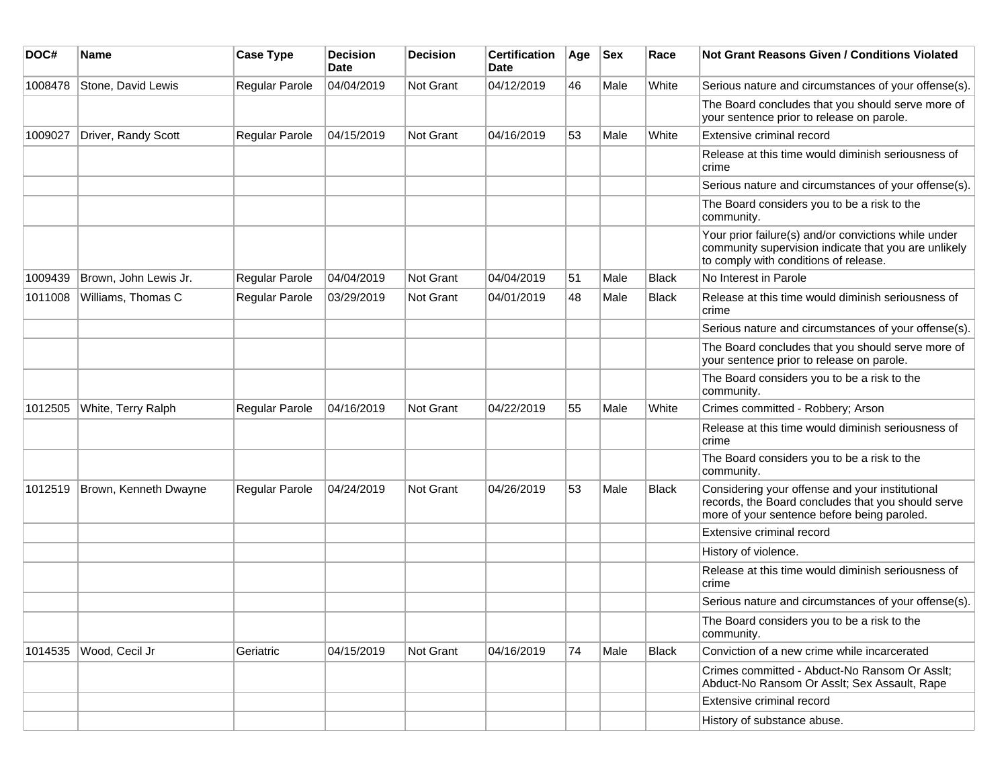| DOC#    | Name                  | <b>Case Type</b>      | <b>Decision</b><br>Date | <b>Decision</b>  | <b>Certification</b><br>Date | Age | <b>Sex</b> | Race         | <b>Not Grant Reasons Given / Conditions Violated</b>                                                                                                  |
|---------|-----------------------|-----------------------|-------------------------|------------------|------------------------------|-----|------------|--------------|-------------------------------------------------------------------------------------------------------------------------------------------------------|
| 1008478 | Stone, David Lewis    | Regular Parole        | 04/04/2019              | Not Grant        | 04/12/2019                   | 46  | Male       | White        | Serious nature and circumstances of your offense(s).                                                                                                  |
|         |                       |                       |                         |                  |                              |     |            |              | The Board concludes that you should serve more of<br>your sentence prior to release on parole.                                                        |
| 1009027 | Driver, Randy Scott   | <b>Regular Parole</b> | 04/15/2019              | Not Grant        | 04/16/2019                   | 53  | Male       | White        | Extensive criminal record                                                                                                                             |
|         |                       |                       |                         |                  |                              |     |            |              | Release at this time would diminish seriousness of<br>crime                                                                                           |
|         |                       |                       |                         |                  |                              |     |            |              | Serious nature and circumstances of your offense(s).                                                                                                  |
|         |                       |                       |                         |                  |                              |     |            |              | The Board considers you to be a risk to the<br>community.                                                                                             |
|         |                       |                       |                         |                  |                              |     |            |              | Your prior failure(s) and/or convictions while under<br>community supervision indicate that you are unlikely<br>to comply with conditions of release. |
| 1009439 | Brown, John Lewis Jr. | Regular Parole        | 04/04/2019              | <b>Not Grant</b> | 04/04/2019                   | 51  | Male       | <b>Black</b> | No Interest in Parole                                                                                                                                 |
| 1011008 | Williams, Thomas C    | Regular Parole        | 03/29/2019              | <b>Not Grant</b> | 04/01/2019                   | 48  | Male       | <b>Black</b> | Release at this time would diminish seriousness of<br>crime                                                                                           |
|         |                       |                       |                         |                  |                              |     |            |              | Serious nature and circumstances of your offense(s).                                                                                                  |
|         |                       |                       |                         |                  |                              |     |            |              | The Board concludes that you should serve more of<br>your sentence prior to release on parole.                                                        |
|         |                       |                       |                         |                  |                              |     |            |              | The Board considers you to be a risk to the<br>community.                                                                                             |
| 1012505 | White, Terry Ralph    | Regular Parole        | 04/16/2019              | Not Grant        | 04/22/2019                   | 55  | Male       | White        | Crimes committed - Robbery; Arson                                                                                                                     |
|         |                       |                       |                         |                  |                              |     |            |              | Release at this time would diminish seriousness of<br>crime                                                                                           |
|         |                       |                       |                         |                  |                              |     |            |              | The Board considers you to be a risk to the<br>community.                                                                                             |
| 1012519 | Brown, Kenneth Dwayne | Regular Parole        | 04/24/2019              | Not Grant        | 04/26/2019                   | 53  | Male       | <b>Black</b> | Considering your offense and your institutional<br>records, the Board concludes that you should serve<br>more of your sentence before being paroled.  |
|         |                       |                       |                         |                  |                              |     |            |              | Extensive criminal record                                                                                                                             |
|         |                       |                       |                         |                  |                              |     |            |              | History of violence.                                                                                                                                  |
|         |                       |                       |                         |                  |                              |     |            |              | Release at this time would diminish seriousness of<br>crime                                                                                           |
|         |                       |                       |                         |                  |                              |     |            |              | Serious nature and circumstances of your offense(s).                                                                                                  |
|         |                       |                       |                         |                  |                              |     |            |              | The Board considers you to be a risk to the<br>community.                                                                                             |
| 1014535 | Wood, Cecil Jr        | Geriatric             | 04/15/2019              | Not Grant        | 04/16/2019                   | 74  | Male       | <b>Black</b> | Conviction of a new crime while incarcerated                                                                                                          |
|         |                       |                       |                         |                  |                              |     |            |              | Crimes committed - Abduct-No Ransom Or Asslt;<br>Abduct-No Ransom Or Asslt; Sex Assault, Rape                                                         |
|         |                       |                       |                         |                  |                              |     |            |              | Extensive criminal record                                                                                                                             |
|         |                       |                       |                         |                  |                              |     |            |              | History of substance abuse.                                                                                                                           |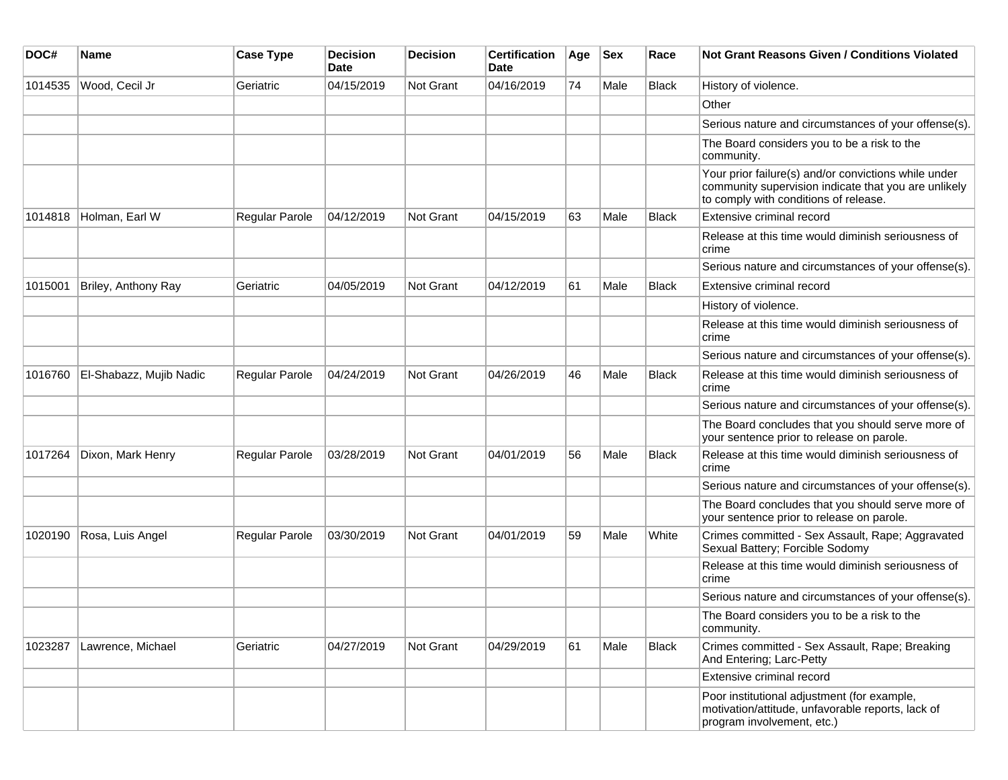| DOC#    | <b>Name</b>             | <b>Case Type</b>      | <b>Decision</b><br><b>Date</b> | <b>Decision</b>  | <b>Certification</b><br>Date | Age | <b>Sex</b> | Race         | <b>Not Grant Reasons Given / Conditions Violated</b>                                                                                                  |
|---------|-------------------------|-----------------------|--------------------------------|------------------|------------------------------|-----|------------|--------------|-------------------------------------------------------------------------------------------------------------------------------------------------------|
| 1014535 | Wood, Cecil Jr          | Geriatric             | 04/15/2019                     | <b>Not Grant</b> | 04/16/2019                   | 74  | Male       | <b>Black</b> | History of violence.                                                                                                                                  |
|         |                         |                       |                                |                  |                              |     |            |              | Other                                                                                                                                                 |
|         |                         |                       |                                |                  |                              |     |            |              | Serious nature and circumstances of your offense(s).                                                                                                  |
|         |                         |                       |                                |                  |                              |     |            |              | The Board considers you to be a risk to the<br>community.                                                                                             |
|         |                         |                       |                                |                  |                              |     |            |              | Your prior failure(s) and/or convictions while under<br>community supervision indicate that you are unlikely<br>to comply with conditions of release. |
| 1014818 | Holman, Earl W          | <b>Regular Parole</b> | 04/12/2019                     | <b>Not Grant</b> | 04/15/2019                   | 63  | Male       | <b>Black</b> | Extensive criminal record                                                                                                                             |
|         |                         |                       |                                |                  |                              |     |            |              | Release at this time would diminish seriousness of<br>crime                                                                                           |
|         |                         |                       |                                |                  |                              |     |            |              | Serious nature and circumstances of your offense(s).                                                                                                  |
| 1015001 | Briley, Anthony Ray     | Geriatric             | 04/05/2019                     | Not Grant        | 04/12/2019                   | 61  | Male       | <b>Black</b> | Extensive criminal record                                                                                                                             |
|         |                         |                       |                                |                  |                              |     |            |              | History of violence.                                                                                                                                  |
|         |                         |                       |                                |                  |                              |     |            |              | Release at this time would diminish seriousness of<br>crime                                                                                           |
|         |                         |                       |                                |                  |                              |     |            |              | Serious nature and circumstances of your offense(s).                                                                                                  |
| 1016760 | El-Shabazz, Mujib Nadic | <b>Regular Parole</b> | 04/24/2019                     | <b>Not Grant</b> | 04/26/2019                   | 46  | Male       | <b>Black</b> | Release at this time would diminish seriousness of<br>crime                                                                                           |
|         |                         |                       |                                |                  |                              |     |            |              | Serious nature and circumstances of your offense(s).                                                                                                  |
|         |                         |                       |                                |                  |                              |     |            |              | The Board concludes that you should serve more of<br>your sentence prior to release on parole.                                                        |
| 1017264 | Dixon, Mark Henry       | Regular Parole        | 03/28/2019                     | Not Grant        | 04/01/2019                   | 56  | Male       | <b>Black</b> | Release at this time would diminish seriousness of<br>crime                                                                                           |
|         |                         |                       |                                |                  |                              |     |            |              | Serious nature and circumstances of your offense(s).                                                                                                  |
|         |                         |                       |                                |                  |                              |     |            |              | The Board concludes that you should serve more of<br>your sentence prior to release on parole.                                                        |
| 1020190 | Rosa, Luis Angel        | <b>Regular Parole</b> | 03/30/2019                     | <b>Not Grant</b> | 04/01/2019                   | 59  | Male       | White        | Crimes committed - Sex Assault, Rape; Aggravated<br>Sexual Battery; Forcible Sodomy                                                                   |
|         |                         |                       |                                |                  |                              |     |            |              | Release at this time would diminish seriousness of<br>crime                                                                                           |
|         |                         |                       |                                |                  |                              |     |            |              | Serious nature and circumstances of your offense(s).                                                                                                  |
|         |                         |                       |                                |                  |                              |     |            |              | The Board considers you to be a risk to the<br>community.                                                                                             |
| 1023287 | Lawrence, Michael       | Geriatric             | 04/27/2019                     | Not Grant        | 04/29/2019                   | 61  | Male       | Black        | Crimes committed - Sex Assault, Rape; Breaking<br>And Entering; Larc-Petty                                                                            |
|         |                         |                       |                                |                  |                              |     |            |              | Extensive criminal record                                                                                                                             |
|         |                         |                       |                                |                  |                              |     |            |              | Poor institutional adjustment (for example,<br>motivation/attitude, unfavorable reports, lack of<br>program involvement, etc.)                        |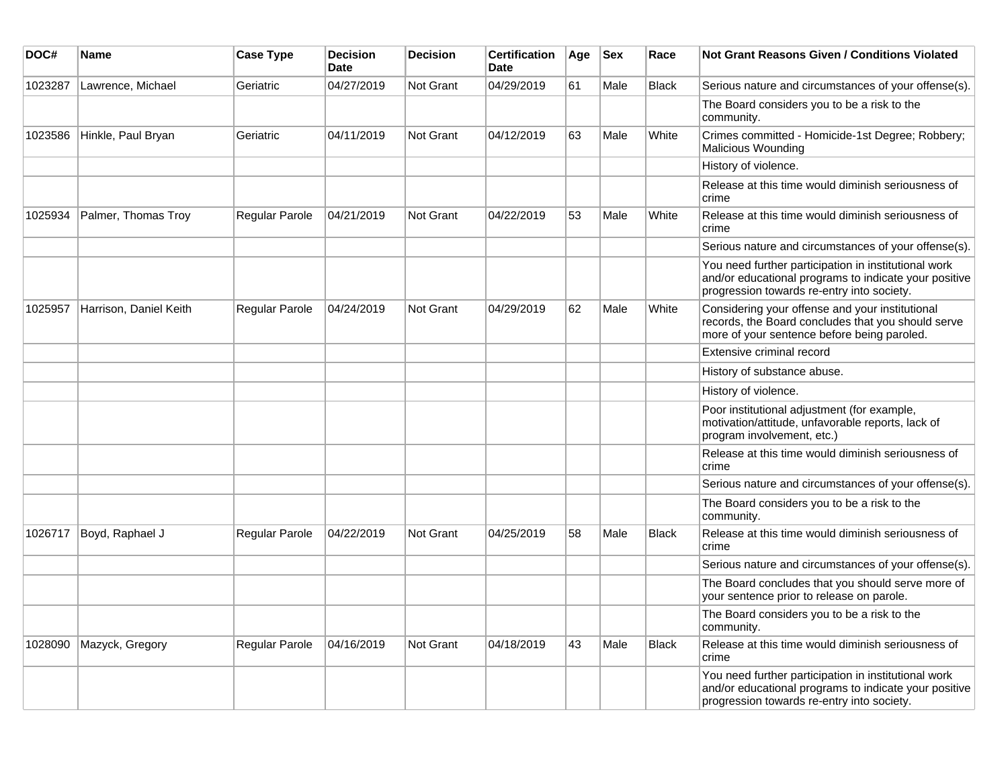| DOC#    | Name                   | <b>Case Type</b>      | <b>Decision</b><br><b>Date</b> | <b>Decision</b>  | <b>Certification</b><br><b>Date</b> | Age | <b>Sex</b> | Race         | Not Grant Reasons Given / Conditions Violated                                                                                                               |
|---------|------------------------|-----------------------|--------------------------------|------------------|-------------------------------------|-----|------------|--------------|-------------------------------------------------------------------------------------------------------------------------------------------------------------|
| 1023287 | Lawrence, Michael      | Geriatric             | 04/27/2019                     | <b>Not Grant</b> | 04/29/2019                          | 61  | Male       | <b>Black</b> | Serious nature and circumstances of your offense(s).                                                                                                        |
|         |                        |                       |                                |                  |                                     |     |            |              | The Board considers you to be a risk to the<br>community.                                                                                                   |
| 1023586 | Hinkle, Paul Bryan     | Geriatric             | 04/11/2019                     | <b>Not Grant</b> | 04/12/2019                          | 63  | Male       | White        | Crimes committed - Homicide-1st Degree; Robbery;<br>Malicious Wounding                                                                                      |
|         |                        |                       |                                |                  |                                     |     |            |              | History of violence.                                                                                                                                        |
|         |                        |                       |                                |                  |                                     |     |            |              | Release at this time would diminish seriousness of<br>crime                                                                                                 |
| 1025934 | Palmer, Thomas Troy    | <b>Regular Parole</b> | 04/21/2019                     | Not Grant        | 04/22/2019                          | 53  | Male       | White        | Release at this time would diminish seriousness of<br>crime                                                                                                 |
|         |                        |                       |                                |                  |                                     |     |            |              | Serious nature and circumstances of your offense(s).                                                                                                        |
|         |                        |                       |                                |                  |                                     |     |            |              | You need further participation in institutional work<br>and/or educational programs to indicate your positive<br>progression towards re-entry into society. |
| 1025957 | Harrison, Daniel Keith | <b>Regular Parole</b> | 04/24/2019                     | Not Grant        | 04/29/2019                          | 62  | Male       | White        | Considering your offense and your institutional<br>records, the Board concludes that you should serve<br>more of your sentence before being paroled.        |
|         |                        |                       |                                |                  |                                     |     |            |              | Extensive criminal record                                                                                                                                   |
|         |                        |                       |                                |                  |                                     |     |            |              | History of substance abuse.                                                                                                                                 |
|         |                        |                       |                                |                  |                                     |     |            |              | History of violence.                                                                                                                                        |
|         |                        |                       |                                |                  |                                     |     |            |              | Poor institutional adjustment (for example,<br>motivation/attitude, unfavorable reports, lack of<br>program involvement, etc.)                              |
|         |                        |                       |                                |                  |                                     |     |            |              | Release at this time would diminish seriousness of<br>crime                                                                                                 |
|         |                        |                       |                                |                  |                                     |     |            |              | Serious nature and circumstances of your offense(s).                                                                                                        |
|         |                        |                       |                                |                  |                                     |     |            |              | The Board considers you to be a risk to the<br>community.                                                                                                   |
| 1026717 | Boyd, Raphael J        | Regular Parole        | 04/22/2019                     | <b>Not Grant</b> | 04/25/2019                          | 58  | Male       | <b>Black</b> | Release at this time would diminish seriousness of<br>crime                                                                                                 |
|         |                        |                       |                                |                  |                                     |     |            |              | Serious nature and circumstances of your offense(s).                                                                                                        |
|         |                        |                       |                                |                  |                                     |     |            |              | The Board concludes that you should serve more of<br>your sentence prior to release on parole.                                                              |
|         |                        |                       |                                |                  |                                     |     |            |              | The Board considers you to be a risk to the<br>community.                                                                                                   |
| 1028090 | Mazyck, Gregory        | <b>Regular Parole</b> | 04/16/2019                     | Not Grant        | 04/18/2019                          | 43  | Male       | <b>Black</b> | Release at this time would diminish seriousness of<br>crime                                                                                                 |
|         |                        |                       |                                |                  |                                     |     |            |              | You need further participation in institutional work<br>and/or educational programs to indicate your positive<br>progression towards re-entry into society. |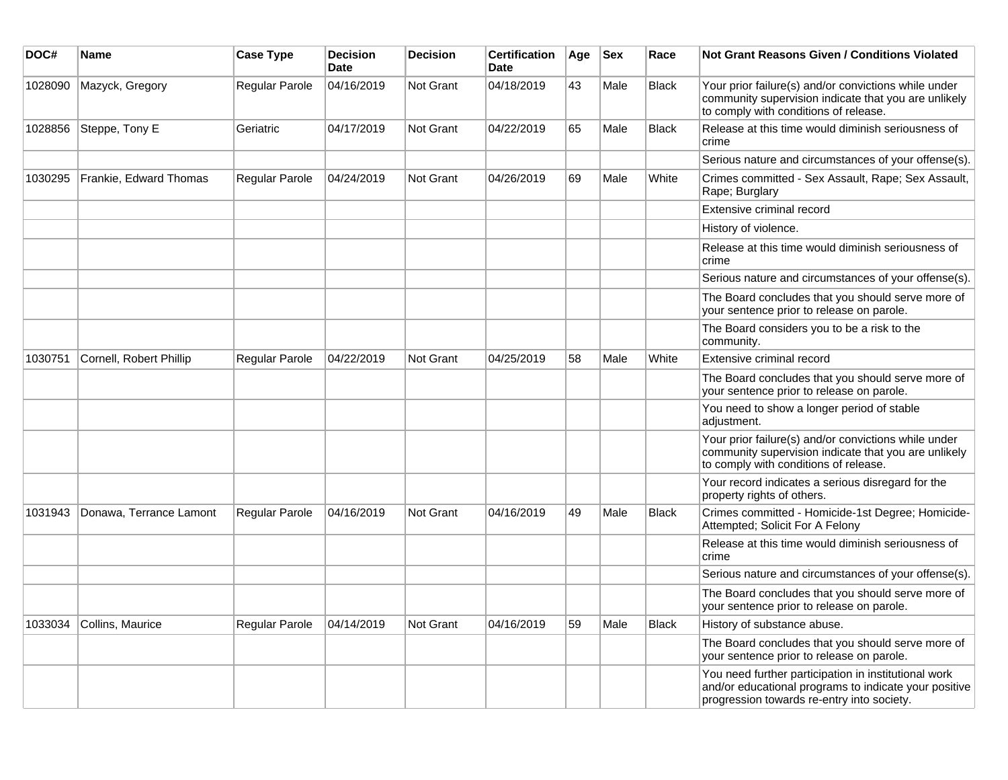| DOC#    | <b>Name</b>             | <b>Case Type</b> | <b>Decision</b><br><b>Date</b> | <b>Decision</b>  | <b>Certification</b><br><b>Date</b> | Age | <b>Sex</b> | Race         | Not Grant Reasons Given / Conditions Violated                                                                                                               |
|---------|-------------------------|------------------|--------------------------------|------------------|-------------------------------------|-----|------------|--------------|-------------------------------------------------------------------------------------------------------------------------------------------------------------|
| 1028090 | Mazyck, Gregory         | Regular Parole   | 04/16/2019                     | Not Grant        | 04/18/2019                          | 43  | Male       | <b>Black</b> | Your prior failure(s) and/or convictions while under<br>community supervision indicate that you are unlikely<br>to comply with conditions of release.       |
| 1028856 | Steppe, Tony E          | Geriatric        | 04/17/2019                     | Not Grant        | 04/22/2019                          | 65  | Male       | <b>Black</b> | Release at this time would diminish seriousness of<br>crime                                                                                                 |
|         |                         |                  |                                |                  |                                     |     |            |              | Serious nature and circumstances of your offense(s).                                                                                                        |
| 1030295 | Frankie, Edward Thomas  | Regular Parole   | 04/24/2019                     | <b>Not Grant</b> | 04/26/2019                          | 69  | Male       | White        | Crimes committed - Sex Assault, Rape; Sex Assault,<br>Rape; Burglary                                                                                        |
|         |                         |                  |                                |                  |                                     |     |            |              | Extensive criminal record                                                                                                                                   |
|         |                         |                  |                                |                  |                                     |     |            |              | History of violence.                                                                                                                                        |
|         |                         |                  |                                |                  |                                     |     |            |              | Release at this time would diminish seriousness of<br>crime                                                                                                 |
|         |                         |                  |                                |                  |                                     |     |            |              | Serious nature and circumstances of your offense(s).                                                                                                        |
|         |                         |                  |                                |                  |                                     |     |            |              | The Board concludes that you should serve more of<br>your sentence prior to release on parole.                                                              |
|         |                         |                  |                                |                  |                                     |     |            |              | The Board considers you to be a risk to the<br>community.                                                                                                   |
| 1030751 | Cornell, Robert Phillip | Regular Parole   | 04/22/2019                     | <b>Not Grant</b> | 04/25/2019                          | 58  | Male       | White        | Extensive criminal record                                                                                                                                   |
|         |                         |                  |                                |                  |                                     |     |            |              | The Board concludes that you should serve more of<br>your sentence prior to release on parole.                                                              |
|         |                         |                  |                                |                  |                                     |     |            |              | You need to show a longer period of stable<br>adjustment.                                                                                                   |
|         |                         |                  |                                |                  |                                     |     |            |              | Your prior failure(s) and/or convictions while under<br>community supervision indicate that you are unlikely<br>to comply with conditions of release.       |
|         |                         |                  |                                |                  |                                     |     |            |              | Your record indicates a serious disregard for the<br>property rights of others.                                                                             |
| 1031943 | Donawa, Terrance Lamont | Regular Parole   | 04/16/2019                     | <b>Not Grant</b> | 04/16/2019                          | 49  | Male       | <b>Black</b> | Crimes committed - Homicide-1st Degree; Homicide-<br>Attempted; Solicit For A Felony                                                                        |
|         |                         |                  |                                |                  |                                     |     |            |              | Release at this time would diminish seriousness of<br>crime                                                                                                 |
|         |                         |                  |                                |                  |                                     |     |            |              | Serious nature and circumstances of your offense(s).                                                                                                        |
|         |                         |                  |                                |                  |                                     |     |            |              | The Board concludes that you should serve more of<br>your sentence prior to release on parole.                                                              |
| 1033034 | Collins, Maurice        | Regular Parole   | 04/14/2019                     | <b>Not Grant</b> | 04/16/2019                          | 59  | Male       | <b>Black</b> | History of substance abuse.                                                                                                                                 |
|         |                         |                  |                                |                  |                                     |     |            |              | The Board concludes that you should serve more of<br>your sentence prior to release on parole.                                                              |
|         |                         |                  |                                |                  |                                     |     |            |              | You need further participation in institutional work<br>and/or educational programs to indicate your positive<br>progression towards re-entry into society. |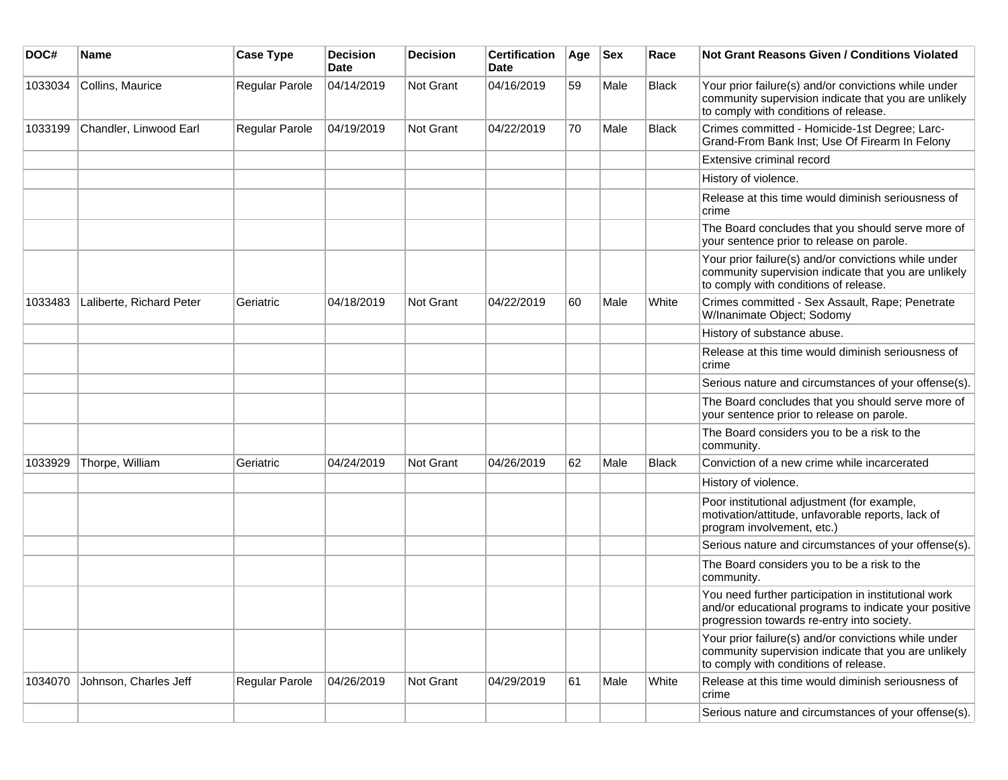| DOC#    | <b>Name</b>              | <b>Case Type</b>      | <b>Decision</b><br><b>Date</b> | <b>Decision</b> | <b>Certification</b><br>Date | Age | <b>Sex</b> | Race         | <b>Not Grant Reasons Given / Conditions Violated</b>                                                                                                        |
|---------|--------------------------|-----------------------|--------------------------------|-----------------|------------------------------|-----|------------|--------------|-------------------------------------------------------------------------------------------------------------------------------------------------------------|
| 1033034 | Collins, Maurice         | Regular Parole        | 04/14/2019                     | Not Grant       | 04/16/2019                   | 59  | Male       | <b>Black</b> | Your prior failure(s) and/or convictions while under<br>community supervision indicate that you are unlikely<br>to comply with conditions of release.       |
| 1033199 | Chandler, Linwood Earl   | Regular Parole        | 04/19/2019                     | Not Grant       | 04/22/2019                   | 70  | Male       | <b>Black</b> | Crimes committed - Homicide-1st Degree; Larc-<br>Grand-From Bank Inst; Use Of Firearm In Felony                                                             |
|         |                          |                       |                                |                 |                              |     |            |              | Extensive criminal record                                                                                                                                   |
|         |                          |                       |                                |                 |                              |     |            |              | History of violence.                                                                                                                                        |
|         |                          |                       |                                |                 |                              |     |            |              | Release at this time would diminish seriousness of<br>crime                                                                                                 |
|         |                          |                       |                                |                 |                              |     |            |              | The Board concludes that you should serve more of<br>your sentence prior to release on parole.                                                              |
|         |                          |                       |                                |                 |                              |     |            |              | Your prior failure(s) and/or convictions while under<br>community supervision indicate that you are unlikely<br>to comply with conditions of release.       |
| 1033483 | Laliberte, Richard Peter | Geriatric             | 04/18/2019                     | Not Grant       | 04/22/2019                   | 60  | Male       | White        | Crimes committed - Sex Assault, Rape; Penetrate<br>W/Inanimate Object; Sodomy                                                                               |
|         |                          |                       |                                |                 |                              |     |            |              | History of substance abuse.                                                                                                                                 |
|         |                          |                       |                                |                 |                              |     |            |              | Release at this time would diminish seriousness of<br>crime                                                                                                 |
|         |                          |                       |                                |                 |                              |     |            |              | Serious nature and circumstances of your offense(s).                                                                                                        |
|         |                          |                       |                                |                 |                              |     |            |              | The Board concludes that you should serve more of<br>your sentence prior to release on parole.                                                              |
|         |                          |                       |                                |                 |                              |     |            |              | The Board considers you to be a risk to the<br>community.                                                                                                   |
| 1033929 | Thorpe, William          | Geriatric             | 04/24/2019                     | Not Grant       | 04/26/2019                   | 62  | Male       | <b>Black</b> | Conviction of a new crime while incarcerated                                                                                                                |
|         |                          |                       |                                |                 |                              |     |            |              | History of violence.                                                                                                                                        |
|         |                          |                       |                                |                 |                              |     |            |              | Poor institutional adjustment (for example,<br>motivation/attitude, unfavorable reports, lack of<br>program involvement, etc.)                              |
|         |                          |                       |                                |                 |                              |     |            |              | Serious nature and circumstances of your offense(s).                                                                                                        |
|         |                          |                       |                                |                 |                              |     |            |              | The Board considers you to be a risk to the<br>community.                                                                                                   |
|         |                          |                       |                                |                 |                              |     |            |              | You need further participation in institutional work<br>and/or educational programs to indicate your positive<br>progression towards re-entry into society. |
|         |                          |                       |                                |                 |                              |     |            |              | Your prior failure(s) and/or convictions while under<br>community supervision indicate that you are unlikely<br>to comply with conditions of release.       |
| 1034070 | Johnson, Charles Jeff    | <b>Regular Parole</b> | 04/26/2019                     | Not Grant       | 04/29/2019                   | 61  | Male       | White        | Release at this time would diminish seriousness of<br>crime                                                                                                 |
|         |                          |                       |                                |                 |                              |     |            |              | Serious nature and circumstances of your offense(s).                                                                                                        |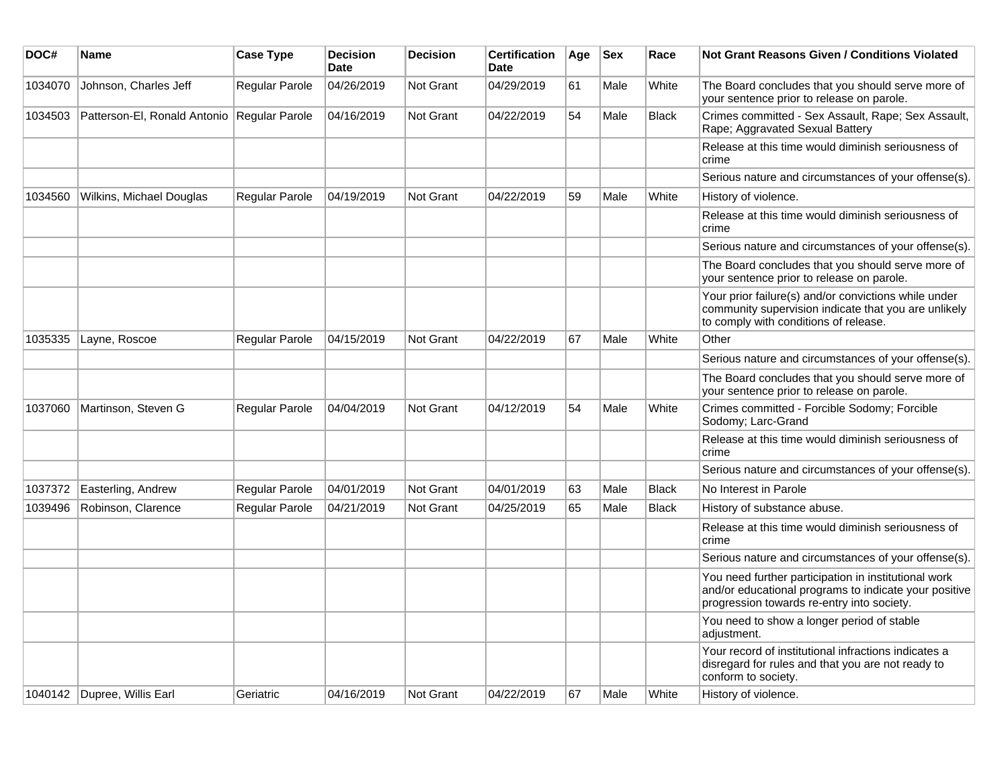| DOC#    | Name                                        | <b>Case Type</b>      | <b>Decision</b><br><b>Date</b> | <b>Decision</b>  | <b>Certification</b><br>Date | Age | <b>Sex</b> | Race         | Not Grant Reasons Given / Conditions Violated                                                                                                               |
|---------|---------------------------------------------|-----------------------|--------------------------------|------------------|------------------------------|-----|------------|--------------|-------------------------------------------------------------------------------------------------------------------------------------------------------------|
| 1034070 | Johnson, Charles Jeff                       | <b>Regular Parole</b> | 04/26/2019                     | Not Grant        | 04/29/2019                   | 61  | Male       | White        | The Board concludes that you should serve more of<br>your sentence prior to release on parole.                                                              |
| 1034503 | Patterson-El, Ronald Antonio Regular Parole |                       | 04/16/2019                     | <b>Not Grant</b> | 04/22/2019                   | 54  | Male       | <b>Black</b> | Crimes committed - Sex Assault, Rape; Sex Assault,<br>Rape; Aggravated Sexual Battery                                                                       |
|         |                                             |                       |                                |                  |                              |     |            |              | Release at this time would diminish seriousness of<br>crime                                                                                                 |
|         |                                             |                       |                                |                  |                              |     |            |              | Serious nature and circumstances of your offense(s).                                                                                                        |
| 1034560 | Wilkins, Michael Douglas                    | <b>Regular Parole</b> | 04/19/2019                     | <b>Not Grant</b> | 04/22/2019                   | 59  | Male       | White        | History of violence.                                                                                                                                        |
|         |                                             |                       |                                |                  |                              |     |            |              | Release at this time would diminish seriousness of<br>crime                                                                                                 |
|         |                                             |                       |                                |                  |                              |     |            |              | Serious nature and circumstances of your offense(s).                                                                                                        |
|         |                                             |                       |                                |                  |                              |     |            |              | The Board concludes that you should serve more of<br>your sentence prior to release on parole.                                                              |
|         |                                             |                       |                                |                  |                              |     |            |              | Your prior failure(s) and/or convictions while under<br>community supervision indicate that you are unlikely<br>to comply with conditions of release.       |
| 1035335 | Layne, Roscoe                               | Regular Parole        | 04/15/2019                     | Not Grant        | 04/22/2019                   | 67  | Male       | White        | Other                                                                                                                                                       |
|         |                                             |                       |                                |                  |                              |     |            |              | Serious nature and circumstances of your offense(s).                                                                                                        |
|         |                                             |                       |                                |                  |                              |     |            |              | The Board concludes that you should serve more of<br>your sentence prior to release on parole.                                                              |
| 1037060 | Martinson, Steven G                         | Regular Parole        | 04/04/2019                     | Not Grant        | 04/12/2019                   | 54  | Male       | White        | Crimes committed - Forcible Sodomy; Forcible<br>Sodomy; Larc-Grand                                                                                          |
|         |                                             |                       |                                |                  |                              |     |            |              | Release at this time would diminish seriousness of<br>crime                                                                                                 |
|         |                                             |                       |                                |                  |                              |     |            |              | Serious nature and circumstances of your offense(s).                                                                                                        |
| 1037372 | Easterling, Andrew                          | Regular Parole        | 04/01/2019                     | <b>Not Grant</b> | 04/01/2019                   | 63  | Male       | <b>Black</b> | No Interest in Parole                                                                                                                                       |
| 1039496 | Robinson, Clarence                          | Regular Parole        | 04/21/2019                     | Not Grant        | 04/25/2019                   | 65  | Male       | <b>Black</b> | History of substance abuse.                                                                                                                                 |
|         |                                             |                       |                                |                  |                              |     |            |              | Release at this time would diminish seriousness of<br>crime                                                                                                 |
|         |                                             |                       |                                |                  |                              |     |            |              | Serious nature and circumstances of your offense(s).                                                                                                        |
|         |                                             |                       |                                |                  |                              |     |            |              | You need further participation in institutional work<br>and/or educational programs to indicate your positive<br>progression towards re-entry into society. |
|         |                                             |                       |                                |                  |                              |     |            |              | You need to show a longer period of stable<br>adjustment.                                                                                                   |
|         |                                             |                       |                                |                  |                              |     |            |              | Your record of institutional infractions indicates a<br>disregard for rules and that you are not ready to<br>conform to society.                            |
|         | 1040142   Dupree, Willis Earl               | Geriatric             | 04/16/2019                     | Not Grant        | 04/22/2019                   | 67  | Male       | White        | History of violence.                                                                                                                                        |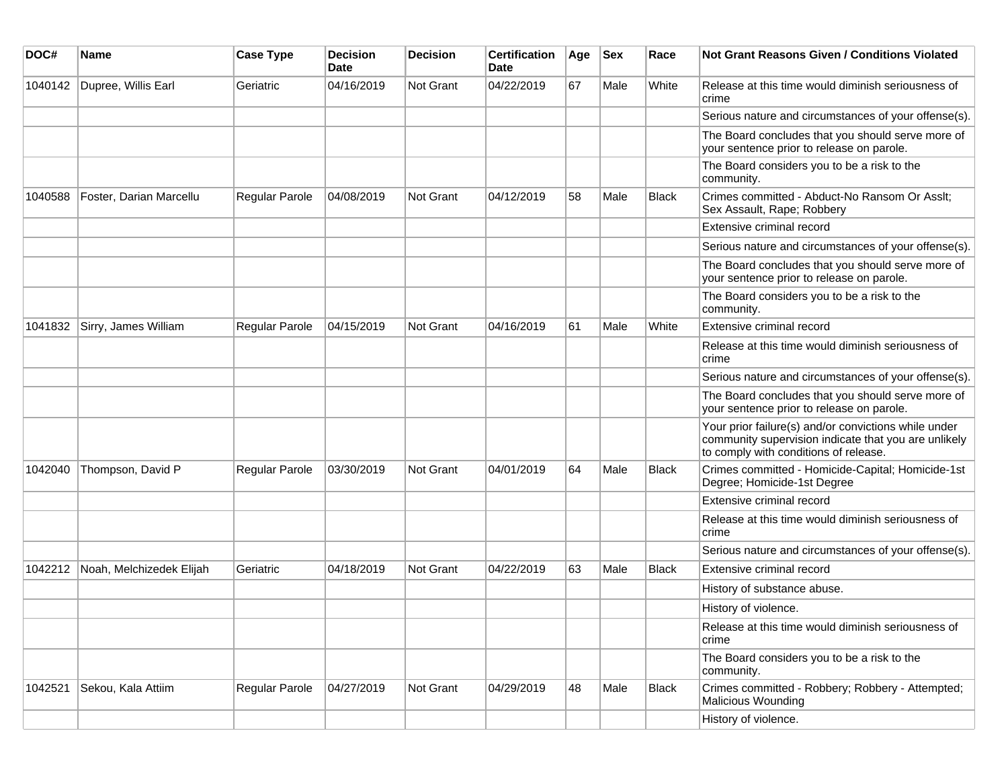| DOC#    | <b>Name</b>              | <b>Case Type</b>      | <b>Decision</b><br>Date | <b>Decision</b> | <b>Certification</b><br>Date | Age | <b>Sex</b> | Race         | Not Grant Reasons Given / Conditions Violated                                                                                                         |
|---------|--------------------------|-----------------------|-------------------------|-----------------|------------------------------|-----|------------|--------------|-------------------------------------------------------------------------------------------------------------------------------------------------------|
| 1040142 | Dupree, Willis Earl      | Geriatric             | 04/16/2019              | Not Grant       | 04/22/2019                   | 67  | Male       | White        | Release at this time would diminish seriousness of<br>crime                                                                                           |
|         |                          |                       |                         |                 |                              |     |            |              | Serious nature and circumstances of your offense(s).                                                                                                  |
|         |                          |                       |                         |                 |                              |     |            |              | The Board concludes that you should serve more of<br>your sentence prior to release on parole.                                                        |
|         |                          |                       |                         |                 |                              |     |            |              | The Board considers you to be a risk to the<br>community.                                                                                             |
| 1040588 | Foster, Darian Marcellu  | Regular Parole        | 04/08/2019              | Not Grant       | 04/12/2019                   | 58  | Male       | <b>Black</b> | Crimes committed - Abduct-No Ransom Or Asslt;<br>Sex Assault, Rape; Robbery                                                                           |
|         |                          |                       |                         |                 |                              |     |            |              | Extensive criminal record                                                                                                                             |
|         |                          |                       |                         |                 |                              |     |            |              | Serious nature and circumstances of your offense(s).                                                                                                  |
|         |                          |                       |                         |                 |                              |     |            |              | The Board concludes that you should serve more of<br>your sentence prior to release on parole.                                                        |
|         |                          |                       |                         |                 |                              |     |            |              | The Board considers you to be a risk to the<br>community.                                                                                             |
| 1041832 | Sirry, James William     | <b>Regular Parole</b> | 04/15/2019              | Not Grant       | 04/16/2019                   | 61  | Male       | White        | Extensive criminal record                                                                                                                             |
|         |                          |                       |                         |                 |                              |     |            |              | Release at this time would diminish seriousness of<br>crime                                                                                           |
|         |                          |                       |                         |                 |                              |     |            |              | Serious nature and circumstances of your offense(s).                                                                                                  |
|         |                          |                       |                         |                 |                              |     |            |              | The Board concludes that you should serve more of<br>your sentence prior to release on parole.                                                        |
|         |                          |                       |                         |                 |                              |     |            |              | Your prior failure(s) and/or convictions while under<br>community supervision indicate that you are unlikely<br>to comply with conditions of release. |
| 1042040 | Thompson, David P        | Regular Parole        | 03/30/2019              | Not Grant       | 04/01/2019                   | 64  | Male       | <b>Black</b> | Crimes committed - Homicide-Capital; Homicide-1st<br>Degree; Homicide-1st Degree                                                                      |
|         |                          |                       |                         |                 |                              |     |            |              | Extensive criminal record                                                                                                                             |
|         |                          |                       |                         |                 |                              |     |            |              | Release at this time would diminish seriousness of<br>crime                                                                                           |
|         |                          |                       |                         |                 |                              |     |            |              | Serious nature and circumstances of your offense(s).                                                                                                  |
| 1042212 | Noah, Melchizedek Elijah | Geriatric             | 04/18/2019              | Not Grant       | 04/22/2019                   | 63  | Male       | <b>Black</b> | Extensive criminal record                                                                                                                             |
|         |                          |                       |                         |                 |                              |     |            |              | History of substance abuse.                                                                                                                           |
|         |                          |                       |                         |                 |                              |     |            |              | History of violence.                                                                                                                                  |
|         |                          |                       |                         |                 |                              |     |            |              | Release at this time would diminish seriousness of<br>crime                                                                                           |
|         |                          |                       |                         |                 |                              |     |            |              | The Board considers you to be a risk to the<br>community.                                                                                             |
| 1042521 | Sekou, Kala Attiim       | Regular Parole        | 04/27/2019              | Not Grant       | 04/29/2019                   | 48  | Male       | <b>Black</b> | Crimes committed - Robbery; Robbery - Attempted;<br><b>Malicious Wounding</b>                                                                         |
|         |                          |                       |                         |                 |                              |     |            |              | History of violence.                                                                                                                                  |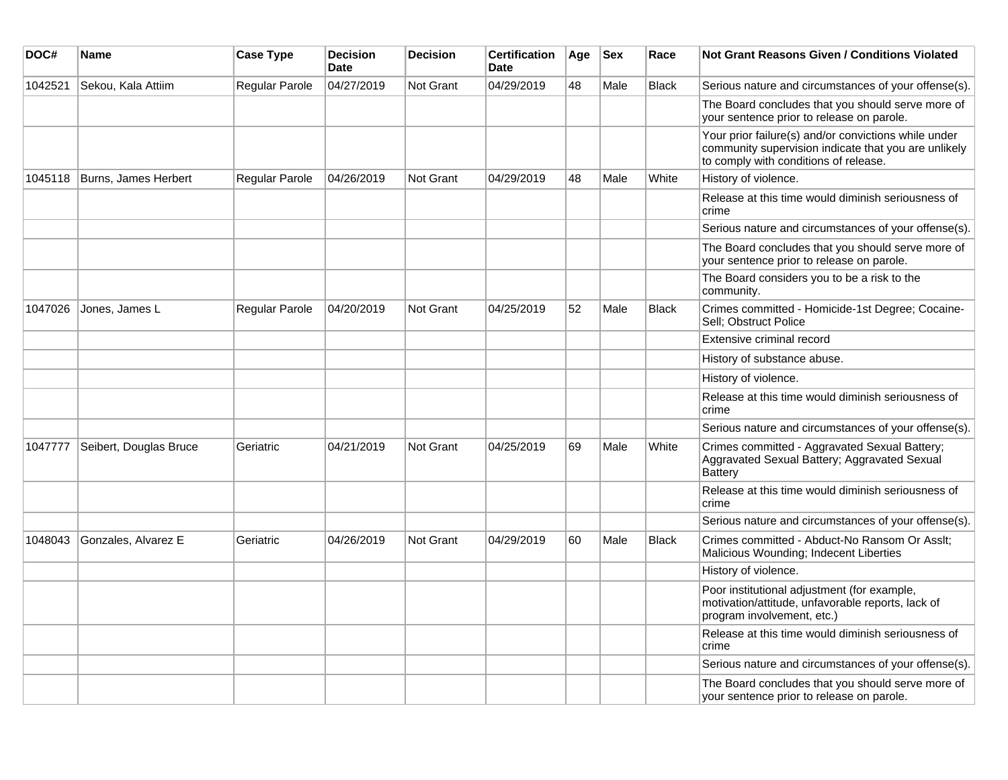| DOC#    | Name                   | <b>Case Type</b>      | <b>Decision</b><br>Date | <b>Decision</b>  | <b>Certification</b><br>Date | Age | <b>Sex</b> | Race         | <b>Not Grant Reasons Given / Conditions Violated</b>                                                                                                  |
|---------|------------------------|-----------------------|-------------------------|------------------|------------------------------|-----|------------|--------------|-------------------------------------------------------------------------------------------------------------------------------------------------------|
| 1042521 | Sekou, Kala Attiim     | <b>Regular Parole</b> | 04/27/2019              | Not Grant        | 04/29/2019                   | 48  | Male       | <b>Black</b> | Serious nature and circumstances of your offense(s).                                                                                                  |
|         |                        |                       |                         |                  |                              |     |            |              | The Board concludes that you should serve more of<br>your sentence prior to release on parole.                                                        |
|         |                        |                       |                         |                  |                              |     |            |              | Your prior failure(s) and/or convictions while under<br>community supervision indicate that you are unlikely<br>to comply with conditions of release. |
| 1045118 | Burns, James Herbert   | Regular Parole        | 04/26/2019              | Not Grant        | 04/29/2019                   | 48  | Male       | White        | History of violence.                                                                                                                                  |
|         |                        |                       |                         |                  |                              |     |            |              | Release at this time would diminish seriousness of<br>crime                                                                                           |
|         |                        |                       |                         |                  |                              |     |            |              | Serious nature and circumstances of your offense(s).                                                                                                  |
|         |                        |                       |                         |                  |                              |     |            |              | The Board concludes that you should serve more of<br>your sentence prior to release on parole.                                                        |
|         |                        |                       |                         |                  |                              |     |            |              | The Board considers you to be a risk to the<br>community.                                                                                             |
| 1047026 | Jones, James L         | Regular Parole        | 04/20/2019              | Not Grant        | 04/25/2019                   | 52  | Male       | <b>Black</b> | Crimes committed - Homicide-1st Degree; Cocaine-<br>Sell; Obstruct Police                                                                             |
|         |                        |                       |                         |                  |                              |     |            |              | Extensive criminal record                                                                                                                             |
|         |                        |                       |                         |                  |                              |     |            |              | History of substance abuse.                                                                                                                           |
|         |                        |                       |                         |                  |                              |     |            |              | History of violence.                                                                                                                                  |
|         |                        |                       |                         |                  |                              |     |            |              | Release at this time would diminish seriousness of<br>crime                                                                                           |
|         |                        |                       |                         |                  |                              |     |            |              | Serious nature and circumstances of your offense(s).                                                                                                  |
| 1047777 | Seibert, Douglas Bruce | Geriatric             | 04/21/2019              | <b>Not Grant</b> | 04/25/2019                   | 69  | Male       | White        | Crimes committed - Aggravated Sexual Battery;<br>Aggravated Sexual Battery; Aggravated Sexual<br><b>Battery</b>                                       |
|         |                        |                       |                         |                  |                              |     |            |              | Release at this time would diminish seriousness of<br>crime                                                                                           |
|         |                        |                       |                         |                  |                              |     |            |              | Serious nature and circumstances of your offense(s).                                                                                                  |
| 1048043 | Gonzales, Alvarez E    | Geriatric             | 04/26/2019              | <b>Not Grant</b> | 04/29/2019                   | 60  | Male       | <b>Black</b> | Crimes committed - Abduct-No Ransom Or Asslt;<br>Malicious Wounding; Indecent Liberties                                                               |
|         |                        |                       |                         |                  |                              |     |            |              | History of violence.                                                                                                                                  |
|         |                        |                       |                         |                  |                              |     |            |              | Poor institutional adjustment (for example,<br>motivation/attitude, unfavorable reports, lack of<br>program involvement, etc.)                        |
|         |                        |                       |                         |                  |                              |     |            |              | Release at this time would diminish seriousness of<br>crime                                                                                           |
|         |                        |                       |                         |                  |                              |     |            |              | Serious nature and circumstances of your offense(s).                                                                                                  |
|         |                        |                       |                         |                  |                              |     |            |              | The Board concludes that you should serve more of<br>your sentence prior to release on parole.                                                        |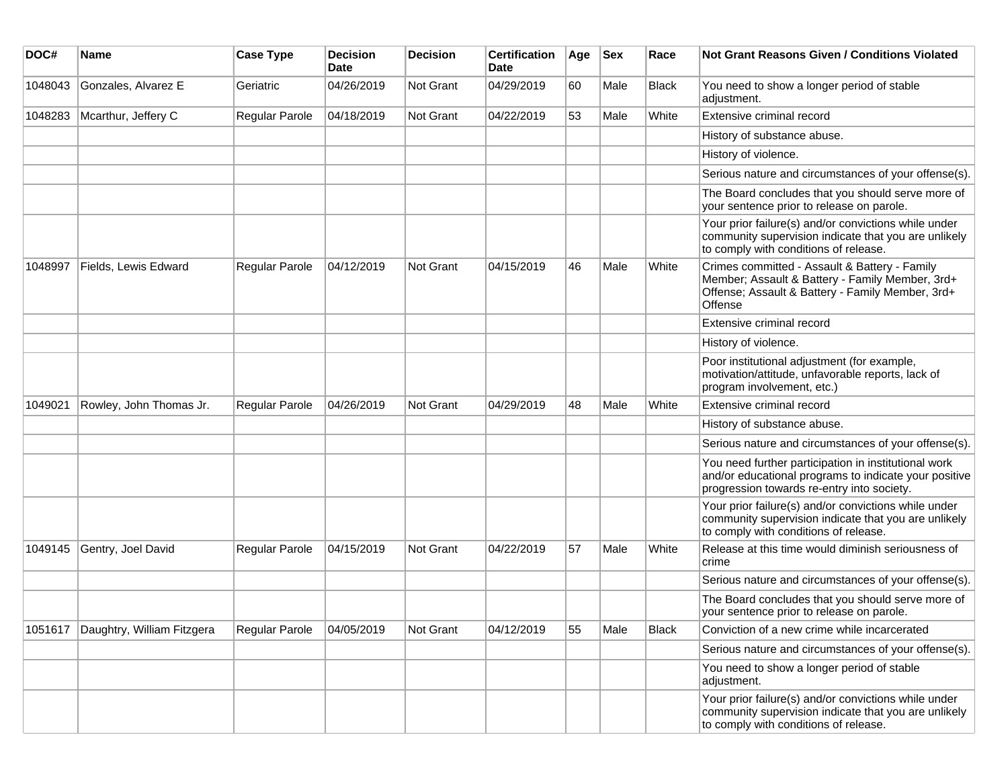| DOC#    | Name                       | <b>Case Type</b>      | <b>Decision</b><br><b>Date</b> | <b>Decision</b> | <b>Certification</b><br><b>Date</b> | Age | <b>Sex</b> | Race         | <b>Not Grant Reasons Given / Conditions Violated</b>                                                                                                            |
|---------|----------------------------|-----------------------|--------------------------------|-----------------|-------------------------------------|-----|------------|--------------|-----------------------------------------------------------------------------------------------------------------------------------------------------------------|
| 1048043 | Gonzales, Alvarez E        | Geriatric             | 04/26/2019                     | Not Grant       | 04/29/2019                          | 60  | Male       | <b>Black</b> | You need to show a longer period of stable<br>adjustment.                                                                                                       |
| 1048283 | Mcarthur, Jeffery C        | Regular Parole        | 04/18/2019                     | Not Grant       | 04/22/2019                          | 53  | Male       | White        | Extensive criminal record                                                                                                                                       |
|         |                            |                       |                                |                 |                                     |     |            |              | History of substance abuse.                                                                                                                                     |
|         |                            |                       |                                |                 |                                     |     |            |              | History of violence.                                                                                                                                            |
|         |                            |                       |                                |                 |                                     |     |            |              | Serious nature and circumstances of your offense(s).                                                                                                            |
|         |                            |                       |                                |                 |                                     |     |            |              | The Board concludes that you should serve more of<br>your sentence prior to release on parole.                                                                  |
|         |                            |                       |                                |                 |                                     |     |            |              | Your prior failure(s) and/or convictions while under<br>community supervision indicate that you are unlikely<br>to comply with conditions of release.           |
| 1048997 | Fields, Lewis Edward       | Regular Parole        | 04/12/2019                     | Not Grant       | 04/15/2019                          | 46  | Male       | White        | Crimes committed - Assault & Battery - Family<br>Member; Assault & Battery - Family Member, 3rd+<br>Offense; Assault & Battery - Family Member, 3rd+<br>Offense |
|         |                            |                       |                                |                 |                                     |     |            |              | Extensive criminal record                                                                                                                                       |
|         |                            |                       |                                |                 |                                     |     |            |              | History of violence.                                                                                                                                            |
|         |                            |                       |                                |                 |                                     |     |            |              | Poor institutional adjustment (for example,<br>motivation/attitude, unfavorable reports, lack of<br>program involvement, etc.)                                  |
| 1049021 | Rowley, John Thomas Jr.    | Regular Parole        | 04/26/2019                     | Not Grant       | 04/29/2019                          | 48  | Male       | White        | Extensive criminal record                                                                                                                                       |
|         |                            |                       |                                |                 |                                     |     |            |              | History of substance abuse.                                                                                                                                     |
|         |                            |                       |                                |                 |                                     |     |            |              | Serious nature and circumstances of your offense(s).                                                                                                            |
|         |                            |                       |                                |                 |                                     |     |            |              | You need further participation in institutional work<br>and/or educational programs to indicate your positive<br>progression towards re-entry into society.     |
|         |                            |                       |                                |                 |                                     |     |            |              | Your prior failure(s) and/or convictions while under<br>community supervision indicate that you are unlikely<br>to comply with conditions of release.           |
| 1049145 | Gentry, Joel David         | Regular Parole        | 04/15/2019                     | Not Grant       | 04/22/2019                          | 57  | Male       | White        | Release at this time would diminish seriousness of<br>crime                                                                                                     |
|         |                            |                       |                                |                 |                                     |     |            |              | Serious nature and circumstances of your offense(s).                                                                                                            |
|         |                            |                       |                                |                 |                                     |     |            |              | The Board concludes that you should serve more of<br>your sentence prior to release on parole.                                                                  |
| 1051617 | Daughtry, William Fitzgera | <b>Regular Parole</b> | 04/05/2019                     | Not Grant       | 04/12/2019                          | 55  | Male       | <b>Black</b> | Conviction of a new crime while incarcerated                                                                                                                    |
|         |                            |                       |                                |                 |                                     |     |            |              | Serious nature and circumstances of your offense(s).                                                                                                            |
|         |                            |                       |                                |                 |                                     |     |            |              | You need to show a longer period of stable<br>adjustment.                                                                                                       |
|         |                            |                       |                                |                 |                                     |     |            |              | Your prior failure(s) and/or convictions while under<br>community supervision indicate that you are unlikely<br>to comply with conditions of release.           |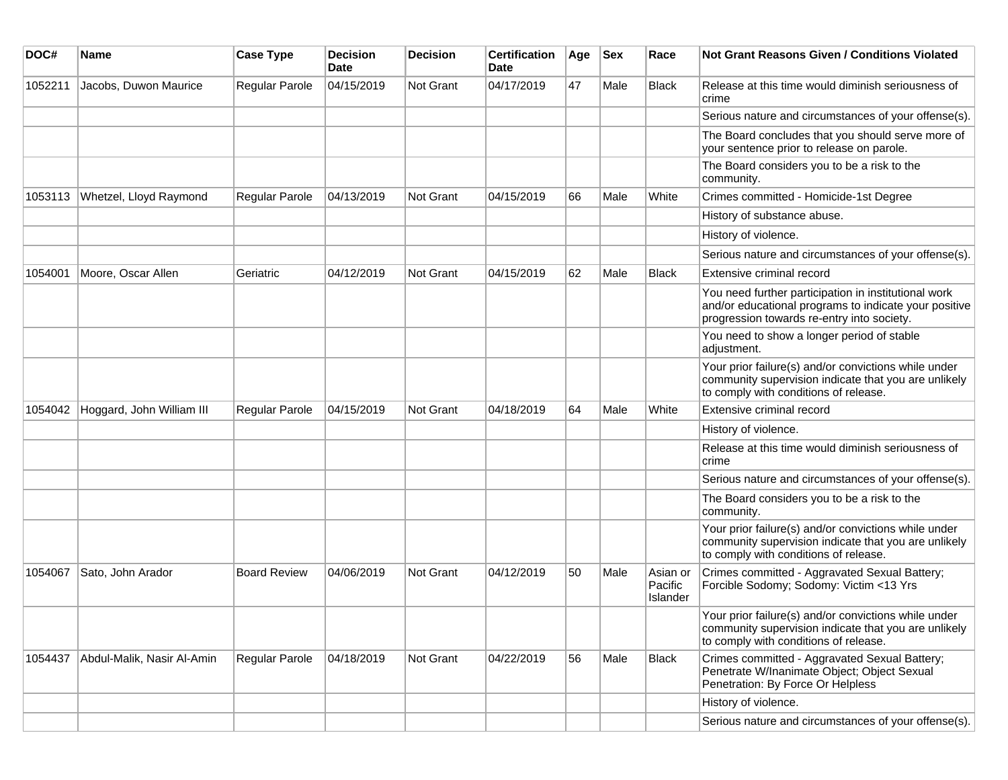| DOC#    | <b>Name</b>                | <b>Case Type</b>      | <b>Decision</b><br><b>Date</b> | <b>Decision</b>  | <b>Certification</b><br>Date | Age | <b>Sex</b> | Race                            | <b>Not Grant Reasons Given / Conditions Violated</b>                                                                                                        |
|---------|----------------------------|-----------------------|--------------------------------|------------------|------------------------------|-----|------------|---------------------------------|-------------------------------------------------------------------------------------------------------------------------------------------------------------|
| 1052211 | Jacobs, Duwon Maurice      | Regular Parole        | 04/15/2019                     | <b>Not Grant</b> | 04/17/2019                   | 47  | Male       | Black                           | Release at this time would diminish seriousness of<br>crime                                                                                                 |
|         |                            |                       |                                |                  |                              |     |            |                                 | Serious nature and circumstances of your offense(s).                                                                                                        |
|         |                            |                       |                                |                  |                              |     |            |                                 | The Board concludes that you should serve more of<br>your sentence prior to release on parole.                                                              |
|         |                            |                       |                                |                  |                              |     |            |                                 | The Board considers you to be a risk to the<br>community.                                                                                                   |
| 1053113 | Whetzel, Lloyd Raymond     | <b>Regular Parole</b> | 04/13/2019                     | <b>Not Grant</b> | 04/15/2019                   | 66  | Male       | White                           | Crimes committed - Homicide-1st Degree                                                                                                                      |
|         |                            |                       |                                |                  |                              |     |            |                                 | History of substance abuse.                                                                                                                                 |
|         |                            |                       |                                |                  |                              |     |            |                                 | History of violence.                                                                                                                                        |
|         |                            |                       |                                |                  |                              |     |            |                                 | Serious nature and circumstances of your offense(s).                                                                                                        |
| 1054001 | Moore, Oscar Allen         | Geriatric             | 04/12/2019                     | <b>Not Grant</b> | 04/15/2019                   | 62  | Male       | <b>Black</b>                    | Extensive criminal record                                                                                                                                   |
|         |                            |                       |                                |                  |                              |     |            |                                 | You need further participation in institutional work<br>and/or educational programs to indicate your positive<br>progression towards re-entry into society. |
|         |                            |                       |                                |                  |                              |     |            |                                 | You need to show a longer period of stable<br>adjustment.                                                                                                   |
|         |                            |                       |                                |                  |                              |     |            |                                 | Your prior failure(s) and/or convictions while under<br>community supervision indicate that you are unlikely<br>to comply with conditions of release.       |
| 1054042 | Hoggard, John William III  | <b>Regular Parole</b> | 04/15/2019                     | <b>Not Grant</b> | 04/18/2019                   | 64  | Male       | White                           | Extensive criminal record                                                                                                                                   |
|         |                            |                       |                                |                  |                              |     |            |                                 | History of violence.                                                                                                                                        |
|         |                            |                       |                                |                  |                              |     |            |                                 | Release at this time would diminish seriousness of<br>crime                                                                                                 |
|         |                            |                       |                                |                  |                              |     |            |                                 | Serious nature and circumstances of your offense(s).                                                                                                        |
|         |                            |                       |                                |                  |                              |     |            |                                 | The Board considers you to be a risk to the<br>community.                                                                                                   |
|         |                            |                       |                                |                  |                              |     |            |                                 | Your prior failure(s) and/or convictions while under<br>community supervision indicate that you are unlikely<br>to comply with conditions of release.       |
| 1054067 | Sato, John Arador          | <b>Board Review</b>   | 04/06/2019                     | <b>Not Grant</b> | 04/12/2019                   | 50  | Male       | Asian or<br>Pacific<br>Islander | Crimes committed - Aggravated Sexual Battery;<br>Forcible Sodomy; Sodomy: Victim <13 Yrs                                                                    |
|         |                            |                       |                                |                  |                              |     |            |                                 | Your prior failure(s) and/or convictions while under<br>community supervision indicate that you are unlikely<br>to comply with conditions of release.       |
| 1054437 | Abdul-Malik, Nasir Al-Amin | Regular Parole        | 04/18/2019                     | Not Grant        | 04/22/2019                   | 56  | Male       | Black                           | Crimes committed - Aggravated Sexual Battery;<br>Penetrate W/Inanimate Object; Object Sexual<br>Penetration: By Force Or Helpless                           |
|         |                            |                       |                                |                  |                              |     |            |                                 | History of violence.                                                                                                                                        |
|         |                            |                       |                                |                  |                              |     |            |                                 | Serious nature and circumstances of your offense(s).                                                                                                        |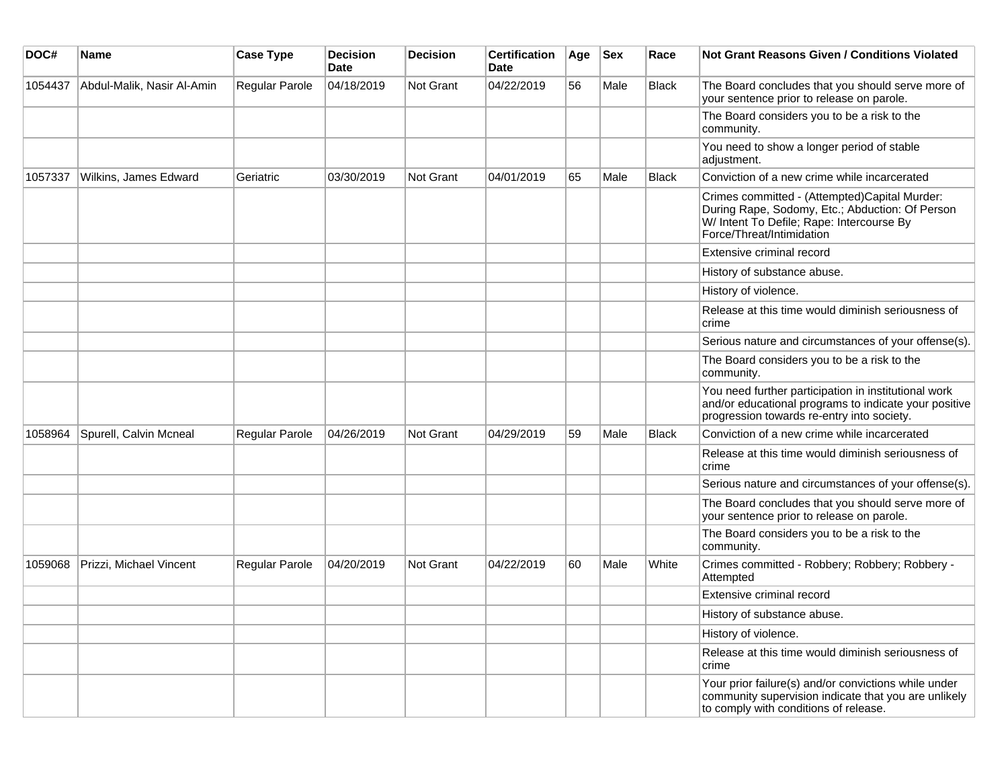| DOC#    | <b>Name</b>                | <b>Case Type</b> | Decision<br><b>Date</b> | <b>Decision</b>  | <b>Certification</b><br><b>Date</b> | Age | <b>Sex</b> | Race         | Not Grant Reasons Given / Conditions Violated                                                                                                                              |
|---------|----------------------------|------------------|-------------------------|------------------|-------------------------------------|-----|------------|--------------|----------------------------------------------------------------------------------------------------------------------------------------------------------------------------|
| 1054437 | Abdul-Malik, Nasir Al-Amin | Regular Parole   | 04/18/2019              | Not Grant        | 04/22/2019                          | 56  | Male       | Black        | The Board concludes that you should serve more of<br>your sentence prior to release on parole.                                                                             |
|         |                            |                  |                         |                  |                                     |     |            |              | The Board considers you to be a risk to the<br>community.                                                                                                                  |
|         |                            |                  |                         |                  |                                     |     |            |              | You need to show a longer period of stable<br>adjustment.                                                                                                                  |
| 1057337 | Wilkins, James Edward      | Geriatric        | 03/30/2019              | Not Grant        | 04/01/2019                          | 65  | Male       | Black        | Conviction of a new crime while incarcerated                                                                                                                               |
|         |                            |                  |                         |                  |                                     |     |            |              | Crimes committed - (Attempted)Capital Murder:<br>During Rape, Sodomy, Etc.; Abduction: Of Person<br>W/ Intent To Defile; Rape: Intercourse By<br>Force/Threat/Intimidation |
|         |                            |                  |                         |                  |                                     |     |            |              | Extensive criminal record                                                                                                                                                  |
|         |                            |                  |                         |                  |                                     |     |            |              | History of substance abuse.                                                                                                                                                |
|         |                            |                  |                         |                  |                                     |     |            |              | History of violence.                                                                                                                                                       |
|         |                            |                  |                         |                  |                                     |     |            |              | Release at this time would diminish seriousness of<br>crime                                                                                                                |
|         |                            |                  |                         |                  |                                     |     |            |              | Serious nature and circumstances of your offense(s).                                                                                                                       |
|         |                            |                  |                         |                  |                                     |     |            |              | The Board considers you to be a risk to the<br>community.                                                                                                                  |
|         |                            |                  |                         |                  |                                     |     |            |              | You need further participation in institutional work<br>and/or educational programs to indicate your positive<br>progression towards re-entry into society.                |
| 1058964 | Spurell, Calvin Mcneal     | Regular Parole   | 04/26/2019              | Not Grant        | 04/29/2019                          | 59  | Male       | <b>Black</b> | Conviction of a new crime while incarcerated                                                                                                                               |
|         |                            |                  |                         |                  |                                     |     |            |              | Release at this time would diminish seriousness of<br>crime                                                                                                                |
|         |                            |                  |                         |                  |                                     |     |            |              | Serious nature and circumstances of your offense(s).                                                                                                                       |
|         |                            |                  |                         |                  |                                     |     |            |              | The Board concludes that you should serve more of<br>your sentence prior to release on parole.                                                                             |
|         |                            |                  |                         |                  |                                     |     |            |              | The Board considers you to be a risk to the<br>community.                                                                                                                  |
| 1059068 | Prizzi, Michael Vincent    | Regular Parole   | 04/20/2019              | <b>Not Grant</b> | 04/22/2019                          | 60  | Male       | White        | Crimes committed - Robbery; Robbery; Robbery -<br>Attempted                                                                                                                |
|         |                            |                  |                         |                  |                                     |     |            |              | Extensive criminal record                                                                                                                                                  |
|         |                            |                  |                         |                  |                                     |     |            |              | History of substance abuse.                                                                                                                                                |
|         |                            |                  |                         |                  |                                     |     |            |              | History of violence.                                                                                                                                                       |
|         |                            |                  |                         |                  |                                     |     |            |              | Release at this time would diminish seriousness of<br>crime                                                                                                                |
|         |                            |                  |                         |                  |                                     |     |            |              | Your prior failure(s) and/or convictions while under<br>community supervision indicate that you are unlikely<br>to comply with conditions of release.                      |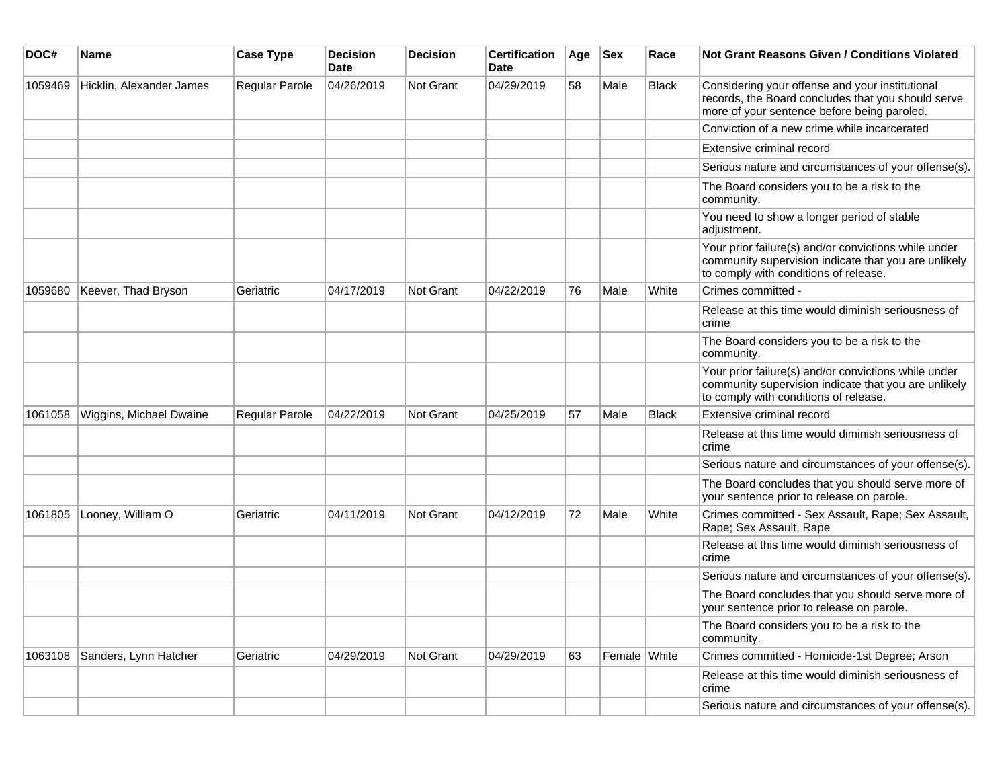| DOC#    | <b>Name</b>              | <b>Case Type</b>      | <b>Decision</b><br><b>Date</b> | Decision  | <b>Certification</b><br><b>Date</b> | Age | <b>Sex</b>   | Race         | <b>Not Grant Reasons Given / Conditions Violated</b>                                                                                                  |
|---------|--------------------------|-----------------------|--------------------------------|-----------|-------------------------------------|-----|--------------|--------------|-------------------------------------------------------------------------------------------------------------------------------------------------------|
| 1059469 | Hicklin, Alexander James | Regular Parole        | 04/26/2019                     | Not Grant | 04/29/2019                          | 58  | Male         | <b>Black</b> | Considering your offense and your institutional<br>records, the Board concludes that you should serve<br>more of your sentence before being paroled.  |
|         |                          |                       |                                |           |                                     |     |              |              | Conviction of a new crime while incarcerated                                                                                                          |
|         |                          |                       |                                |           |                                     |     |              |              | Extensive criminal record                                                                                                                             |
|         |                          |                       |                                |           |                                     |     |              |              | Serious nature and circumstances of your offense(s).                                                                                                  |
|         |                          |                       |                                |           |                                     |     |              |              | The Board considers you to be a risk to the<br>community.                                                                                             |
|         |                          |                       |                                |           |                                     |     |              |              | You need to show a longer period of stable<br>adjustment.                                                                                             |
|         |                          |                       |                                |           |                                     |     |              |              | Your prior failure(s) and/or convictions while under<br>community supervision indicate that you are unlikely<br>to comply with conditions of release. |
| 1059680 | Keever, Thad Bryson      | Geriatric             | 04/17/2019                     | Not Grant | 04/22/2019                          | 76  | Male         | White        | Crimes committed -                                                                                                                                    |
|         |                          |                       |                                |           |                                     |     |              |              | Release at this time would diminish seriousness of<br>crime                                                                                           |
|         |                          |                       |                                |           |                                     |     |              |              | The Board considers you to be a risk to the<br>community.                                                                                             |
|         |                          |                       |                                |           |                                     |     |              |              | Your prior failure(s) and/or convictions while under<br>community supervision indicate that you are unlikely<br>to comply with conditions of release. |
| 1061058 | Wiggins, Michael Dwaine  | <b>Regular Parole</b> | 04/22/2019                     | Not Grant | 04/25/2019                          | 57  | Male         | <b>Black</b> | Extensive criminal record                                                                                                                             |
|         |                          |                       |                                |           |                                     |     |              |              | Release at this time would diminish seriousness of<br>crime                                                                                           |
|         |                          |                       |                                |           |                                     |     |              |              | Serious nature and circumstances of your offense(s).                                                                                                  |
|         |                          |                       |                                |           |                                     |     |              |              | The Board concludes that you should serve more of<br>your sentence prior to release on parole.                                                        |
| 1061805 | Looney, William O        | Geriatric             | 04/11/2019                     | Not Grant | 04/12/2019                          | 72  | Male         | White        | Crimes committed - Sex Assault, Rape; Sex Assault,<br>Rape; Sex Assault, Rape                                                                         |
|         |                          |                       |                                |           |                                     |     |              |              | Release at this time would diminish seriousness of<br>crime                                                                                           |
|         |                          |                       |                                |           |                                     |     |              |              | Serious nature and circumstances of your offense(s).                                                                                                  |
|         |                          |                       |                                |           |                                     |     |              |              | The Board concludes that you should serve more of<br>your sentence prior to release on parole.                                                        |
|         |                          |                       |                                |           |                                     |     |              |              | The Board considers you to be a risk to the<br>community.                                                                                             |
| 1063108 | Sanders, Lynn Hatcher    | Geriatric             | 04/29/2019                     | Not Grant | 04/29/2019                          | 63  | Female White |              | Crimes committed - Homicide-1st Degree; Arson                                                                                                         |
|         |                          |                       |                                |           |                                     |     |              |              | Release at this time would diminish seriousness of<br>crime                                                                                           |
|         |                          |                       |                                |           |                                     |     |              |              | Serious nature and circumstances of your offense(s).                                                                                                  |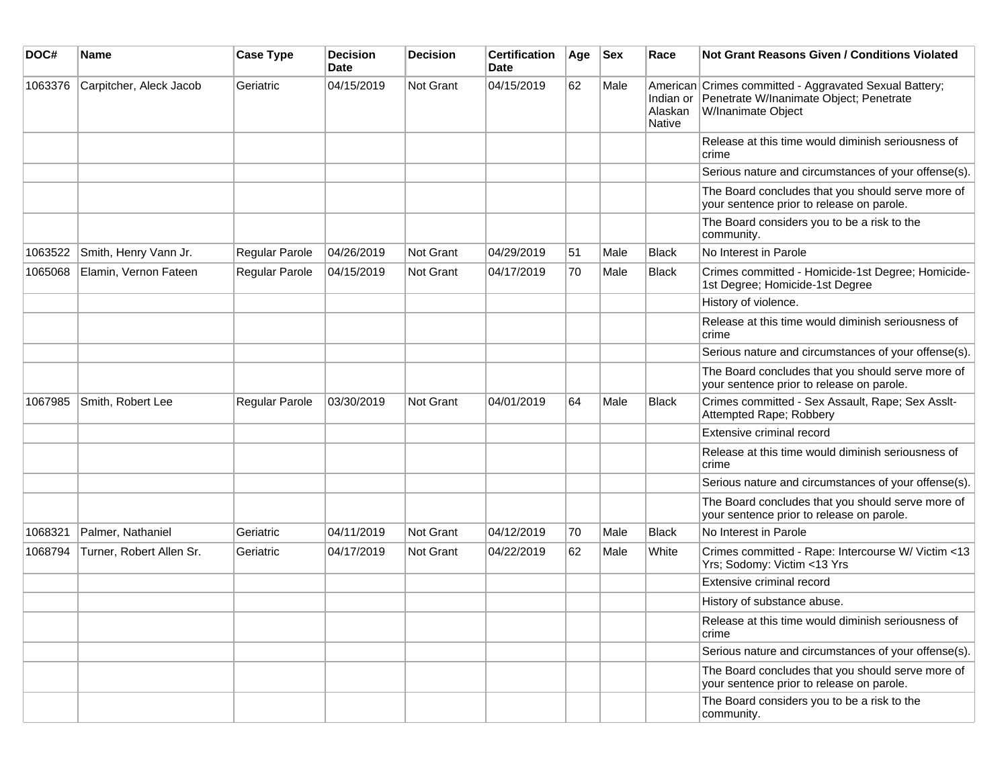| DOC#    | <b>Name</b>              | <b>Case Type</b> | <b>Decision</b><br><b>Date</b> | <b>Decision</b>  | <b>Certification</b><br>Date | Age | <b>Sex</b> | Race                                  | <b>Not Grant Reasons Given / Conditions Violated</b>                                                                    |
|---------|--------------------------|------------------|--------------------------------|------------------|------------------------------|-----|------------|---------------------------------------|-------------------------------------------------------------------------------------------------------------------------|
| 1063376 | Carpitcher, Aleck Jacob  | Geriatric        | 04/15/2019                     | <b>Not Grant</b> | 04/15/2019                   | 62  | Male       | Indian or<br>Alaskan<br><b>Native</b> | American Crimes committed - Aggravated Sexual Battery;<br>Penetrate W/Inanimate Object; Penetrate<br>W/Inanimate Object |
|         |                          |                  |                                |                  |                              |     |            |                                       | Release at this time would diminish seriousness of<br>crime                                                             |
|         |                          |                  |                                |                  |                              |     |            |                                       | Serious nature and circumstances of your offense(s).                                                                    |
|         |                          |                  |                                |                  |                              |     |            |                                       | The Board concludes that you should serve more of<br>your sentence prior to release on parole.                          |
|         |                          |                  |                                |                  |                              |     |            |                                       | The Board considers you to be a risk to the<br>community.                                                               |
| 1063522 | Smith, Henry Vann Jr.    | Regular Parole   | 04/26/2019                     | <b>Not Grant</b> | 04/29/2019                   | 51  | Male       | Black                                 | No Interest in Parole                                                                                                   |
| 1065068 | Elamin, Vernon Fateen    | Regular Parole   | 04/15/2019                     | Not Grant        | 04/17/2019                   | 70  | Male       | <b>Black</b>                          | Crimes committed - Homicide-1st Degree; Homicide-<br>1st Degree; Homicide-1st Degree                                    |
|         |                          |                  |                                |                  |                              |     |            |                                       | History of violence.                                                                                                    |
|         |                          |                  |                                |                  |                              |     |            |                                       | Release at this time would diminish seriousness of<br>crime                                                             |
|         |                          |                  |                                |                  |                              |     |            |                                       | Serious nature and circumstances of your offense(s).                                                                    |
|         |                          |                  |                                |                  |                              |     |            |                                       | The Board concludes that you should serve more of<br>your sentence prior to release on parole.                          |
| 1067985 | Smith, Robert Lee        | Regular Parole   | 03/30/2019                     | Not Grant        | 04/01/2019                   | 64  | Male       | <b>Black</b>                          | Crimes committed - Sex Assault, Rape; Sex Asslt-<br>Attempted Rape; Robbery                                             |
|         |                          |                  |                                |                  |                              |     |            |                                       | Extensive criminal record                                                                                               |
|         |                          |                  |                                |                  |                              |     |            |                                       | Release at this time would diminish seriousness of<br>crime                                                             |
|         |                          |                  |                                |                  |                              |     |            |                                       | Serious nature and circumstances of your offense(s).                                                                    |
|         |                          |                  |                                |                  |                              |     |            |                                       | The Board concludes that you should serve more of<br>your sentence prior to release on parole.                          |
| 1068321 | Palmer, Nathaniel        | Geriatric        | 04/11/2019                     | <b>Not Grant</b> | 04/12/2019                   | 70  | Male       | Black                                 | No Interest in Parole                                                                                                   |
| 1068794 | Turner, Robert Allen Sr. | Geriatric        | 04/17/2019                     | Not Grant        | 04/22/2019                   | 62  | Male       | White                                 | Crimes committed - Rape: Intercourse W/ Victim <13<br>Yrs; Sodomy: Victim <13 Yrs                                       |
|         |                          |                  |                                |                  |                              |     |            |                                       | Extensive criminal record                                                                                               |
|         |                          |                  |                                |                  |                              |     |            |                                       | History of substance abuse.                                                                                             |
|         |                          |                  |                                |                  |                              |     |            |                                       | Release at this time would diminish seriousness of<br>crime                                                             |
|         |                          |                  |                                |                  |                              |     |            |                                       | Serious nature and circumstances of your offense(s).                                                                    |
|         |                          |                  |                                |                  |                              |     |            |                                       | The Board concludes that you should serve more of<br>your sentence prior to release on parole.                          |
|         |                          |                  |                                |                  |                              |     |            |                                       | The Board considers you to be a risk to the<br>community.                                                               |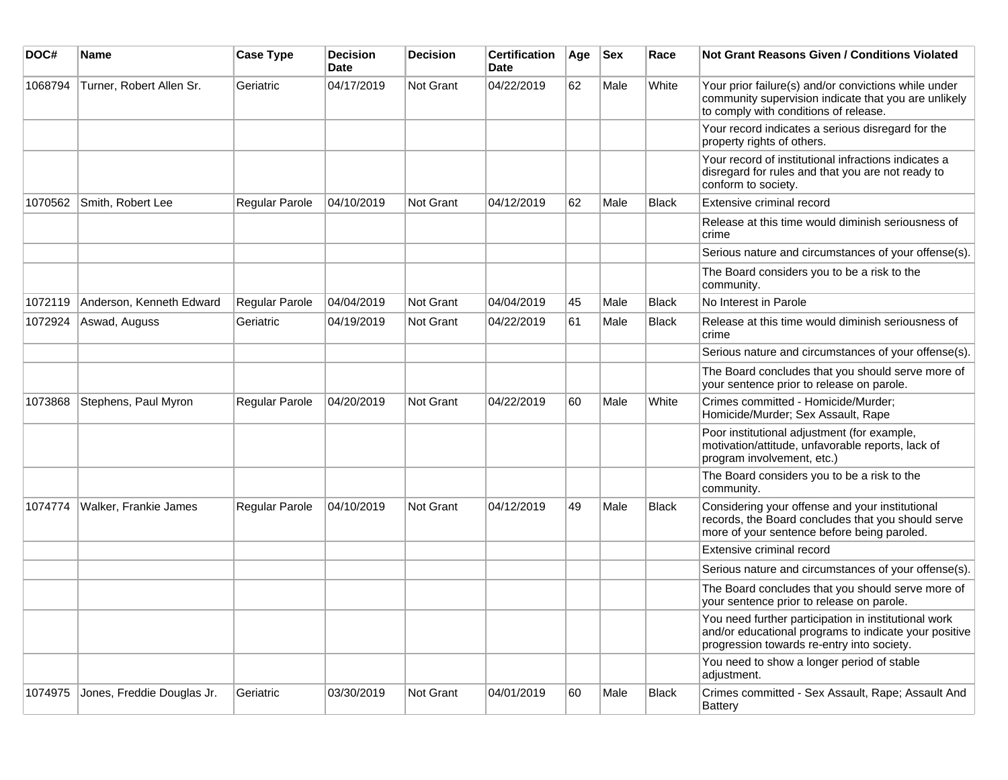| DOC#    | <b>Name</b>                | <b>Case Type</b>      | <b>Decision</b><br><b>Date</b> | Decision         | <b>Certification</b><br>Date | Age | <b>Sex</b> | Race         | Not Grant Reasons Given / Conditions Violated                                                                                                               |
|---------|----------------------------|-----------------------|--------------------------------|------------------|------------------------------|-----|------------|--------------|-------------------------------------------------------------------------------------------------------------------------------------------------------------|
| 1068794 | Turner, Robert Allen Sr.   | Geriatric             | 04/17/2019                     | Not Grant        | 04/22/2019                   | 62  | Male       | White        | Your prior failure(s) and/or convictions while under<br>community supervision indicate that you are unlikely<br>to comply with conditions of release.       |
|         |                            |                       |                                |                  |                              |     |            |              | Your record indicates a serious disregard for the<br>property rights of others.                                                                             |
|         |                            |                       |                                |                  |                              |     |            |              | Your record of institutional infractions indicates a<br>disregard for rules and that you are not ready to<br>conform to society.                            |
| 1070562 | Smith, Robert Lee          | Regular Parole        | 04/10/2019                     | Not Grant        | 04/12/2019                   | 62  | Male       | <b>Black</b> | Extensive criminal record                                                                                                                                   |
|         |                            |                       |                                |                  |                              |     |            |              | Release at this time would diminish seriousness of<br>crime                                                                                                 |
|         |                            |                       |                                |                  |                              |     |            |              | Serious nature and circumstances of your offense(s).                                                                                                        |
|         |                            |                       |                                |                  |                              |     |            |              | The Board considers you to be a risk to the<br>community.                                                                                                   |
| 1072119 | Anderson, Kenneth Edward   | Regular Parole        | 04/04/2019                     | Not Grant        | 04/04/2019                   | 45  | Male       | <b>Black</b> | No Interest in Parole                                                                                                                                       |
| 1072924 | Aswad, Auguss              | Geriatric             | 04/19/2019                     | <b>Not Grant</b> | 04/22/2019                   | 61  | Male       | <b>Black</b> | Release at this time would diminish seriousness of<br>crime                                                                                                 |
|         |                            |                       |                                |                  |                              |     |            |              | Serious nature and circumstances of your offense(s).                                                                                                        |
|         |                            |                       |                                |                  |                              |     |            |              | The Board concludes that you should serve more of<br>your sentence prior to release on parole.                                                              |
| 1073868 | Stephens, Paul Myron       | <b>Regular Parole</b> | 04/20/2019                     | Not Grant        | 04/22/2019                   | 60  | Male       | White        | Crimes committed - Homicide/Murder;<br>Homicide/Murder; Sex Assault, Rape                                                                                   |
|         |                            |                       |                                |                  |                              |     |            |              | Poor institutional adjustment (for example,<br>motivation/attitude, unfavorable reports, lack of<br>program involvement, etc.)                              |
|         |                            |                       |                                |                  |                              |     |            |              | The Board considers you to be a risk to the<br>community.                                                                                                   |
| 1074774 | Walker, Frankie James      | <b>Regular Parole</b> | 04/10/2019                     | Not Grant        | 04/12/2019                   | 49  | Male       | <b>Black</b> | Considering your offense and your institutional<br>records, the Board concludes that you should serve<br>more of your sentence before being paroled.        |
|         |                            |                       |                                |                  |                              |     |            |              | Extensive criminal record                                                                                                                                   |
|         |                            |                       |                                |                  |                              |     |            |              | Serious nature and circumstances of your offense(s).                                                                                                        |
|         |                            |                       |                                |                  |                              |     |            |              | The Board concludes that you should serve more of<br>your sentence prior to release on parole.                                                              |
|         |                            |                       |                                |                  |                              |     |            |              | You need further participation in institutional work<br>and/or educational programs to indicate your positive<br>progression towards re-entry into society. |
|         |                            |                       |                                |                  |                              |     |            |              | You need to show a longer period of stable<br>adjustment.                                                                                                   |
| 1074975 | Jones, Freddie Douglas Jr. | Geriatric             | 03/30/2019                     | Not Grant        | 04/01/2019                   | 60  | Male       | Black        | Crimes committed - Sex Assault, Rape; Assault And<br><b>Battery</b>                                                                                         |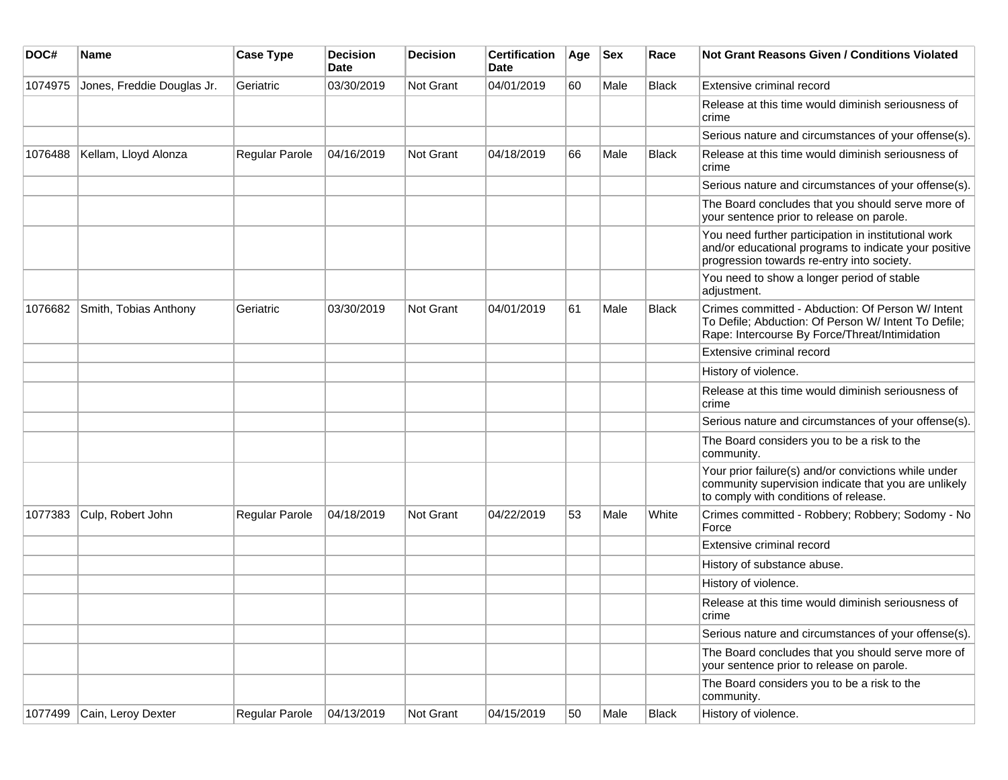| DOC#    | <b>Name</b>                | <b>Case Type</b> | <b>Decision</b><br><b>Date</b> | <b>Decision</b> | <b>Certification</b><br>Date | Age | <b>Sex</b> | Race         | <b>Not Grant Reasons Given / Conditions Violated</b>                                                                                                        |
|---------|----------------------------|------------------|--------------------------------|-----------------|------------------------------|-----|------------|--------------|-------------------------------------------------------------------------------------------------------------------------------------------------------------|
| 1074975 | Jones, Freddie Douglas Jr. | Geriatric        | 03/30/2019                     | Not Grant       | 04/01/2019                   | 60  | Male       | Black        | Extensive criminal record                                                                                                                                   |
|         |                            |                  |                                |                 |                              |     |            |              | Release at this time would diminish seriousness of<br>crime                                                                                                 |
|         |                            |                  |                                |                 |                              |     |            |              | Serious nature and circumstances of your offense(s).                                                                                                        |
| 1076488 | Kellam, Lloyd Alonza       | Regular Parole   | 04/16/2019                     | Not Grant       | 04/18/2019                   | 66  | Male       | <b>Black</b> | Release at this time would diminish seriousness of<br>crime                                                                                                 |
|         |                            |                  |                                |                 |                              |     |            |              | Serious nature and circumstances of your offense(s).                                                                                                        |
|         |                            |                  |                                |                 |                              |     |            |              | The Board concludes that you should serve more of<br>your sentence prior to release on parole.                                                              |
|         |                            |                  |                                |                 |                              |     |            |              | You need further participation in institutional work<br>and/or educational programs to indicate your positive<br>progression towards re-entry into society. |
|         |                            |                  |                                |                 |                              |     |            |              | You need to show a longer period of stable<br>adjustment.                                                                                                   |
| 1076682 | Smith, Tobias Anthony      | Geriatric        | 03/30/2019                     | Not Grant       | 04/01/2019                   | 61  | Male       | <b>Black</b> | Crimes committed - Abduction: Of Person W/ Intent<br>To Defile; Abduction: Of Person W/ Intent To Defile;<br>Rape: Intercourse By Force/Threat/Intimidation |
|         |                            |                  |                                |                 |                              |     |            |              | Extensive criminal record                                                                                                                                   |
|         |                            |                  |                                |                 |                              |     |            |              | History of violence.                                                                                                                                        |
|         |                            |                  |                                |                 |                              |     |            |              | Release at this time would diminish seriousness of<br>crime                                                                                                 |
|         |                            |                  |                                |                 |                              |     |            |              | Serious nature and circumstances of your offense(s).                                                                                                        |
|         |                            |                  |                                |                 |                              |     |            |              | The Board considers you to be a risk to the<br>community.                                                                                                   |
|         |                            |                  |                                |                 |                              |     |            |              | Your prior failure(s) and/or convictions while under<br>community supervision indicate that you are unlikely<br>to comply with conditions of release.       |
| 1077383 | Culp, Robert John          | Regular Parole   | 04/18/2019                     | Not Grant       | 04/22/2019                   | 53  | Male       | White        | Crimes committed - Robbery; Robbery; Sodomy - No<br>Force                                                                                                   |
|         |                            |                  |                                |                 |                              |     |            |              | Extensive criminal record                                                                                                                                   |
|         |                            |                  |                                |                 |                              |     |            |              | History of substance abuse.                                                                                                                                 |
|         |                            |                  |                                |                 |                              |     |            |              | History of violence.                                                                                                                                        |
|         |                            |                  |                                |                 |                              |     |            |              | Release at this time would diminish seriousness of<br>crime                                                                                                 |
|         |                            |                  |                                |                 |                              |     |            |              | Serious nature and circumstances of your offense(s).                                                                                                        |
|         |                            |                  |                                |                 |                              |     |            |              | The Board concludes that you should serve more of<br>your sentence prior to release on parole.                                                              |
|         |                            |                  |                                |                 |                              |     |            |              | The Board considers you to be a risk to the<br>community.                                                                                                   |
| 1077499 | Cain, Leroy Dexter         | Regular Parole   | 04/13/2019                     | Not Grant       | 04/15/2019                   | 50  | Male       | <b>Black</b> | History of violence.                                                                                                                                        |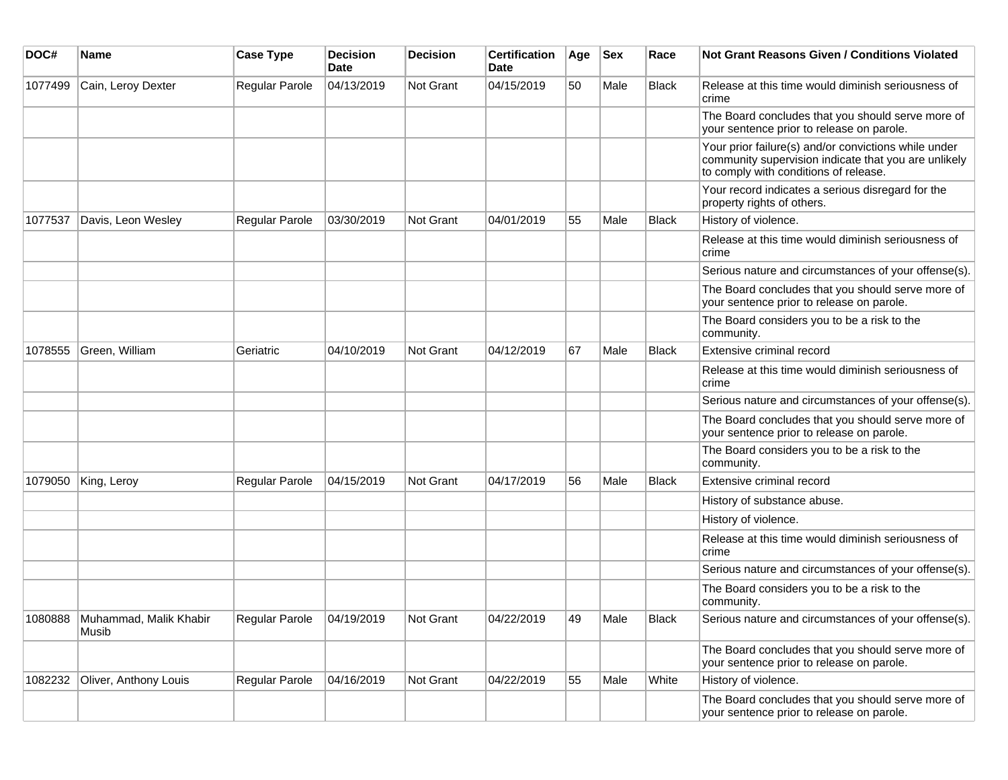| DOC#    | Name                            | <b>Case Type</b> | <b>Decision</b><br><b>Date</b> | <b>Decision</b> | <b>Certification</b><br>Date | Age | <b>Sex</b> | Race         | <b>Not Grant Reasons Given / Conditions Violated</b>                                                                                                  |
|---------|---------------------------------|------------------|--------------------------------|-----------------|------------------------------|-----|------------|--------------|-------------------------------------------------------------------------------------------------------------------------------------------------------|
| 1077499 | Cain, Leroy Dexter              | Regular Parole   | 04/13/2019                     | Not Grant       | 04/15/2019                   | 50  | Male       | <b>Black</b> | Release at this time would diminish seriousness of<br>crime                                                                                           |
|         |                                 |                  |                                |                 |                              |     |            |              | The Board concludes that you should serve more of<br>your sentence prior to release on parole.                                                        |
|         |                                 |                  |                                |                 |                              |     |            |              | Your prior failure(s) and/or convictions while under<br>community supervision indicate that you are unlikely<br>to comply with conditions of release. |
|         |                                 |                  |                                |                 |                              |     |            |              | Your record indicates a serious disregard for the<br>property rights of others.                                                                       |
| 1077537 | Davis, Leon Wesley              | Regular Parole   | 03/30/2019                     | Not Grant       | 04/01/2019                   | 55  | Male       | <b>Black</b> | History of violence.                                                                                                                                  |
|         |                                 |                  |                                |                 |                              |     |            |              | Release at this time would diminish seriousness of<br>crime                                                                                           |
|         |                                 |                  |                                |                 |                              |     |            |              | Serious nature and circumstances of your offense(s).                                                                                                  |
|         |                                 |                  |                                |                 |                              |     |            |              | The Board concludes that you should serve more of<br>your sentence prior to release on parole.                                                        |
|         |                                 |                  |                                |                 |                              |     |            |              | The Board considers you to be a risk to the<br>community.                                                                                             |
| 1078555 | Green, William                  | Geriatric        | 04/10/2019                     | Not Grant       | 04/12/2019                   | 67  | Male       | Black        | Extensive criminal record                                                                                                                             |
|         |                                 |                  |                                |                 |                              |     |            |              | Release at this time would diminish seriousness of<br>crime                                                                                           |
|         |                                 |                  |                                |                 |                              |     |            |              | Serious nature and circumstances of your offense(s).                                                                                                  |
|         |                                 |                  |                                |                 |                              |     |            |              | The Board concludes that you should serve more of<br>your sentence prior to release on parole.                                                        |
|         |                                 |                  |                                |                 |                              |     |            |              | The Board considers you to be a risk to the<br>community.                                                                                             |
| 1079050 | King, Leroy                     | Regular Parole   | 04/15/2019                     | Not Grant       | 04/17/2019                   | 56  | Male       | <b>Black</b> | Extensive criminal record                                                                                                                             |
|         |                                 |                  |                                |                 |                              |     |            |              | History of substance abuse.                                                                                                                           |
|         |                                 |                  |                                |                 |                              |     |            |              | History of violence.                                                                                                                                  |
|         |                                 |                  |                                |                 |                              |     |            |              | Release at this time would diminish seriousness of<br>crime                                                                                           |
|         |                                 |                  |                                |                 |                              |     |            |              | Serious nature and circumstances of your offense(s).                                                                                                  |
|         |                                 |                  |                                |                 |                              |     |            |              | The Board considers you to be a risk to the<br>community.                                                                                             |
| 1080888 | Muhammad, Malik Khabir<br>Musib | Regular Parole   | 04/19/2019                     | ∣Not Grant      | 04/22/2019                   | 49  | Male       | Black        | Serious nature and circumstances of your offense(s).                                                                                                  |
|         |                                 |                  |                                |                 |                              |     |            |              | The Board concludes that you should serve more of<br>your sentence prior to release on parole.                                                        |
| 1082232 | Oliver, Anthony Louis           | Regular Parole   | 04/16/2019                     | Not Grant       | 04/22/2019                   | 55  | Male       | White        | History of violence.                                                                                                                                  |
|         |                                 |                  |                                |                 |                              |     |            |              | The Board concludes that you should serve more of<br>your sentence prior to release on parole.                                                        |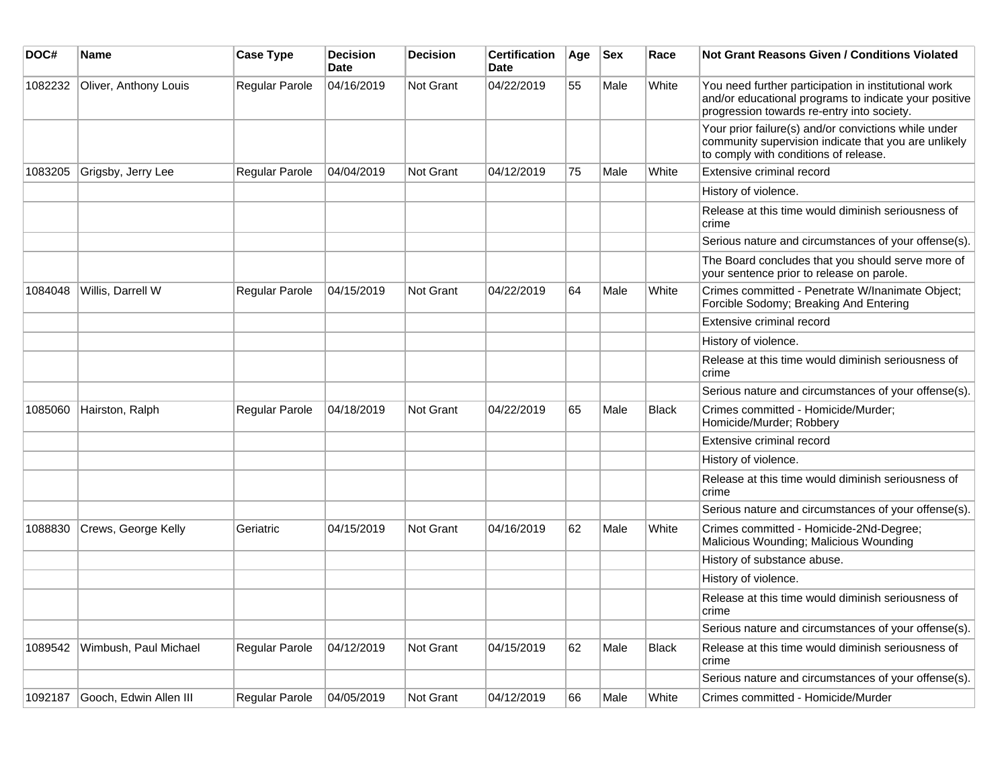| DOC#    | <b>Name</b>            | <b>Case Type</b>      | <b>Decision</b><br><b>Date</b> | <b>Decision</b>  | <b>Certification</b><br><b>Date</b> | Age | <b>Sex</b> | Race         | Not Grant Reasons Given / Conditions Violated                                                                                                               |
|---------|------------------------|-----------------------|--------------------------------|------------------|-------------------------------------|-----|------------|--------------|-------------------------------------------------------------------------------------------------------------------------------------------------------------|
| 1082232 | Oliver, Anthony Louis  | <b>Regular Parole</b> | 04/16/2019                     | Not Grant        | 04/22/2019                          | 55  | Male       | White        | You need further participation in institutional work<br>and/or educational programs to indicate your positive<br>progression towards re-entry into society. |
|         |                        |                       |                                |                  |                                     |     |            |              | Your prior failure(s) and/or convictions while under<br>community supervision indicate that you are unlikely<br>to comply with conditions of release.       |
| 1083205 | Grigsby, Jerry Lee     | <b>Regular Parole</b> | 04/04/2019                     | Not Grant        | 04/12/2019                          | 75  | Male       | White        | Extensive criminal record                                                                                                                                   |
|         |                        |                       |                                |                  |                                     |     |            |              | History of violence.                                                                                                                                        |
|         |                        |                       |                                |                  |                                     |     |            |              | Release at this time would diminish seriousness of<br>crime                                                                                                 |
|         |                        |                       |                                |                  |                                     |     |            |              | Serious nature and circumstances of your offense(s).                                                                                                        |
|         |                        |                       |                                |                  |                                     |     |            |              | The Board concludes that you should serve more of<br>your sentence prior to release on parole.                                                              |
| 1084048 | Willis, Darrell W      | Regular Parole        | 04/15/2019                     | Not Grant        | 04/22/2019                          | 64  | Male       | White        | Crimes committed - Penetrate W/Inanimate Object;<br>Forcible Sodomy; Breaking And Entering                                                                  |
|         |                        |                       |                                |                  |                                     |     |            |              | Extensive criminal record                                                                                                                                   |
|         |                        |                       |                                |                  |                                     |     |            |              | History of violence.                                                                                                                                        |
|         |                        |                       |                                |                  |                                     |     |            |              | Release at this time would diminish seriousness of<br>crime                                                                                                 |
|         |                        |                       |                                |                  |                                     |     |            |              | Serious nature and circumstances of your offense(s).                                                                                                        |
| 1085060 | Hairston, Ralph        | <b>Regular Parole</b> | 04/18/2019                     | <b>Not Grant</b> | 04/22/2019                          | 65  | Male       | <b>Black</b> | Crimes committed - Homicide/Murder;<br>Homicide/Murder; Robbery                                                                                             |
|         |                        |                       |                                |                  |                                     |     |            |              | Extensive criminal record                                                                                                                                   |
|         |                        |                       |                                |                  |                                     |     |            |              | History of violence.                                                                                                                                        |
|         |                        |                       |                                |                  |                                     |     |            |              | Release at this time would diminish seriousness of<br>crime                                                                                                 |
|         |                        |                       |                                |                  |                                     |     |            |              | Serious nature and circumstances of your offense(s).                                                                                                        |
| 1088830 | Crews, George Kelly    | Geriatric             | 04/15/2019                     | <b>Not Grant</b> | 04/16/2019                          | 62  | Male       | White        | Crimes committed - Homicide-2Nd-Degree;<br>Malicious Wounding; Malicious Wounding                                                                           |
|         |                        |                       |                                |                  |                                     |     |            |              | History of substance abuse.                                                                                                                                 |
|         |                        |                       |                                |                  |                                     |     |            |              | History of violence.                                                                                                                                        |
|         |                        |                       |                                |                  |                                     |     |            |              | Release at this time would diminish seriousness of<br>crime                                                                                                 |
|         |                        |                       |                                |                  |                                     |     |            |              | Serious nature and circumstances of your offense(s).                                                                                                        |
| 1089542 | Wimbush, Paul Michael  | Regular Parole        | 04/12/2019                     | <b>Not Grant</b> | 04/15/2019                          | 62  | Male       | <b>Black</b> | Release at this time would diminish seriousness of<br>crime                                                                                                 |
|         |                        |                       |                                |                  |                                     |     |            |              | Serious nature and circumstances of your offense(s).                                                                                                        |
| 1092187 | Gooch, Edwin Allen III | <b>Regular Parole</b> | 04/05/2019                     | Not Grant        | 04/12/2019                          | 66  | Male       | White        | Crimes committed - Homicide/Murder                                                                                                                          |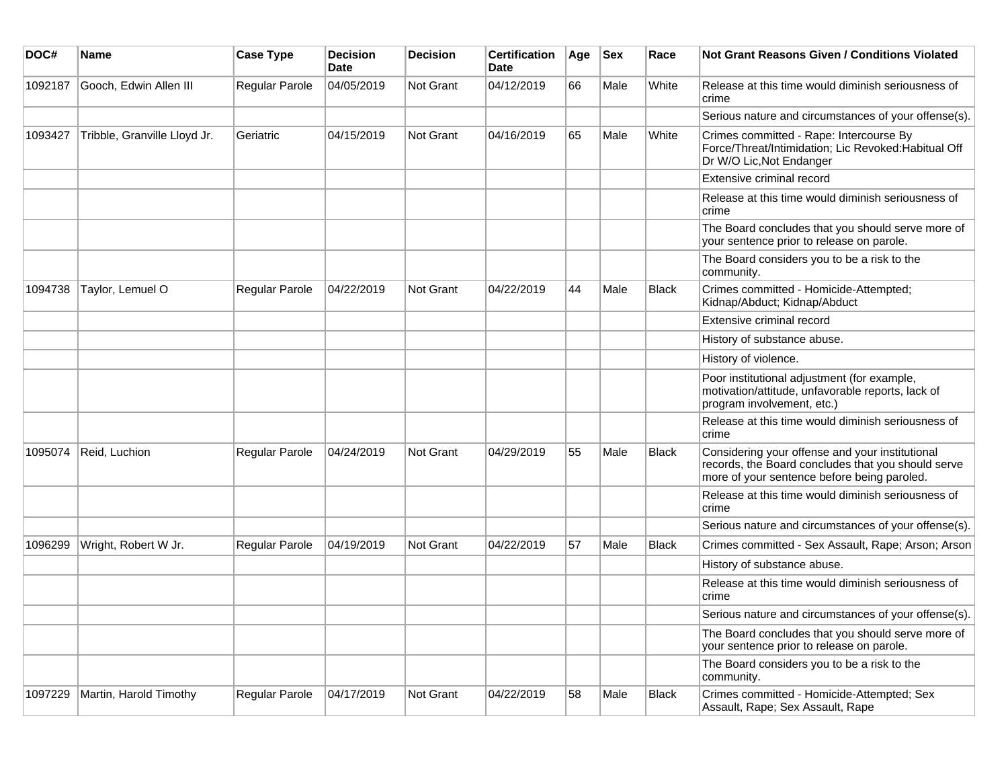| DOC#    | <b>Name</b>                  | <b>Case Type</b> | <b>Decision</b><br><b>Date</b> | <b>Decision</b>  | <b>Certification</b><br>Date | Age | <b>Sex</b> | Race         | <b>Not Grant Reasons Given / Conditions Violated</b>                                                                                                 |
|---------|------------------------------|------------------|--------------------------------|------------------|------------------------------|-----|------------|--------------|------------------------------------------------------------------------------------------------------------------------------------------------------|
| 1092187 | Gooch, Edwin Allen III       | Regular Parole   | 04/05/2019                     | Not Grant        | 04/12/2019                   | 66  | Male       | White        | Release at this time would diminish seriousness of<br>crime                                                                                          |
|         |                              |                  |                                |                  |                              |     |            |              | Serious nature and circumstances of your offense(s).                                                                                                 |
| 1093427 | Tribble, Granville Lloyd Jr. | Geriatric        | 04/15/2019                     | <b>Not Grant</b> | 04/16/2019                   | 65  | Male       | White        | Crimes committed - Rape: Intercourse By<br>Force/Threat/Intimidation; Lic Revoked: Habitual Off<br>Dr W/O Lic, Not Endanger                          |
|         |                              |                  |                                |                  |                              |     |            |              | Extensive criminal record                                                                                                                            |
|         |                              |                  |                                |                  |                              |     |            |              | Release at this time would diminish seriousness of<br>crime                                                                                          |
|         |                              |                  |                                |                  |                              |     |            |              | The Board concludes that you should serve more of<br>your sentence prior to release on parole.                                                       |
|         |                              |                  |                                |                  |                              |     |            |              | The Board considers you to be a risk to the<br>community.                                                                                            |
| 1094738 | Taylor, Lemuel O             | Regular Parole   | 04/22/2019                     | <b>Not Grant</b> | 04/22/2019                   | 44  | Male       | Black        | Crimes committed - Homicide-Attempted;<br>Kidnap/Abduct; Kidnap/Abduct                                                                               |
|         |                              |                  |                                |                  |                              |     |            |              | Extensive criminal record                                                                                                                            |
|         |                              |                  |                                |                  |                              |     |            |              | History of substance abuse.                                                                                                                          |
|         |                              |                  |                                |                  |                              |     |            |              | History of violence.                                                                                                                                 |
|         |                              |                  |                                |                  |                              |     |            |              | Poor institutional adjustment (for example,<br>motivation/attitude, unfavorable reports, lack of<br>program involvement, etc.)                       |
|         |                              |                  |                                |                  |                              |     |            |              | Release at this time would diminish seriousness of<br>crime                                                                                          |
| 1095074 | Reid, Luchion                | Regular Parole   | 04/24/2019                     | Not Grant        | 04/29/2019                   | 55  | Male       | Black        | Considering your offense and your institutional<br>records, the Board concludes that you should serve<br>more of your sentence before being paroled. |
|         |                              |                  |                                |                  |                              |     |            |              | Release at this time would diminish seriousness of<br>crime                                                                                          |
|         |                              |                  |                                |                  |                              |     |            |              | Serious nature and circumstances of your offense(s).                                                                                                 |
| 1096299 | Wright, Robert W Jr.         | Regular Parole   | 04/19/2019                     | <b>Not Grant</b> | 04/22/2019                   | 57  | Male       | <b>Black</b> | Crimes committed - Sex Assault, Rape; Arson; Arson                                                                                                   |
|         |                              |                  |                                |                  |                              |     |            |              | History of substance abuse.                                                                                                                          |
|         |                              |                  |                                |                  |                              |     |            |              | Release at this time would diminish seriousness of<br>crime                                                                                          |
|         |                              |                  |                                |                  |                              |     |            |              | Serious nature and circumstances of your offense(s).                                                                                                 |
|         |                              |                  |                                |                  |                              |     |            |              | The Board concludes that you should serve more of<br>your sentence prior to release on parole.                                                       |
|         |                              |                  |                                |                  |                              |     |            |              | The Board considers you to be a risk to the<br>community.                                                                                            |
| 1097229 | Martin, Harold Timothy       | Regular Parole   | 04/17/2019                     | Not Grant        | 04/22/2019                   | 58  | Male       | <b>Black</b> | Crimes committed - Homicide-Attempted; Sex<br>Assault, Rape; Sex Assault, Rape                                                                       |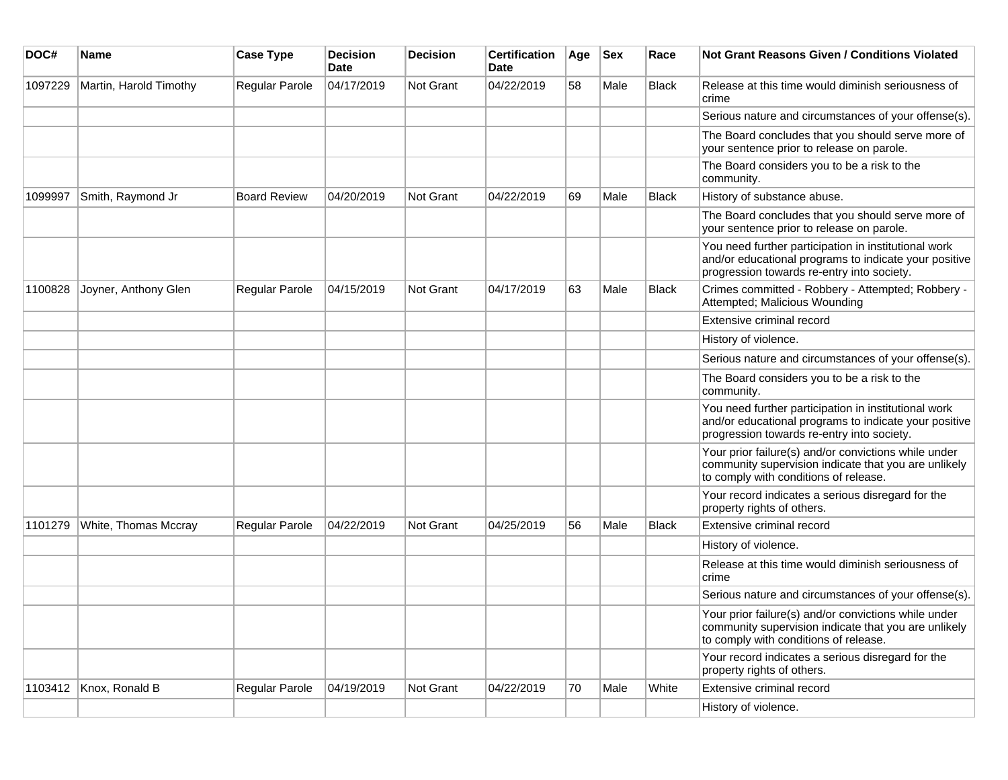| DOC#    | Name                   | <b>Case Type</b>    | <b>Decision</b><br>Date | <b>Decision</b>  | <b>Certification</b><br>Date | Age | <b>Sex</b> | Race         | Not Grant Reasons Given / Conditions Violated                                                                                                               |
|---------|------------------------|---------------------|-------------------------|------------------|------------------------------|-----|------------|--------------|-------------------------------------------------------------------------------------------------------------------------------------------------------------|
| 1097229 | Martin, Harold Timothy | Regular Parole      | 04/17/2019              | Not Grant        | 04/22/2019                   | 58  | Male       | <b>Black</b> | Release at this time would diminish seriousness of<br>crime                                                                                                 |
|         |                        |                     |                         |                  |                              |     |            |              | Serious nature and circumstances of your offense(s).                                                                                                        |
|         |                        |                     |                         |                  |                              |     |            |              | The Board concludes that you should serve more of<br>your sentence prior to release on parole.                                                              |
|         |                        |                     |                         |                  |                              |     |            |              | The Board considers you to be a risk to the<br>community.                                                                                                   |
| 1099997 | Smith, Raymond Jr      | <b>Board Review</b> | 04/20/2019              | Not Grant        | 04/22/2019                   | 69  | Male       | <b>Black</b> | History of substance abuse.                                                                                                                                 |
|         |                        |                     |                         |                  |                              |     |            |              | The Board concludes that you should serve more of<br>your sentence prior to release on parole.                                                              |
|         |                        |                     |                         |                  |                              |     |            |              | You need further participation in institutional work<br>and/or educational programs to indicate your positive<br>progression towards re-entry into society. |
| 1100828 | Joyner, Anthony Glen   | Regular Parole      | 04/15/2019              | Not Grant        | 04/17/2019                   | 63  | Male       | <b>Black</b> | Crimes committed - Robbery - Attempted; Robbery -<br>Attempted; Malicious Wounding                                                                          |
|         |                        |                     |                         |                  |                              |     |            |              | Extensive criminal record                                                                                                                                   |
|         |                        |                     |                         |                  |                              |     |            |              | History of violence.                                                                                                                                        |
|         |                        |                     |                         |                  |                              |     |            |              | Serious nature and circumstances of your offense(s).                                                                                                        |
|         |                        |                     |                         |                  |                              |     |            |              | The Board considers you to be a risk to the<br>community.                                                                                                   |
|         |                        |                     |                         |                  |                              |     |            |              | You need further participation in institutional work<br>and/or educational programs to indicate your positive<br>progression towards re-entry into society. |
|         |                        |                     |                         |                  |                              |     |            |              | Your prior failure(s) and/or convictions while under<br>community supervision indicate that you are unlikely<br>to comply with conditions of release.       |
|         |                        |                     |                         |                  |                              |     |            |              | Your record indicates a serious disregard for the<br>property rights of others.                                                                             |
| 1101279 | White, Thomas Mccray   | Regular Parole      | 04/22/2019              | <b>Not Grant</b> | 04/25/2019                   | 56  | Male       | Black        | Extensive criminal record                                                                                                                                   |
|         |                        |                     |                         |                  |                              |     |            |              | History of violence.                                                                                                                                        |
|         |                        |                     |                         |                  |                              |     |            |              | Release at this time would diminish seriousness of<br>crime                                                                                                 |
|         |                        |                     |                         |                  |                              |     |            |              | Serious nature and circumstances of your offense(s).                                                                                                        |
|         |                        |                     |                         |                  |                              |     |            |              | Your prior failure(s) and/or convictions while under<br>community supervision indicate that you are unlikely<br>to comply with conditions of release.       |
|         |                        |                     |                         |                  |                              |     |            |              | Your record indicates a serious disregard for the<br>property rights of others.                                                                             |
|         | 1103412 Knox, Ronald B | Regular Parole      | 04/19/2019              | Not Grant        | 04/22/2019                   | 70  | Male       | White        | Extensive criminal record                                                                                                                                   |
|         |                        |                     |                         |                  |                              |     |            |              | History of violence.                                                                                                                                        |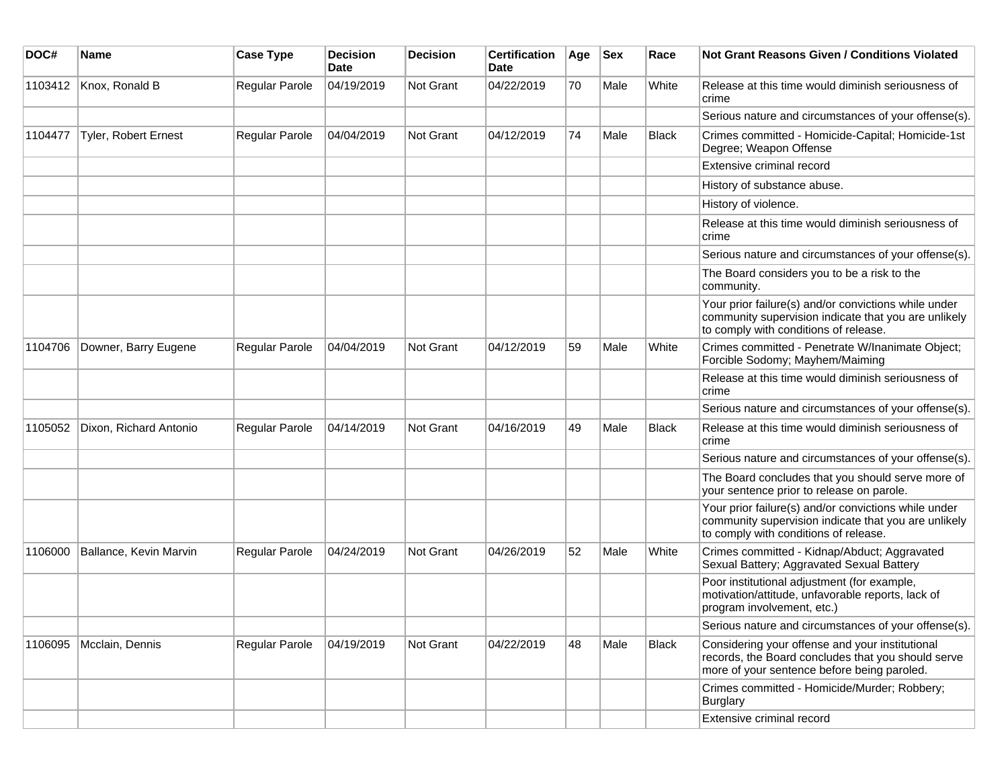| DOC#    | <b>Name</b>            | <b>Case Type</b> | <b>Decision</b><br><b>Date</b> | <b>Decision</b>  | <b>Certification</b><br>Date | Age | <b>Sex</b> | Race         | <b>Not Grant Reasons Given / Conditions Violated</b>                                                                                                  |
|---------|------------------------|------------------|--------------------------------|------------------|------------------------------|-----|------------|--------------|-------------------------------------------------------------------------------------------------------------------------------------------------------|
| 1103412 | Knox, Ronald B         | Regular Parole   | 04/19/2019                     | <b>Not Grant</b> | 04/22/2019                   | 70  | Male       | White        | Release at this time would diminish seriousness of<br>crime                                                                                           |
|         |                        |                  |                                |                  |                              |     |            |              | Serious nature and circumstances of your offense(s).                                                                                                  |
| 1104477 | Tyler, Robert Ernest   | Regular Parole   | 04/04/2019                     | <b>Not Grant</b> | 04/12/2019                   | 74  | Male       | <b>Black</b> | Crimes committed - Homicide-Capital; Homicide-1st<br>Degree; Weapon Offense                                                                           |
|         |                        |                  |                                |                  |                              |     |            |              | Extensive criminal record                                                                                                                             |
|         |                        |                  |                                |                  |                              |     |            |              | History of substance abuse.                                                                                                                           |
|         |                        |                  |                                |                  |                              |     |            |              | History of violence.                                                                                                                                  |
|         |                        |                  |                                |                  |                              |     |            |              | Release at this time would diminish seriousness of<br>crime                                                                                           |
|         |                        |                  |                                |                  |                              |     |            |              | Serious nature and circumstances of your offense(s).                                                                                                  |
|         |                        |                  |                                |                  |                              |     |            |              | The Board considers you to be a risk to the<br>community.                                                                                             |
|         |                        |                  |                                |                  |                              |     |            |              | Your prior failure(s) and/or convictions while under<br>community supervision indicate that you are unlikely<br>to comply with conditions of release. |
| 1104706 | Downer, Barry Eugene   | Regular Parole   | 04/04/2019                     | Not Grant        | 04/12/2019                   | 59  | Male       | White        | Crimes committed - Penetrate W/Inanimate Object;<br>Forcible Sodomy; Mayhem/Maiming                                                                   |
|         |                        |                  |                                |                  |                              |     |            |              | Release at this time would diminish seriousness of<br>crime                                                                                           |
|         |                        |                  |                                |                  |                              |     |            |              | Serious nature and circumstances of your offense(s).                                                                                                  |
| 1105052 | Dixon, Richard Antonio | Regular Parole   | 04/14/2019                     | Not Grant        | 04/16/2019                   | 49  | Male       | Black        | Release at this time would diminish seriousness of<br>crime                                                                                           |
|         |                        |                  |                                |                  |                              |     |            |              | Serious nature and circumstances of your offense(s).                                                                                                  |
|         |                        |                  |                                |                  |                              |     |            |              | The Board concludes that you should serve more of<br>your sentence prior to release on parole.                                                        |
|         |                        |                  |                                |                  |                              |     |            |              | Your prior failure(s) and/or convictions while under<br>community supervision indicate that you are unlikely<br>to comply with conditions of release. |
| 1106000 | Ballance, Kevin Marvin | Regular Parole   | 04/24/2019                     | <b>Not Grant</b> | 04/26/2019                   | 52  | Male       | White        | Crimes committed - Kidnap/Abduct; Aggravated<br>Sexual Battery; Aggravated Sexual Battery                                                             |
|         |                        |                  |                                |                  |                              |     |            |              | Poor institutional adjustment (for example,<br>motivation/attitude, unfavorable reports, lack of<br>program involvement, etc.)                        |
|         |                        |                  |                                |                  |                              |     |            |              | Serious nature and circumstances of your offense(s).                                                                                                  |
| 1106095 | Mcclain, Dennis        | Regular Parole   | 04/19/2019                     | Not Grant        | 04/22/2019                   | 48  | Male       | Black        | Considering your offense and your institutional<br>records, the Board concludes that you should serve<br>more of your sentence before being paroled.  |
|         |                        |                  |                                |                  |                              |     |            |              | Crimes committed - Homicide/Murder; Robbery;<br>Burglary                                                                                              |
|         |                        |                  |                                |                  |                              |     |            |              | Extensive criminal record                                                                                                                             |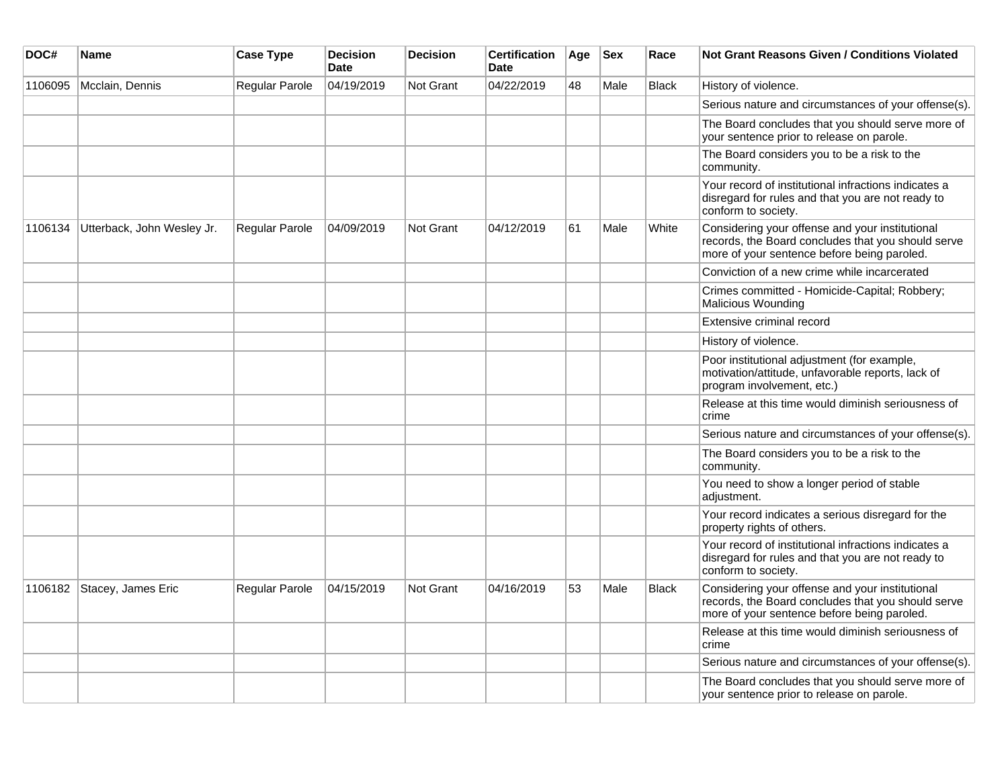| DOC#    | Name                       | <b>Case Type</b> | <b>Decision</b><br><b>Date</b> | <b>Decision</b> | <b>Certification</b><br><b>Date</b> | Age | <b>Sex</b> | Race         | Not Grant Reasons Given / Conditions Violated                                                                                                        |
|---------|----------------------------|------------------|--------------------------------|-----------------|-------------------------------------|-----|------------|--------------|------------------------------------------------------------------------------------------------------------------------------------------------------|
| 1106095 | Mcclain, Dennis            | Regular Parole   | 04/19/2019                     | Not Grant       | 04/22/2019                          | 48  | Male       | <b>Black</b> | History of violence.                                                                                                                                 |
|         |                            |                  |                                |                 |                                     |     |            |              | Serious nature and circumstances of your offense(s).                                                                                                 |
|         |                            |                  |                                |                 |                                     |     |            |              | The Board concludes that you should serve more of<br>your sentence prior to release on parole.                                                       |
|         |                            |                  |                                |                 |                                     |     |            |              | The Board considers you to be a risk to the<br>community.                                                                                            |
|         |                            |                  |                                |                 |                                     |     |            |              | Your record of institutional infractions indicates a<br>disregard for rules and that you are not ready to<br>conform to society.                     |
| 1106134 | Utterback, John Wesley Jr. | Regular Parole   | 04/09/2019                     | Not Grant       | 04/12/2019                          | 61  | Male       | White        | Considering your offense and your institutional<br>records, the Board concludes that you should serve<br>more of your sentence before being paroled. |
|         |                            |                  |                                |                 |                                     |     |            |              | Conviction of a new crime while incarcerated                                                                                                         |
|         |                            |                  |                                |                 |                                     |     |            |              | Crimes committed - Homicide-Capital; Robbery;<br>Malicious Wounding                                                                                  |
|         |                            |                  |                                |                 |                                     |     |            |              | Extensive criminal record                                                                                                                            |
|         |                            |                  |                                |                 |                                     |     |            |              | History of violence.                                                                                                                                 |
|         |                            |                  |                                |                 |                                     |     |            |              | Poor institutional adjustment (for example,<br>motivation/attitude, unfavorable reports, lack of<br>program involvement, etc.)                       |
|         |                            |                  |                                |                 |                                     |     |            |              | Release at this time would diminish seriousness of<br>crime                                                                                          |
|         |                            |                  |                                |                 |                                     |     |            |              | Serious nature and circumstances of your offense(s).                                                                                                 |
|         |                            |                  |                                |                 |                                     |     |            |              | The Board considers you to be a risk to the<br>community.                                                                                            |
|         |                            |                  |                                |                 |                                     |     |            |              | You need to show a longer period of stable<br>adjustment.                                                                                            |
|         |                            |                  |                                |                 |                                     |     |            |              | Your record indicates a serious disregard for the<br>property rights of others.                                                                      |
|         |                            |                  |                                |                 |                                     |     |            |              | Your record of institutional infractions indicates a<br>disregard for rules and that you are not ready to<br>conform to society.                     |
| 1106182 | Stacey, James Eric         | Regular Parole   | 04/15/2019                     | Not Grant       | 04/16/2019                          | 53  | Male       | <b>Black</b> | Considering your offense and your institutional<br>records, the Board concludes that you should serve<br>more of your sentence before being paroled. |
|         |                            |                  |                                |                 |                                     |     |            |              | Release at this time would diminish seriousness of<br>crime                                                                                          |
|         |                            |                  |                                |                 |                                     |     |            |              | Serious nature and circumstances of your offense(s).                                                                                                 |
|         |                            |                  |                                |                 |                                     |     |            |              | The Board concludes that you should serve more of<br>your sentence prior to release on parole.                                                       |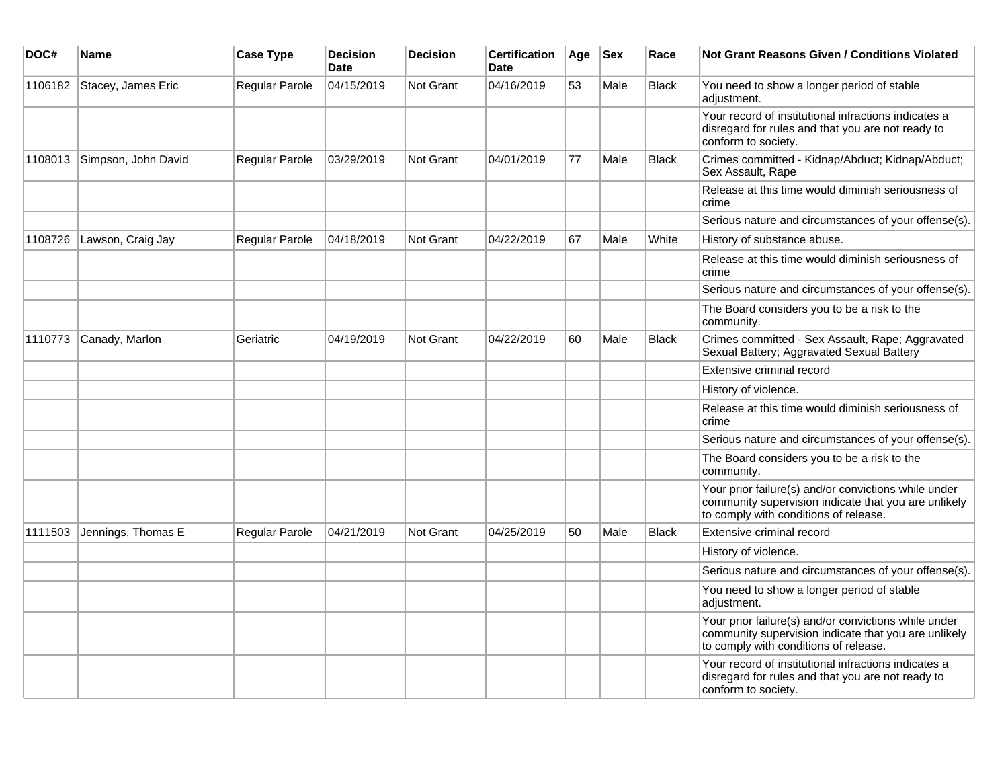| DOC#    | <b>Name</b>         | <b>Case Type</b> | <b>Decision</b><br><b>Date</b> | <b>Decision</b>  | <b>Certification</b><br><b>Date</b> | Age | <b>Sex</b> | Race         | <b>Not Grant Reasons Given / Conditions Violated</b>                                                                                                  |
|---------|---------------------|------------------|--------------------------------|------------------|-------------------------------------|-----|------------|--------------|-------------------------------------------------------------------------------------------------------------------------------------------------------|
| 1106182 | Stacey, James Eric  | Regular Parole   | 04/15/2019                     | Not Grant        | 04/16/2019                          | 53  | Male       | <b>Black</b> | You need to show a longer period of stable<br>adjustment.                                                                                             |
|         |                     |                  |                                |                  |                                     |     |            |              | Your record of institutional infractions indicates a<br>disregard for rules and that you are not ready to<br>conform to society.                      |
| 1108013 | Simpson, John David | Regular Parole   | 03/29/2019                     | <b>Not Grant</b> | 04/01/2019                          | 77  | Male       | <b>Black</b> | Crimes committed - Kidnap/Abduct; Kidnap/Abduct;<br>Sex Assault, Rape                                                                                 |
|         |                     |                  |                                |                  |                                     |     |            |              | Release at this time would diminish seriousness of<br>crime                                                                                           |
|         |                     |                  |                                |                  |                                     |     |            |              | Serious nature and circumstances of your offense(s).                                                                                                  |
| 1108726 | Lawson, Craig Jay   | Regular Parole   | 04/18/2019                     | Not Grant        | 04/22/2019                          | 67  | Male       | White        | History of substance abuse.                                                                                                                           |
|         |                     |                  |                                |                  |                                     |     |            |              | Release at this time would diminish seriousness of<br>crime                                                                                           |
|         |                     |                  |                                |                  |                                     |     |            |              | Serious nature and circumstances of your offense(s).                                                                                                  |
|         |                     |                  |                                |                  |                                     |     |            |              | The Board considers you to be a risk to the<br>community.                                                                                             |
| 1110773 | Canady, Marlon      | Geriatric        | 04/19/2019                     | Not Grant        | 04/22/2019                          | 60  | Male       | <b>Black</b> | Crimes committed - Sex Assault, Rape; Aggravated<br>Sexual Battery; Aggravated Sexual Battery                                                         |
|         |                     |                  |                                |                  |                                     |     |            |              | Extensive criminal record                                                                                                                             |
|         |                     |                  |                                |                  |                                     |     |            |              | History of violence.                                                                                                                                  |
|         |                     |                  |                                |                  |                                     |     |            |              | Release at this time would diminish seriousness of<br>crime                                                                                           |
|         |                     |                  |                                |                  |                                     |     |            |              | Serious nature and circumstances of your offense(s).                                                                                                  |
|         |                     |                  |                                |                  |                                     |     |            |              | The Board considers you to be a risk to the<br>community.                                                                                             |
|         |                     |                  |                                |                  |                                     |     |            |              | Your prior failure(s) and/or convictions while under<br>community supervision indicate that you are unlikely<br>to comply with conditions of release. |
| 1111503 | Jennings, Thomas E  | Regular Parole   | 04/21/2019                     | Not Grant        | 04/25/2019                          | 50  | Male       | <b>Black</b> | Extensive criminal record                                                                                                                             |
|         |                     |                  |                                |                  |                                     |     |            |              | History of violence.                                                                                                                                  |
|         |                     |                  |                                |                  |                                     |     |            |              | Serious nature and circumstances of your offense(s).                                                                                                  |
|         |                     |                  |                                |                  |                                     |     |            |              | You need to show a longer period of stable<br>adjustment.                                                                                             |
|         |                     |                  |                                |                  |                                     |     |            |              | Your prior failure(s) and/or convictions while under<br>community supervision indicate that you are unlikely<br>to comply with conditions of release. |
|         |                     |                  |                                |                  |                                     |     |            |              | Your record of institutional infractions indicates a<br>disregard for rules and that you are not ready to<br>conform to society.                      |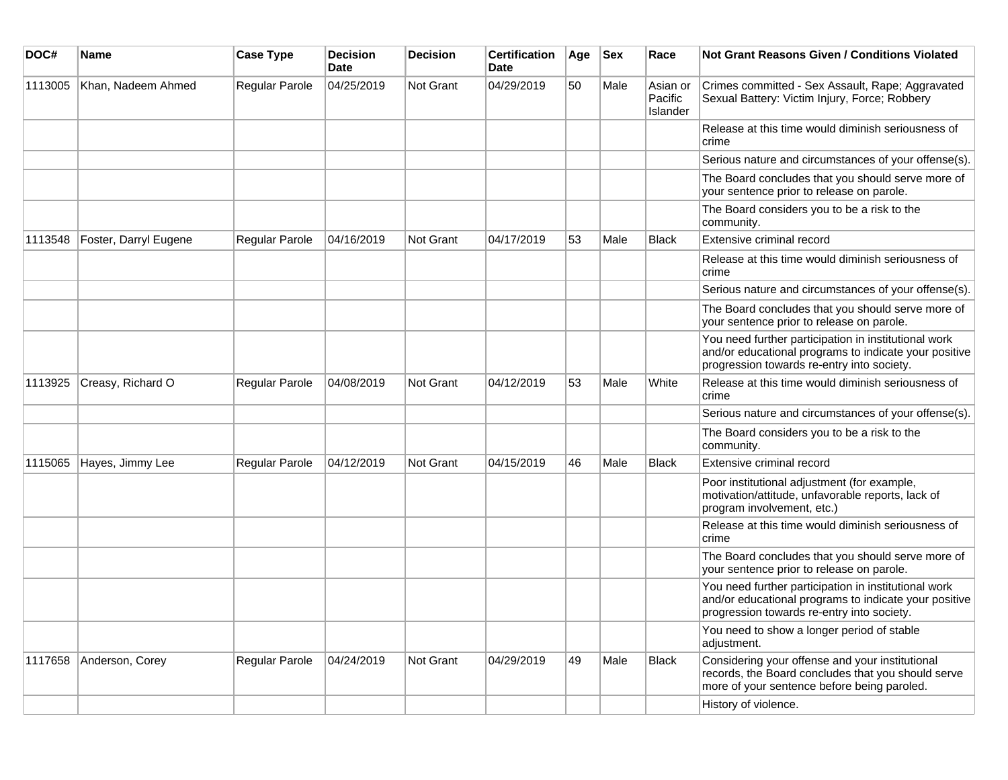| DOC#    | Name                  | <b>Case Type</b> | <b>Decision</b><br><b>Date</b> | <b>Decision</b> | <b>Certification</b><br>Date | Age | <b>Sex</b> | Race                            | Not Grant Reasons Given / Conditions Violated                                                                                                               |
|---------|-----------------------|------------------|--------------------------------|-----------------|------------------------------|-----|------------|---------------------------------|-------------------------------------------------------------------------------------------------------------------------------------------------------------|
| 1113005 | Khan, Nadeem Ahmed    | Regular Parole   | 04/25/2019                     | Not Grant       | 04/29/2019                   | 50  | Male       | Asian or<br>Pacific<br>Islander | Crimes committed - Sex Assault, Rape; Aggravated<br>Sexual Battery: Victim Injury, Force; Robbery                                                           |
|         |                       |                  |                                |                 |                              |     |            |                                 | Release at this time would diminish seriousness of<br>crime                                                                                                 |
|         |                       |                  |                                |                 |                              |     |            |                                 | Serious nature and circumstances of your offense(s).                                                                                                        |
|         |                       |                  |                                |                 |                              |     |            |                                 | The Board concludes that you should serve more of<br>your sentence prior to release on parole.                                                              |
|         |                       |                  |                                |                 |                              |     |            |                                 | The Board considers you to be a risk to the<br>community.                                                                                                   |
| 1113548 | Foster, Darryl Eugene | Regular Parole   | 04/16/2019                     | Not Grant       | 04/17/2019                   | 53  | Male       | <b>Black</b>                    | Extensive criminal record                                                                                                                                   |
|         |                       |                  |                                |                 |                              |     |            |                                 | Release at this time would diminish seriousness of<br>crime                                                                                                 |
|         |                       |                  |                                |                 |                              |     |            |                                 | Serious nature and circumstances of your offense(s).                                                                                                        |
|         |                       |                  |                                |                 |                              |     |            |                                 | The Board concludes that you should serve more of<br>your sentence prior to release on parole.                                                              |
|         |                       |                  |                                |                 |                              |     |            |                                 | You need further participation in institutional work<br>and/or educational programs to indicate your positive<br>progression towards re-entry into society. |
| 1113925 | Creasy, Richard O     | Regular Parole   | 04/08/2019                     | Not Grant       | 04/12/2019                   | 53  | Male       | White                           | Release at this time would diminish seriousness of<br>crime                                                                                                 |
|         |                       |                  |                                |                 |                              |     |            |                                 | Serious nature and circumstances of your offense(s).                                                                                                        |
|         |                       |                  |                                |                 |                              |     |            |                                 | The Board considers you to be a risk to the<br>community.                                                                                                   |
| 1115065 | Hayes, Jimmy Lee      | Regular Parole   | 04/12/2019                     | Not Grant       | 04/15/2019                   | 46  | Male       | <b>Black</b>                    | Extensive criminal record                                                                                                                                   |
|         |                       |                  |                                |                 |                              |     |            |                                 | Poor institutional adjustment (for example,<br>motivation/attitude, unfavorable reports, lack of<br>program involvement, etc.)                              |
|         |                       |                  |                                |                 |                              |     |            |                                 | Release at this time would diminish seriousness of<br>crime                                                                                                 |
|         |                       |                  |                                |                 |                              |     |            |                                 | The Board concludes that you should serve more of<br>your sentence prior to release on parole.                                                              |
|         |                       |                  |                                |                 |                              |     |            |                                 | You need further participation in institutional work<br>and/or educational programs to indicate your positive<br>progression towards re-entry into society. |
|         |                       |                  |                                |                 |                              |     |            |                                 | You need to show a longer period of stable<br>adjustment.                                                                                                   |
| 1117658 | Anderson, Corey       | Regular Parole   | 04/24/2019                     | Not Grant       | 04/29/2019                   | 49  | Male       | <b>Black</b>                    | Considering your offense and your institutional<br>records, the Board concludes that you should serve<br>more of your sentence before being paroled.        |
|         |                       |                  |                                |                 |                              |     |            |                                 | History of violence.                                                                                                                                        |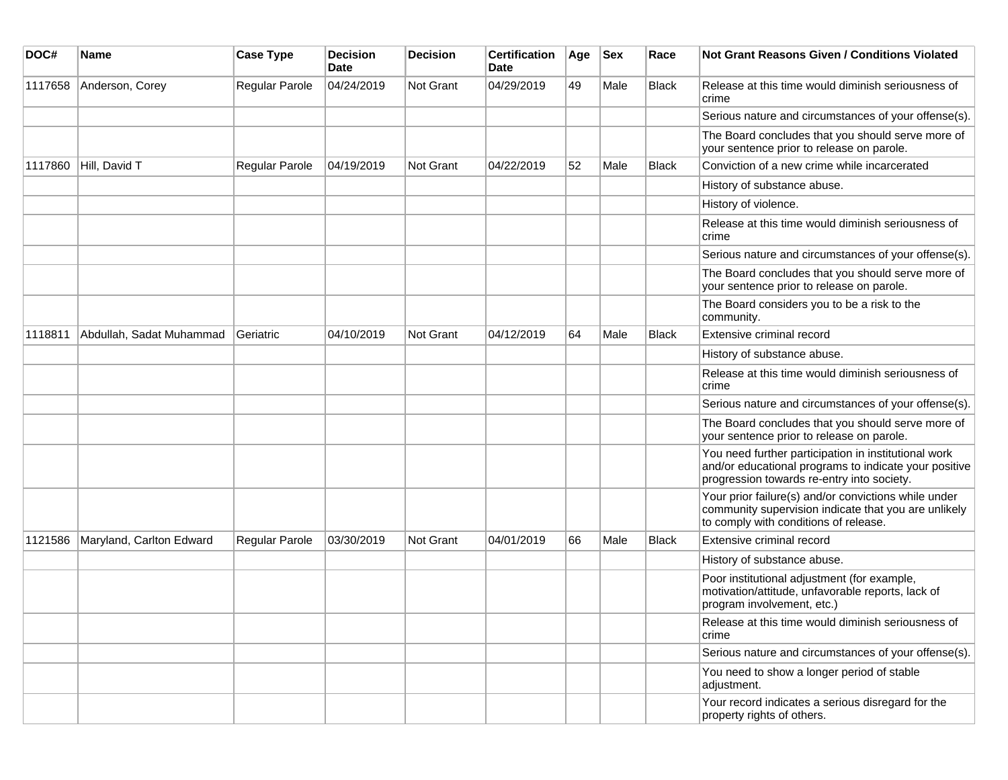| DOC#    | <b>Name</b>              | <b>Case Type</b> | <b>Decision</b><br><b>Date</b> | <b>Decision</b>  | <b>Certification</b><br>Date | Age | <b>Sex</b> | Race         | <b>Not Grant Reasons Given / Conditions Violated</b>                                                                                                        |
|---------|--------------------------|------------------|--------------------------------|------------------|------------------------------|-----|------------|--------------|-------------------------------------------------------------------------------------------------------------------------------------------------------------|
| 1117658 | Anderson, Corey          | Regular Parole   | 04/24/2019                     | Not Grant        | 04/29/2019                   | 49  | Male       | Black        | Release at this time would diminish seriousness of<br>crime                                                                                                 |
|         |                          |                  |                                |                  |                              |     |            |              | Serious nature and circumstances of your offense(s).                                                                                                        |
|         |                          |                  |                                |                  |                              |     |            |              | The Board concludes that you should serve more of<br>your sentence prior to release on parole.                                                              |
| 1117860 | Hill, David T            | Regular Parole   | 04/19/2019                     | <b>Not Grant</b> | 04/22/2019                   | 52  | Male       | Black        | Conviction of a new crime while incarcerated                                                                                                                |
|         |                          |                  |                                |                  |                              |     |            |              | History of substance abuse.                                                                                                                                 |
|         |                          |                  |                                |                  |                              |     |            |              | History of violence.                                                                                                                                        |
|         |                          |                  |                                |                  |                              |     |            |              | Release at this time would diminish seriousness of<br>crime                                                                                                 |
|         |                          |                  |                                |                  |                              |     |            |              | Serious nature and circumstances of your offense(s).                                                                                                        |
|         |                          |                  |                                |                  |                              |     |            |              | The Board concludes that you should serve more of<br>your sentence prior to release on parole.                                                              |
|         |                          |                  |                                |                  |                              |     |            |              | The Board considers you to be a risk to the<br>community.                                                                                                   |
| 1118811 | Abdullah, Sadat Muhammad | Geriatric        | 04/10/2019                     | <b>Not Grant</b> | 04/12/2019                   | 64  | Male       | <b>Black</b> | Extensive criminal record                                                                                                                                   |
|         |                          |                  |                                |                  |                              |     |            |              | History of substance abuse.                                                                                                                                 |
|         |                          |                  |                                |                  |                              |     |            |              | Release at this time would diminish seriousness of<br>crime                                                                                                 |
|         |                          |                  |                                |                  |                              |     |            |              | Serious nature and circumstances of your offense(s).                                                                                                        |
|         |                          |                  |                                |                  |                              |     |            |              | The Board concludes that you should serve more of<br>your sentence prior to release on parole.                                                              |
|         |                          |                  |                                |                  |                              |     |            |              | You need further participation in institutional work<br>and/or educational programs to indicate your positive<br>progression towards re-entry into society. |
|         |                          |                  |                                |                  |                              |     |            |              | Your prior failure(s) and/or convictions while under<br>community supervision indicate that you are unlikely<br>to comply with conditions of release.       |
| 1121586 | Maryland, Carlton Edward | Regular Parole   | 03/30/2019                     | <b>Not Grant</b> | 04/01/2019                   | 66  | Male       | Black        | Extensive criminal record                                                                                                                                   |
|         |                          |                  |                                |                  |                              |     |            |              | History of substance abuse.                                                                                                                                 |
|         |                          |                  |                                |                  |                              |     |            |              | Poor institutional adjustment (for example,<br>motivation/attitude, unfavorable reports, lack of<br>program involvement, etc.)                              |
|         |                          |                  |                                |                  |                              |     |            |              | Release at this time would diminish seriousness of<br>crime                                                                                                 |
|         |                          |                  |                                |                  |                              |     |            |              | Serious nature and circumstances of your offense(s).                                                                                                        |
|         |                          |                  |                                |                  |                              |     |            |              | You need to show a longer period of stable<br>adjustment.                                                                                                   |
|         |                          |                  |                                |                  |                              |     |            |              | Your record indicates a serious disregard for the<br>property rights of others.                                                                             |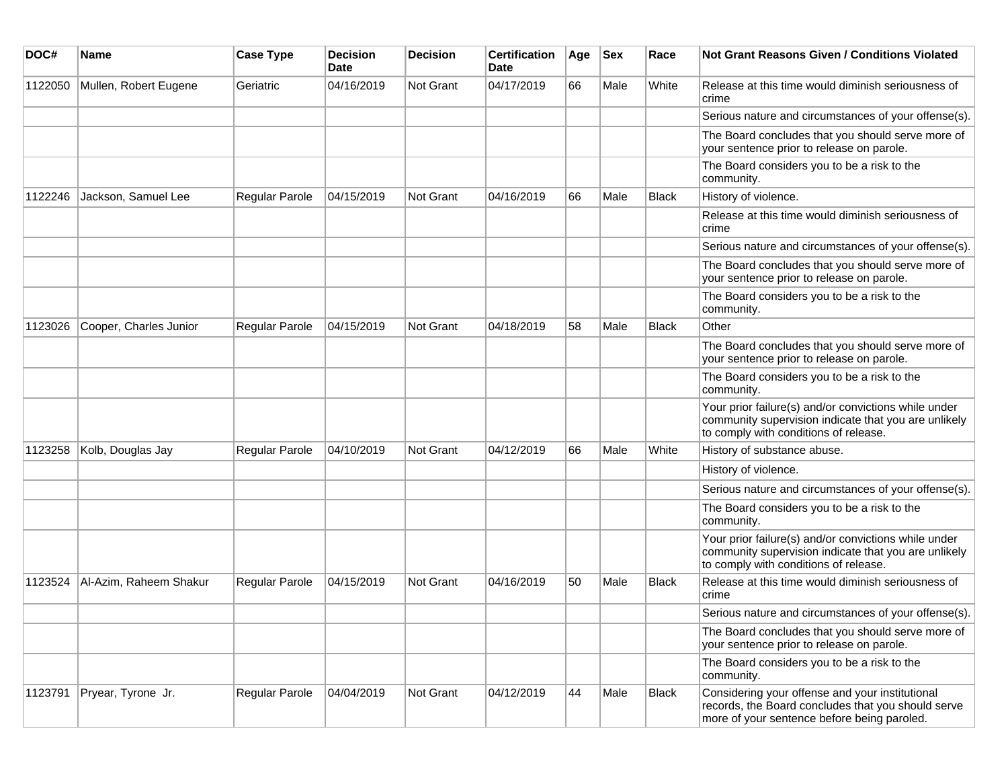| DOC#    | <b>Name</b>            | <b>Case Type</b> | <b>Decision</b><br>Date | Decision  | <b>Certification</b><br>Date | Age | <b>Sex</b> | Race         | Not Grant Reasons Given / Conditions Violated                                                                                                         |
|---------|------------------------|------------------|-------------------------|-----------|------------------------------|-----|------------|--------------|-------------------------------------------------------------------------------------------------------------------------------------------------------|
| 1122050 | Mullen, Robert Eugene  | Geriatric        | 04/16/2019              | Not Grant | 04/17/2019                   | 66  | Male       | White        | Release at this time would diminish seriousness of<br>crime                                                                                           |
|         |                        |                  |                         |           |                              |     |            |              | Serious nature and circumstances of your offense(s).                                                                                                  |
|         |                        |                  |                         |           |                              |     |            |              | The Board concludes that you should serve more of<br>your sentence prior to release on parole.                                                        |
|         |                        |                  |                         |           |                              |     |            |              | The Board considers you to be a risk to the<br>community.                                                                                             |
| 1122246 | Jackson, Samuel Lee    | Regular Parole   | 04/15/2019              | Not Grant | 04/16/2019                   | 66  | Male       | <b>Black</b> | History of violence.                                                                                                                                  |
|         |                        |                  |                         |           |                              |     |            |              | Release at this time would diminish seriousness of<br>crime                                                                                           |
|         |                        |                  |                         |           |                              |     |            |              | Serious nature and circumstances of your offense(s).                                                                                                  |
|         |                        |                  |                         |           |                              |     |            |              | The Board concludes that you should serve more of<br>your sentence prior to release on parole.                                                        |
|         |                        |                  |                         |           |                              |     |            |              | The Board considers you to be a risk to the<br>community.                                                                                             |
| 1123026 | Cooper, Charles Junior | Regular Parole   | 04/15/2019              | Not Grant | 04/18/2019                   | 58  | Male       | Black        | Other                                                                                                                                                 |
|         |                        |                  |                         |           |                              |     |            |              | The Board concludes that you should serve more of<br>your sentence prior to release on parole.                                                        |
|         |                        |                  |                         |           |                              |     |            |              | The Board considers you to be a risk to the<br>community.                                                                                             |
|         |                        |                  |                         |           |                              |     |            |              | Your prior failure(s) and/or convictions while under<br>community supervision indicate that you are unlikely<br>to comply with conditions of release. |
| 1123258 | Kolb, Douglas Jay      | Regular Parole   | 04/10/2019              | Not Grant | 04/12/2019                   | 66  | Male       | White        | History of substance abuse.                                                                                                                           |
|         |                        |                  |                         |           |                              |     |            |              | History of violence.                                                                                                                                  |
|         |                        |                  |                         |           |                              |     |            |              | Serious nature and circumstances of your offense(s).                                                                                                  |
|         |                        |                  |                         |           |                              |     |            |              | The Board considers you to be a risk to the<br>community.                                                                                             |
|         |                        |                  |                         |           |                              |     |            |              | Your prior failure(s) and/or convictions while under<br>community supervision indicate that you are unlikely<br>to comply with conditions of release. |
| 1123524 | Al-Azim, Raheem Shakur | Regular Parole   | 04/15/2019              | Not Grant | 04/16/2019                   | 50  | Male       | Black        | Release at this time would diminish seriousness of<br>crime                                                                                           |
|         |                        |                  |                         |           |                              |     |            |              | Serious nature and circumstances of your offense(s).                                                                                                  |
|         |                        |                  |                         |           |                              |     |            |              | The Board concludes that you should serve more of<br>your sentence prior to release on parole.                                                        |
|         |                        |                  |                         |           |                              |     |            |              | The Board considers you to be a risk to the<br>community.                                                                                             |
| 1123791 | Pryear, Tyrone Jr.     | Regular Parole   | 04/04/2019              | Not Grant | 04/12/2019                   | 44  | Male       | Black        | Considering your offense and your institutional<br>records, the Board concludes that you should serve<br>more of your sentence before being paroled.  |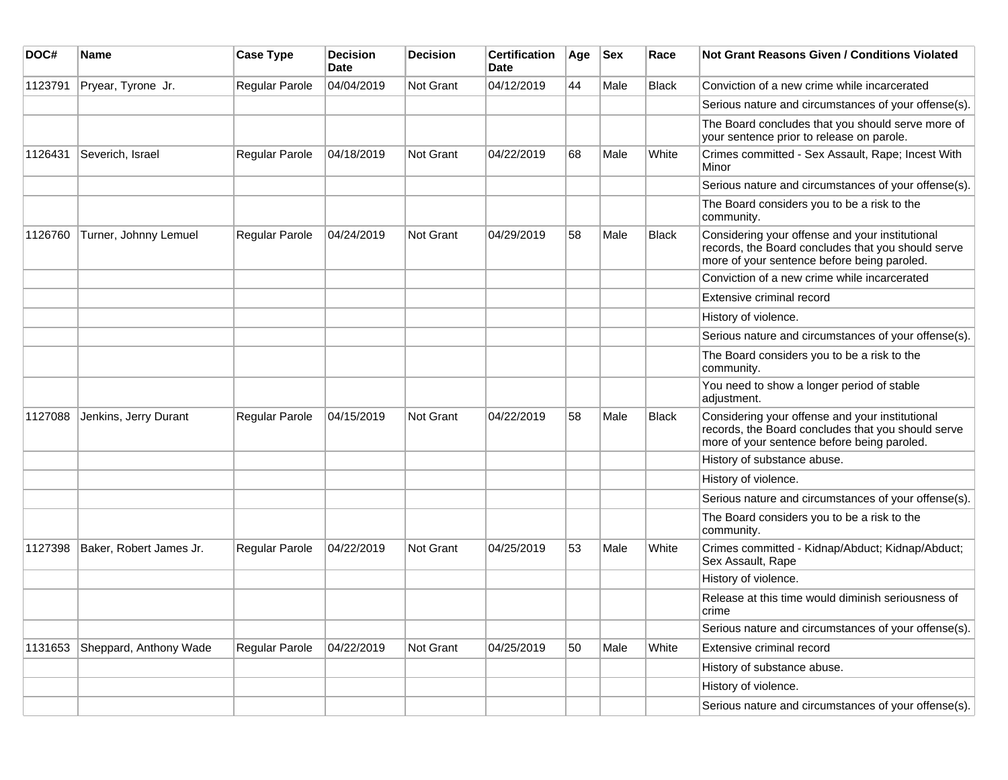| DOC#    | Name                    | <b>Case Type</b>      | <b>Decision</b><br><b>Date</b> | <b>Decision</b> | <b>Certification</b><br>Date | Age | <b>Sex</b> | Race         | <b>Not Grant Reasons Given / Conditions Violated</b>                                                                                                 |
|---------|-------------------------|-----------------------|--------------------------------|-----------------|------------------------------|-----|------------|--------------|------------------------------------------------------------------------------------------------------------------------------------------------------|
| 1123791 | Pryear, Tyrone Jr.      | Regular Parole        | 04/04/2019                     | Not Grant       | 04/12/2019                   | 44  | Male       | <b>Black</b> | Conviction of a new crime while incarcerated                                                                                                         |
|         |                         |                       |                                |                 |                              |     |            |              | Serious nature and circumstances of your offense(s).                                                                                                 |
|         |                         |                       |                                |                 |                              |     |            |              | The Board concludes that you should serve more of<br>your sentence prior to release on parole.                                                       |
| 1126431 | Severich, Israel        | Regular Parole        | 04/18/2019                     | Not Grant       | 04/22/2019                   | 68  | Male       | White        | Crimes committed - Sex Assault, Rape; Incest With<br>Minor                                                                                           |
|         |                         |                       |                                |                 |                              |     |            |              | Serious nature and circumstances of your offense(s).                                                                                                 |
|         |                         |                       |                                |                 |                              |     |            |              | The Board considers you to be a risk to the<br>community.                                                                                            |
| 1126760 | Turner, Johnny Lemuel   | Regular Parole        | 04/24/2019                     | Not Grant       | 04/29/2019                   | 58  | Male       | <b>Black</b> | Considering your offense and your institutional<br>records, the Board concludes that you should serve<br>more of your sentence before being paroled. |
|         |                         |                       |                                |                 |                              |     |            |              | Conviction of a new crime while incarcerated                                                                                                         |
|         |                         |                       |                                |                 |                              |     |            |              | Extensive criminal record                                                                                                                            |
|         |                         |                       |                                |                 |                              |     |            |              | History of violence.                                                                                                                                 |
|         |                         |                       |                                |                 |                              |     |            |              | Serious nature and circumstances of your offense(s).                                                                                                 |
|         |                         |                       |                                |                 |                              |     |            |              | The Board considers you to be a risk to the<br>community.                                                                                            |
|         |                         |                       |                                |                 |                              |     |            |              | You need to show a longer period of stable<br>adjustment.                                                                                            |
| 1127088 | Jenkins, Jerry Durant   | Regular Parole        | 04/15/2019                     | Not Grant       | 04/22/2019                   | 58  | Male       | <b>Black</b> | Considering your offense and your institutional<br>records, the Board concludes that you should serve<br>more of your sentence before being paroled. |
|         |                         |                       |                                |                 |                              |     |            |              | History of substance abuse.                                                                                                                          |
|         |                         |                       |                                |                 |                              |     |            |              | History of violence.                                                                                                                                 |
|         |                         |                       |                                |                 |                              |     |            |              | Serious nature and circumstances of your offense(s).                                                                                                 |
|         |                         |                       |                                |                 |                              |     |            |              | The Board considers you to be a risk to the<br>community.                                                                                            |
| 1127398 | Baker, Robert James Jr. | <b>Regular Parole</b> | 04/22/2019                     | Not Grant       | 04/25/2019                   | 53  | Male       | White        | Crimes committed - Kidnap/Abduct; Kidnap/Abduct;<br>Sex Assault, Rape                                                                                |
|         |                         |                       |                                |                 |                              |     |            |              | History of violence.                                                                                                                                 |
|         |                         |                       |                                |                 |                              |     |            |              | Release at this time would diminish seriousness of<br>crime                                                                                          |
|         |                         |                       |                                |                 |                              |     |            |              | Serious nature and circumstances of your offense(s).                                                                                                 |
| 1131653 | Sheppard, Anthony Wade  | Regular Parole        | 04/22/2019                     | Not Grant       | 04/25/2019                   | 50  | Male       | White        | Extensive criminal record                                                                                                                            |
|         |                         |                       |                                |                 |                              |     |            |              | History of substance abuse.                                                                                                                          |
|         |                         |                       |                                |                 |                              |     |            |              | History of violence.                                                                                                                                 |
|         |                         |                       |                                |                 |                              |     |            |              | Serious nature and circumstances of your offense(s).                                                                                                 |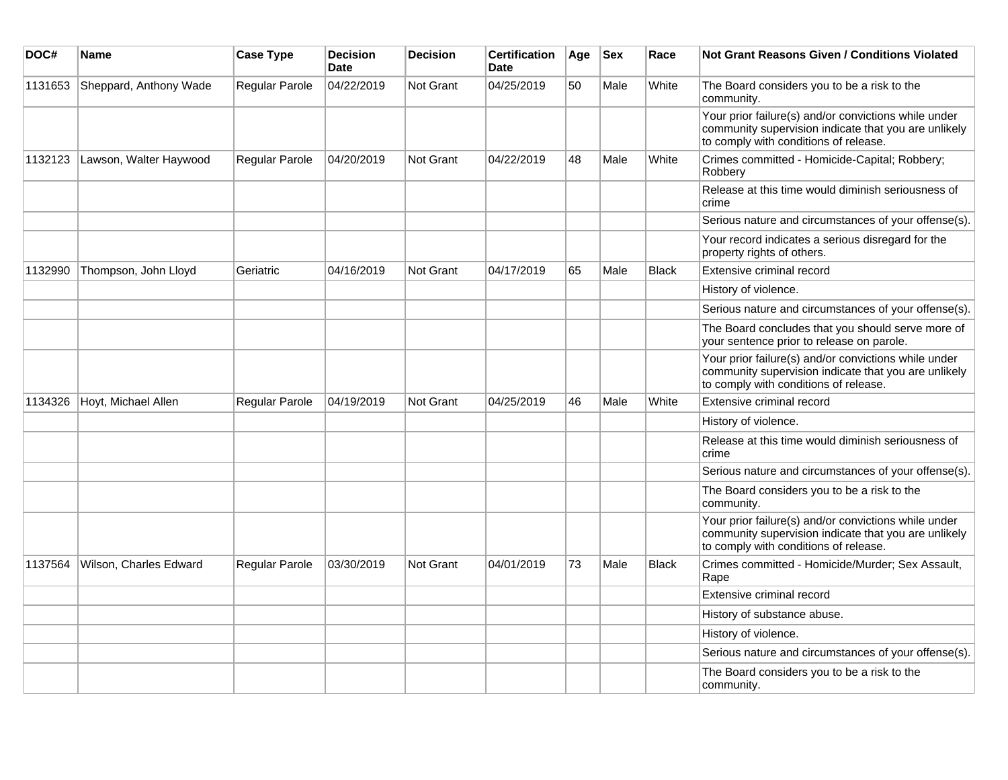| DOC#    | Name                   | <b>Case Type</b> | <b>Decision</b><br><b>Date</b> | <b>Decision</b> | <b>Certification</b><br><b>Date</b> | Age | <b>Sex</b> | Race         | <b>Not Grant Reasons Given / Conditions Violated</b>                                                                                                  |
|---------|------------------------|------------------|--------------------------------|-----------------|-------------------------------------|-----|------------|--------------|-------------------------------------------------------------------------------------------------------------------------------------------------------|
| 1131653 | Sheppard, Anthony Wade | Regular Parole   | 04/22/2019                     | Not Grant       | 04/25/2019                          | 50  | Male       | White        | The Board considers you to be a risk to the<br>community.                                                                                             |
|         |                        |                  |                                |                 |                                     |     |            |              | Your prior failure(s) and/or convictions while under<br>community supervision indicate that you are unlikely<br>to comply with conditions of release. |
| 1132123 | Lawson, Walter Haywood | Regular Parole   | 04/20/2019                     | Not Grant       | 04/22/2019                          | 48  | Male       | White        | Crimes committed - Homicide-Capital; Robbery;<br>Robbery                                                                                              |
|         |                        |                  |                                |                 |                                     |     |            |              | Release at this time would diminish seriousness of<br>crime                                                                                           |
|         |                        |                  |                                |                 |                                     |     |            |              | Serious nature and circumstances of your offense(s).                                                                                                  |
|         |                        |                  |                                |                 |                                     |     |            |              | Your record indicates a serious disregard for the<br>property rights of others.                                                                       |
| 1132990 | Thompson, John Lloyd   | Geriatric        | 04/16/2019                     | Not Grant       | 04/17/2019                          | 65  | Male       | <b>Black</b> | Extensive criminal record                                                                                                                             |
|         |                        |                  |                                |                 |                                     |     |            |              | History of violence.                                                                                                                                  |
|         |                        |                  |                                |                 |                                     |     |            |              | Serious nature and circumstances of your offense(s).                                                                                                  |
|         |                        |                  |                                |                 |                                     |     |            |              | The Board concludes that you should serve more of<br>your sentence prior to release on parole.                                                        |
|         |                        |                  |                                |                 |                                     |     |            |              | Your prior failure(s) and/or convictions while under<br>community supervision indicate that you are unlikely<br>to comply with conditions of release. |
| 1134326 | Hoyt, Michael Allen    | Regular Parole   | 04/19/2019                     | Not Grant       | 04/25/2019                          | 46  | Male       | White        | Extensive criminal record                                                                                                                             |
|         |                        |                  |                                |                 |                                     |     |            |              | History of violence.                                                                                                                                  |
|         |                        |                  |                                |                 |                                     |     |            |              | Release at this time would diminish seriousness of<br>crime                                                                                           |
|         |                        |                  |                                |                 |                                     |     |            |              | Serious nature and circumstances of your offense(s).                                                                                                  |
|         |                        |                  |                                |                 |                                     |     |            |              | The Board considers you to be a risk to the<br>community.                                                                                             |
|         |                        |                  |                                |                 |                                     |     |            |              | Your prior failure(s) and/or convictions while under<br>community supervision indicate that you are unlikely<br>to comply with conditions of release. |
| 1137564 | Wilson, Charles Edward | Regular Parole   | 03/30/2019                     | Not Grant       | 04/01/2019                          | 73  | Male       | <b>Black</b> | Crimes committed - Homicide/Murder; Sex Assault,<br>Rape                                                                                              |
|         |                        |                  |                                |                 |                                     |     |            |              | Extensive criminal record                                                                                                                             |
|         |                        |                  |                                |                 |                                     |     |            |              | History of substance abuse.                                                                                                                           |
|         |                        |                  |                                |                 |                                     |     |            |              | History of violence.                                                                                                                                  |
|         |                        |                  |                                |                 |                                     |     |            |              | Serious nature and circumstances of your offense(s).                                                                                                  |
|         |                        |                  |                                |                 |                                     |     |            |              | The Board considers you to be a risk to the<br>community.                                                                                             |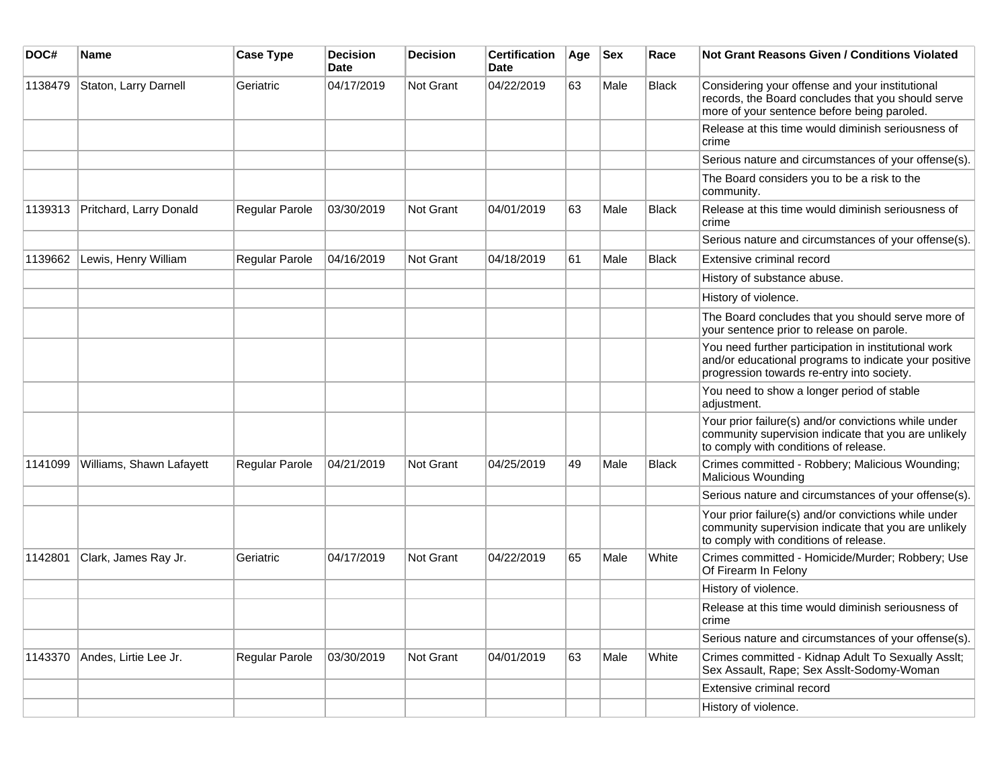| DOC#    | <b>Name</b>              | <b>Case Type</b> | <b>Decision</b><br><b>Date</b> | <b>Decision</b> | <b>Certification</b><br>Date | Age | $ $ Sex | Race         | Not Grant Reasons Given / Conditions Violated                                                                                                               |
|---------|--------------------------|------------------|--------------------------------|-----------------|------------------------------|-----|---------|--------------|-------------------------------------------------------------------------------------------------------------------------------------------------------------|
| 1138479 | Staton, Larry Darnell    | Geriatric        | 04/17/2019                     | Not Grant       | 04/22/2019                   | 63  | Male    | <b>Black</b> | Considering your offense and your institutional<br>records, the Board concludes that you should serve<br>more of your sentence before being paroled.        |
|         |                          |                  |                                |                 |                              |     |         |              | Release at this time would diminish seriousness of<br>crime                                                                                                 |
|         |                          |                  |                                |                 |                              |     |         |              | Serious nature and circumstances of your offense(s).                                                                                                        |
|         |                          |                  |                                |                 |                              |     |         |              | The Board considers you to be a risk to the<br>community.                                                                                                   |
| 1139313 | Pritchard, Larry Donald  | Regular Parole   | 03/30/2019                     | Not Grant       | 04/01/2019                   | 63  | Male    | <b>Black</b> | Release at this time would diminish seriousness of<br>crime                                                                                                 |
|         |                          |                  |                                |                 |                              |     |         |              | Serious nature and circumstances of your offense(s).                                                                                                        |
| 1139662 | Lewis, Henry William     | Regular Parole   | 04/16/2019                     | Not Grant       | 04/18/2019                   | 61  | Male    | Black        | Extensive criminal record                                                                                                                                   |
|         |                          |                  |                                |                 |                              |     |         |              | History of substance abuse.                                                                                                                                 |
|         |                          |                  |                                |                 |                              |     |         |              | History of violence.                                                                                                                                        |
|         |                          |                  |                                |                 |                              |     |         |              | The Board concludes that you should serve more of<br>your sentence prior to release on parole.                                                              |
|         |                          |                  |                                |                 |                              |     |         |              | You need further participation in institutional work<br>and/or educational programs to indicate your positive<br>progression towards re-entry into society. |
|         |                          |                  |                                |                 |                              |     |         |              | You need to show a longer period of stable<br>adjustment.                                                                                                   |
|         |                          |                  |                                |                 |                              |     |         |              | Your prior failure(s) and/or convictions while under<br>community supervision indicate that you are unlikely<br>to comply with conditions of release.       |
| 1141099 | Williams, Shawn Lafayett | Regular Parole   | 04/21/2019                     | Not Grant       | 04/25/2019                   | 49  | Male    | <b>Black</b> | Crimes committed - Robbery; Malicious Wounding;<br>Malicious Wounding                                                                                       |
|         |                          |                  |                                |                 |                              |     |         |              | Serious nature and circumstances of your offense(s).                                                                                                        |
|         |                          |                  |                                |                 |                              |     |         |              | Your prior failure(s) and/or convictions while under<br>community supervision indicate that you are unlikely<br>to comply with conditions of release.       |
| 1142801 | Clark, James Ray Jr.     | Geriatric        | 04/17/2019                     | Not Grant       | 04/22/2019                   | 65  | Male    | White        | Crimes committed - Homicide/Murder; Robbery; Use<br>Of Firearm In Felony                                                                                    |
|         |                          |                  |                                |                 |                              |     |         |              | History of violence.                                                                                                                                        |
|         |                          |                  |                                |                 |                              |     |         |              | Release at this time would diminish seriousness of<br>crime                                                                                                 |
|         |                          |                  |                                |                 |                              |     |         |              | Serious nature and circumstances of your offense(s).                                                                                                        |
| 1143370 | Andes, Lirtie Lee Jr.    | Regular Parole   | 03/30/2019                     | Not Grant       | 04/01/2019                   | 63  | Male    | White        | Crimes committed - Kidnap Adult To Sexually Asslt;<br>Sex Assault, Rape; Sex Asslt-Sodomy-Woman                                                             |
|         |                          |                  |                                |                 |                              |     |         |              | Extensive criminal record                                                                                                                                   |
|         |                          |                  |                                |                 |                              |     |         |              | History of violence.                                                                                                                                        |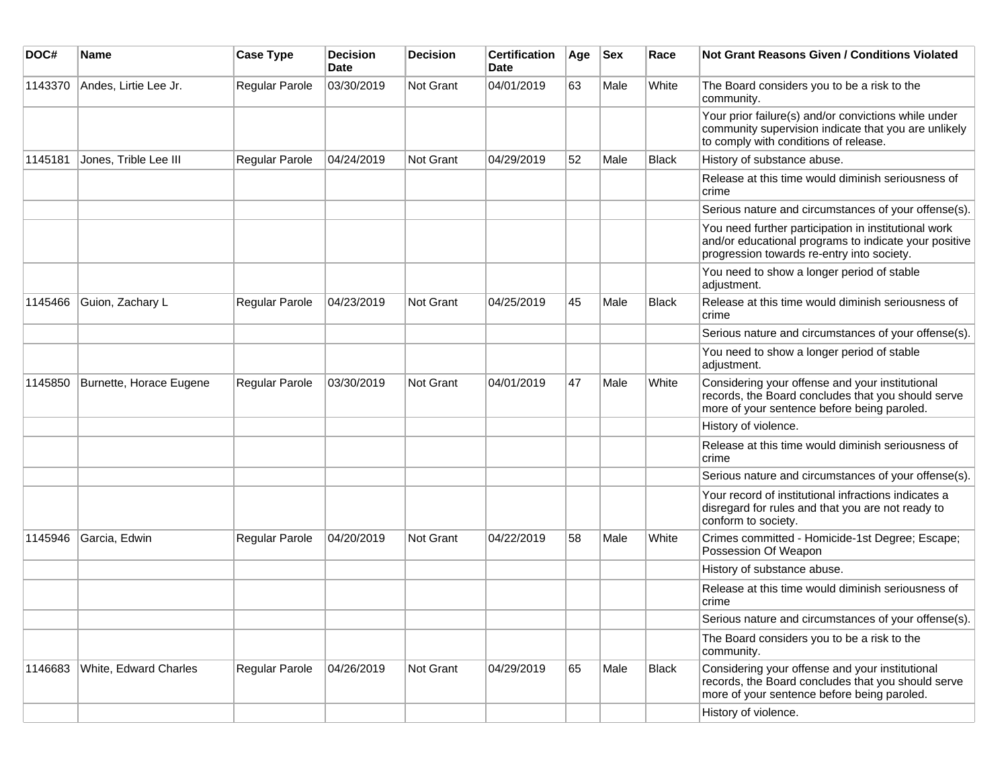| DOC#    | <b>Name</b>             | <b>Case Type</b>      | <b>Decision</b><br><b>Date</b> | <b>Decision</b>  | <b>Certification</b><br>Date | Age | <b>Sex</b> | Race         | <b>Not Grant Reasons Given / Conditions Violated</b>                                                                                                        |
|---------|-------------------------|-----------------------|--------------------------------|------------------|------------------------------|-----|------------|--------------|-------------------------------------------------------------------------------------------------------------------------------------------------------------|
| 1143370 | Andes, Lirtie Lee Jr.   | Regular Parole        | 03/30/2019                     | Not Grant        | 04/01/2019                   | 63  | Male       | White        | The Board considers you to be a risk to the<br>community.                                                                                                   |
|         |                         |                       |                                |                  |                              |     |            |              | Your prior failure(s) and/or convictions while under<br>community supervision indicate that you are unlikely<br>to comply with conditions of release.       |
| 1145181 | Jones, Trible Lee III   | Regular Parole        | 04/24/2019                     | <b>Not Grant</b> | 04/29/2019                   | 52  | Male       | Black        | History of substance abuse.                                                                                                                                 |
|         |                         |                       |                                |                  |                              |     |            |              | Release at this time would diminish seriousness of<br>crime                                                                                                 |
|         |                         |                       |                                |                  |                              |     |            |              | Serious nature and circumstances of your offense(s).                                                                                                        |
|         |                         |                       |                                |                  |                              |     |            |              | You need further participation in institutional work<br>and/or educational programs to indicate your positive<br>progression towards re-entry into society. |
|         |                         |                       |                                |                  |                              |     |            |              | You need to show a longer period of stable<br>adjustment.                                                                                                   |
| 1145466 | Guion, Zachary L        | Regular Parole        | 04/23/2019                     | <b>Not Grant</b> | 04/25/2019                   | 45  | Male       | Black        | Release at this time would diminish seriousness of<br>crime                                                                                                 |
|         |                         |                       |                                |                  |                              |     |            |              | Serious nature and circumstances of your offense(s).                                                                                                        |
|         |                         |                       |                                |                  |                              |     |            |              | You need to show a longer period of stable<br>adjustment.                                                                                                   |
| 1145850 | Burnette, Horace Eugene | <b>Regular Parole</b> | 03/30/2019                     | <b>Not Grant</b> | 04/01/2019                   | 47  | Male       | White        | Considering your offense and your institutional<br>records, the Board concludes that you should serve<br>more of your sentence before being paroled.        |
|         |                         |                       |                                |                  |                              |     |            |              | History of violence.                                                                                                                                        |
|         |                         |                       |                                |                  |                              |     |            |              | Release at this time would diminish seriousness of<br>crime                                                                                                 |
|         |                         |                       |                                |                  |                              |     |            |              | Serious nature and circumstances of your offense(s).                                                                                                        |
|         |                         |                       |                                |                  |                              |     |            |              | Your record of institutional infractions indicates a<br>disregard for rules and that you are not ready to<br>conform to society.                            |
| 1145946 | Garcia, Edwin           | <b>Regular Parole</b> | 04/20/2019                     | Not Grant        | 04/22/2019                   | 58  | Male       | White        | Crimes committed - Homicide-1st Degree; Escape;<br>Possession Of Weapon                                                                                     |
|         |                         |                       |                                |                  |                              |     |            |              | History of substance abuse.                                                                                                                                 |
|         |                         |                       |                                |                  |                              |     |            |              | Release at this time would diminish seriousness of<br>crime                                                                                                 |
|         |                         |                       |                                |                  |                              |     |            |              | Serious nature and circumstances of your offense(s).                                                                                                        |
|         |                         |                       |                                |                  |                              |     |            |              | The Board considers you to be a risk to the<br>community.                                                                                                   |
| 1146683 | White, Edward Charles   | Regular Parole        | 04/26/2019                     | Not Grant        | 04/29/2019                   | 65  | Male       | <b>Black</b> | Considering your offense and your institutional<br>records, the Board concludes that you should serve<br>more of your sentence before being paroled.        |
|         |                         |                       |                                |                  |                              |     |            |              | History of violence.                                                                                                                                        |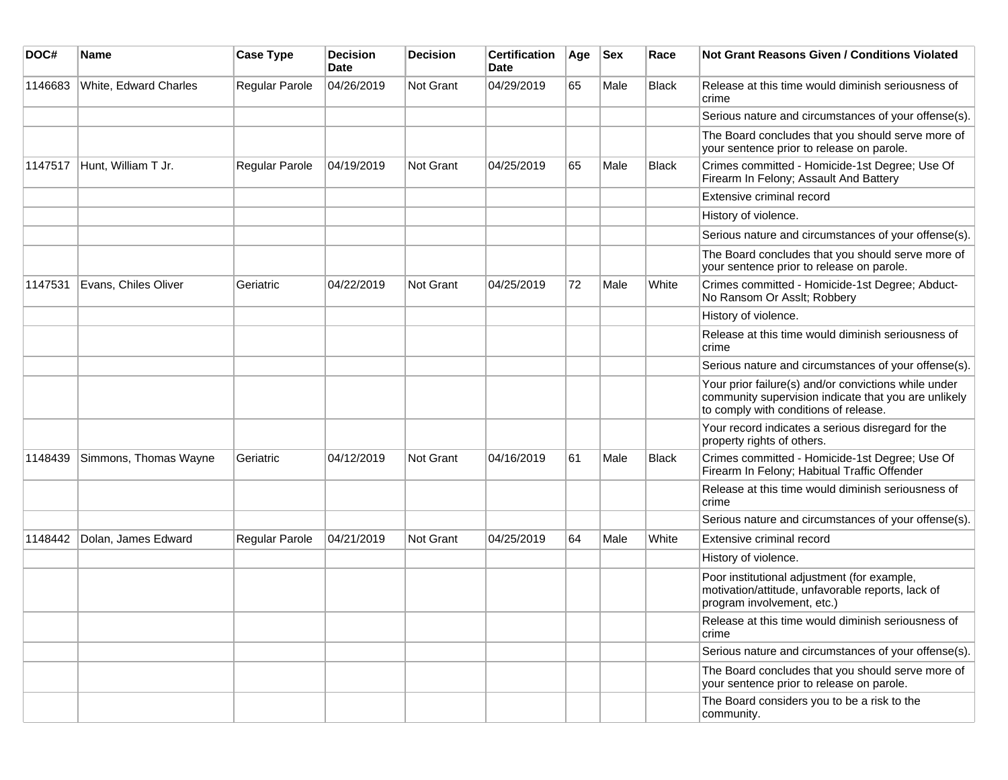| DOC#    | <b>Name</b>           | <b>Case Type</b> | <b>Decision</b><br><b>Date</b> | <b>Decision</b>  | <b>Certification</b><br>Date | Age | <b>Sex</b> | Race  | Not Grant Reasons Given / Conditions Violated                                                                                                         |
|---------|-----------------------|------------------|--------------------------------|------------------|------------------------------|-----|------------|-------|-------------------------------------------------------------------------------------------------------------------------------------------------------|
| 1146683 | White, Edward Charles | Regular Parole   | 04/26/2019                     | <b>Not Grant</b> | 04/29/2019                   | 65  | Male       | Black | Release at this time would diminish seriousness of<br>crime                                                                                           |
|         |                       |                  |                                |                  |                              |     |            |       | Serious nature and circumstances of your offense(s).                                                                                                  |
|         |                       |                  |                                |                  |                              |     |            |       | The Board concludes that you should serve more of<br>your sentence prior to release on parole.                                                        |
| 1147517 | Hunt, William T Jr.   | Regular Parole   | 04/19/2019                     | <b>Not Grant</b> | 04/25/2019                   | 65  | Male       | Black | Crimes committed - Homicide-1st Degree; Use Of<br>Firearm In Felony; Assault And Battery                                                              |
|         |                       |                  |                                |                  |                              |     |            |       | Extensive criminal record                                                                                                                             |
|         |                       |                  |                                |                  |                              |     |            |       | History of violence.                                                                                                                                  |
|         |                       |                  |                                |                  |                              |     |            |       | Serious nature and circumstances of your offense(s).                                                                                                  |
|         |                       |                  |                                |                  |                              |     |            |       | The Board concludes that you should serve more of<br>your sentence prior to release on parole.                                                        |
| 1147531 | Evans, Chiles Oliver  | Geriatric        | 04/22/2019                     | Not Grant        | 04/25/2019                   | 72  | Male       | White | Crimes committed - Homicide-1st Degree; Abduct-<br>No Ransom Or Asslt; Robbery                                                                        |
|         |                       |                  |                                |                  |                              |     |            |       | History of violence.                                                                                                                                  |
|         |                       |                  |                                |                  |                              |     |            |       | Release at this time would diminish seriousness of<br>crime                                                                                           |
|         |                       |                  |                                |                  |                              |     |            |       | Serious nature and circumstances of your offense(s).                                                                                                  |
|         |                       |                  |                                |                  |                              |     |            |       | Your prior failure(s) and/or convictions while under<br>community supervision indicate that you are unlikely<br>to comply with conditions of release. |
|         |                       |                  |                                |                  |                              |     |            |       | Your record indicates a serious disregard for the<br>property rights of others.                                                                       |
| 1148439 | Simmons, Thomas Wayne | Geriatric        | 04/12/2019                     | <b>Not Grant</b> | 04/16/2019                   | 61  | Male       | Black | Crimes committed - Homicide-1st Degree; Use Of<br>Firearm In Felony; Habitual Traffic Offender                                                        |
|         |                       |                  |                                |                  |                              |     |            |       | Release at this time would diminish seriousness of<br>crime                                                                                           |
|         |                       |                  |                                |                  |                              |     |            |       | Serious nature and circumstances of your offense(s).                                                                                                  |
| 1148442 | Dolan, James Edward   | Regular Parole   | 04/21/2019                     | Not Grant        | 04/25/2019                   | 64  | Male       | White | Extensive criminal record                                                                                                                             |
|         |                       |                  |                                |                  |                              |     |            |       | History of violence.                                                                                                                                  |
|         |                       |                  |                                |                  |                              |     |            |       | Poor institutional adjustment (for example,<br>motivation/attitude, unfavorable reports, lack of<br>program involvement, etc.)                        |
|         |                       |                  |                                |                  |                              |     |            |       | Release at this time would diminish seriousness of<br>crime                                                                                           |
|         |                       |                  |                                |                  |                              |     |            |       | Serious nature and circumstances of your offense(s).                                                                                                  |
|         |                       |                  |                                |                  |                              |     |            |       | The Board concludes that you should serve more of<br>your sentence prior to release on parole.                                                        |
|         |                       |                  |                                |                  |                              |     |            |       | The Board considers you to be a risk to the<br>community.                                                                                             |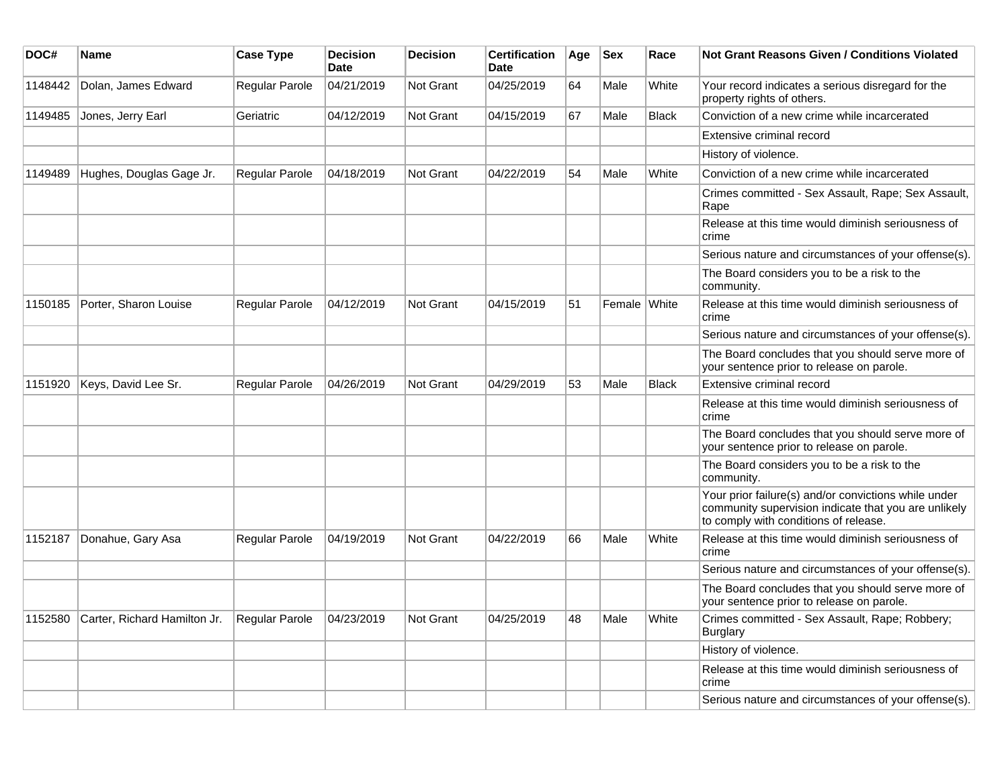| DOC#    | <b>Name</b>                  | <b>Case Type</b>      | <b>Decision</b><br><b>Date</b> | <b>Decision</b>  | <b>Certification</b><br><b>Date</b> | Age | <b>Sex</b>   | Race         | <b>Not Grant Reasons Given / Conditions Violated</b>                                                                                                  |
|---------|------------------------------|-----------------------|--------------------------------|------------------|-------------------------------------|-----|--------------|--------------|-------------------------------------------------------------------------------------------------------------------------------------------------------|
| 1148442 | Dolan, James Edward          | Regular Parole        | 04/21/2019                     | <b>Not Grant</b> | 04/25/2019                          | 64  | Male         | White        | Your record indicates a serious disregard for the<br>property rights of others.                                                                       |
| 1149485 | Jones, Jerry Earl            | Geriatric             | 04/12/2019                     | <b>Not Grant</b> | 04/15/2019                          | 67  | Male         | <b>Black</b> | Conviction of a new crime while incarcerated                                                                                                          |
|         |                              |                       |                                |                  |                                     |     |              |              | Extensive criminal record                                                                                                                             |
|         |                              |                       |                                |                  |                                     |     |              |              | History of violence.                                                                                                                                  |
| 1149489 | Hughes, Douglas Gage Jr.     | <b>Regular Parole</b> | 04/18/2019                     | <b>Not Grant</b> | 04/22/2019                          | 54  | Male         | White        | Conviction of a new crime while incarcerated                                                                                                          |
|         |                              |                       |                                |                  |                                     |     |              |              | Crimes committed - Sex Assault, Rape; Sex Assault,<br>Rape                                                                                            |
|         |                              |                       |                                |                  |                                     |     |              |              | Release at this time would diminish seriousness of<br>crime                                                                                           |
|         |                              |                       |                                |                  |                                     |     |              |              | Serious nature and circumstances of your offense(s).                                                                                                  |
|         |                              |                       |                                |                  |                                     |     |              |              | The Board considers you to be a risk to the<br>community.                                                                                             |
| 1150185 | Porter, Sharon Louise        | <b>Regular Parole</b> | 04/12/2019                     | Not Grant        | 04/15/2019                          | 51  | Female White |              | Release at this time would diminish seriousness of<br>crime                                                                                           |
|         |                              |                       |                                |                  |                                     |     |              |              | Serious nature and circumstances of your offense(s).                                                                                                  |
|         |                              |                       |                                |                  |                                     |     |              |              | The Board concludes that you should serve more of<br>your sentence prior to release on parole.                                                        |
| 1151920 | Keys, David Lee Sr.          | Regular Parole        | 04/26/2019                     | Not Grant        | 04/29/2019                          | 53  | Male         | <b>Black</b> | Extensive criminal record                                                                                                                             |
|         |                              |                       |                                |                  |                                     |     |              |              | Release at this time would diminish seriousness of<br>crime                                                                                           |
|         |                              |                       |                                |                  |                                     |     |              |              | The Board concludes that you should serve more of<br>your sentence prior to release on parole.                                                        |
|         |                              |                       |                                |                  |                                     |     |              |              | The Board considers you to be a risk to the<br>community.                                                                                             |
|         |                              |                       |                                |                  |                                     |     |              |              | Your prior failure(s) and/or convictions while under<br>community supervision indicate that you are unlikely<br>to comply with conditions of release. |
| 1152187 | Donahue, Gary Asa            | Regular Parole        | 04/19/2019                     | <b>Not Grant</b> | 04/22/2019                          | 66  | Male         | White        | Release at this time would diminish seriousness of<br>crime                                                                                           |
|         |                              |                       |                                |                  |                                     |     |              |              | Serious nature and circumstances of your offense(s).                                                                                                  |
|         |                              |                       |                                |                  |                                     |     |              |              | The Board concludes that you should serve more of<br>your sentence prior to release on parole.                                                        |
| 1152580 | Carter, Richard Hamilton Jr. | <b>Regular Parole</b> | 04/23/2019                     | <b>Not Grant</b> | 04/25/2019                          | 48  | Male         | White        | Crimes committed - Sex Assault, Rape; Robbery;<br>Burglary                                                                                            |
|         |                              |                       |                                |                  |                                     |     |              |              | History of violence.                                                                                                                                  |
|         |                              |                       |                                |                  |                                     |     |              |              | Release at this time would diminish seriousness of<br>crime                                                                                           |
|         |                              |                       |                                |                  |                                     |     |              |              | Serious nature and circumstances of your offense(s).                                                                                                  |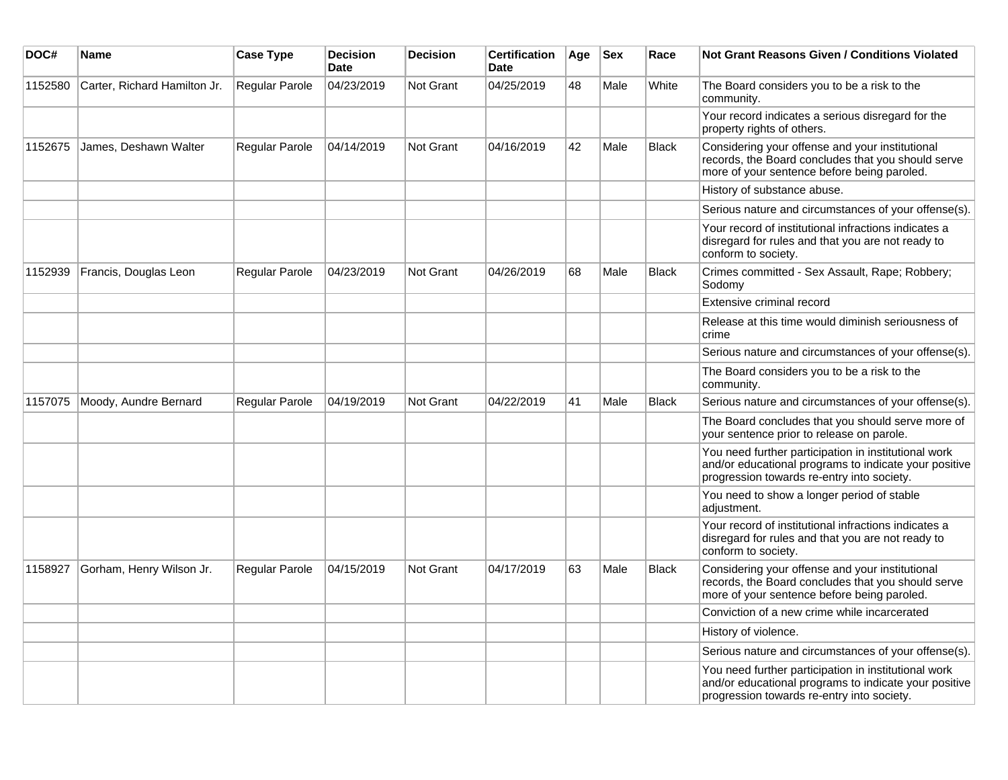| DOC#    | <b>Name</b>                  | <b>Case Type</b> | <b>Decision</b><br><b>Date</b> | <b>Decision</b>  | <b>Certification</b><br><b>Date</b> | Age | <b>Sex</b> | Race         | <b>Not Grant Reasons Given / Conditions Violated</b>                                                                                                        |
|---------|------------------------------|------------------|--------------------------------|------------------|-------------------------------------|-----|------------|--------------|-------------------------------------------------------------------------------------------------------------------------------------------------------------|
| 1152580 | Carter, Richard Hamilton Jr. | Regular Parole   | 04/23/2019                     | <b>Not Grant</b> | 04/25/2019                          | 48  | Male       | White        | The Board considers you to be a risk to the<br>community.                                                                                                   |
|         |                              |                  |                                |                  |                                     |     |            |              | Your record indicates a serious disregard for the<br>property rights of others.                                                                             |
| 1152675 | James, Deshawn Walter        | Regular Parole   | 04/14/2019                     | Not Grant        | 04/16/2019                          | 42  | Male       | <b>Black</b> | Considering your offense and your institutional<br>records, the Board concludes that you should serve<br>more of your sentence before being paroled.        |
|         |                              |                  |                                |                  |                                     |     |            |              | History of substance abuse.                                                                                                                                 |
|         |                              |                  |                                |                  |                                     |     |            |              | Serious nature and circumstances of your offense(s).                                                                                                        |
|         |                              |                  |                                |                  |                                     |     |            |              | Your record of institutional infractions indicates a<br>disregard for rules and that you are not ready to<br>conform to society.                            |
| 1152939 | Francis, Douglas Leon        | Regular Parole   | 04/23/2019                     | Not Grant        | 04/26/2019                          | 68  | Male       | <b>Black</b> | Crimes committed - Sex Assault, Rape; Robbery;<br>Sodomv                                                                                                    |
|         |                              |                  |                                |                  |                                     |     |            |              | Extensive criminal record                                                                                                                                   |
|         |                              |                  |                                |                  |                                     |     |            |              | Release at this time would diminish seriousness of<br>crime                                                                                                 |
|         |                              |                  |                                |                  |                                     |     |            |              | Serious nature and circumstances of your offense(s).                                                                                                        |
|         |                              |                  |                                |                  |                                     |     |            |              | The Board considers you to be a risk to the<br>community.                                                                                                   |
| 1157075 | Moody, Aundre Bernard        | Regular Parole   | 04/19/2019                     | Not Grant        | 04/22/2019                          | 41  | Male       | <b>Black</b> | Serious nature and circumstances of your offense(s).                                                                                                        |
|         |                              |                  |                                |                  |                                     |     |            |              | The Board concludes that you should serve more of<br>your sentence prior to release on parole.                                                              |
|         |                              |                  |                                |                  |                                     |     |            |              | You need further participation in institutional work<br>and/or educational programs to indicate your positive<br>progression towards re-entry into society. |
|         |                              |                  |                                |                  |                                     |     |            |              | You need to show a longer period of stable<br>adjustment.                                                                                                   |
|         |                              |                  |                                |                  |                                     |     |            |              | Your record of institutional infractions indicates a<br>disregard for rules and that you are not ready to<br>conform to society.                            |
| 1158927 | Gorham, Henry Wilson Jr.     | Regular Parole   | 04/15/2019                     | Not Grant        | 04/17/2019                          | 63  | Male       | <b>Black</b> | Considering your offense and your institutional<br>records, the Board concludes that you should serve<br>more of your sentence before being paroled.        |
|         |                              |                  |                                |                  |                                     |     |            |              | Conviction of a new crime while incarcerated                                                                                                                |
|         |                              |                  |                                |                  |                                     |     |            |              | History of violence.                                                                                                                                        |
|         |                              |                  |                                |                  |                                     |     |            |              | Serious nature and circumstances of your offense(s).                                                                                                        |
|         |                              |                  |                                |                  |                                     |     |            |              | You need further participation in institutional work<br>and/or educational programs to indicate your positive<br>progression towards re-entry into society. |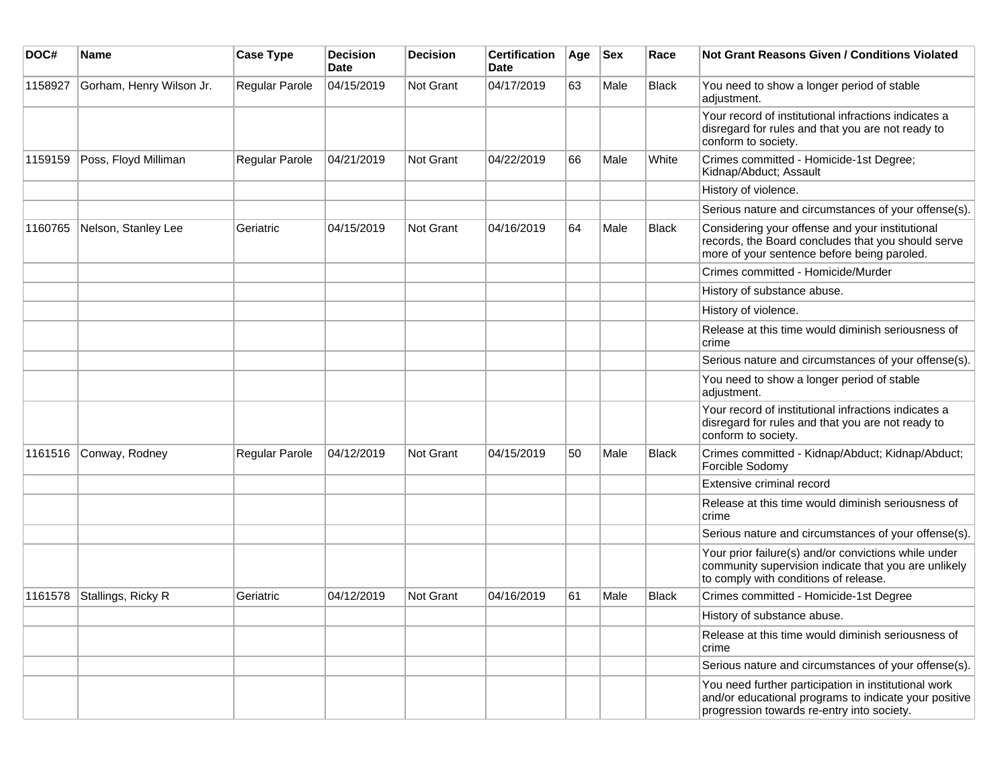| DOC#    | Name                     | <b>Case Type</b> | <b>Decision</b><br>Date | <b>Decision</b>  | <b>Certification</b><br>Date | Age | <b>Sex</b> | Race         | Not Grant Reasons Given / Conditions Violated                                                                                                               |
|---------|--------------------------|------------------|-------------------------|------------------|------------------------------|-----|------------|--------------|-------------------------------------------------------------------------------------------------------------------------------------------------------------|
| 1158927 | Gorham, Henry Wilson Jr. | Regular Parole   | 04/15/2019              | Not Grant        | 04/17/2019                   | 63  | Male       | <b>Black</b> | You need to show a longer period of stable<br>adjustment.                                                                                                   |
|         |                          |                  |                         |                  |                              |     |            |              | Your record of institutional infractions indicates a<br>disregard for rules and that you are not ready to<br>conform to society.                            |
| 1159159 | Poss, Floyd Milliman     | Regular Parole   | 04/21/2019              | Not Grant        | 04/22/2019                   | 66  | Male       | White        | Crimes committed - Homicide-1st Degree;<br>Kidnap/Abduct; Assault                                                                                           |
|         |                          |                  |                         |                  |                              |     |            |              | History of violence.                                                                                                                                        |
|         |                          |                  |                         |                  |                              |     |            |              | Serious nature and circumstances of your offense(s).                                                                                                        |
| 1160765 | Nelson, Stanley Lee      | Geriatric        | 04/15/2019              | <b>Not Grant</b> | 04/16/2019                   | 64  | Male       | <b>Black</b> | Considering your offense and your institutional<br>records, the Board concludes that you should serve<br>more of your sentence before being paroled.        |
|         |                          |                  |                         |                  |                              |     |            |              | Crimes committed - Homicide/Murder                                                                                                                          |
|         |                          |                  |                         |                  |                              |     |            |              | History of substance abuse.                                                                                                                                 |
|         |                          |                  |                         |                  |                              |     |            |              | History of violence.                                                                                                                                        |
|         |                          |                  |                         |                  |                              |     |            |              | Release at this time would diminish seriousness of<br>crime                                                                                                 |
|         |                          |                  |                         |                  |                              |     |            |              | Serious nature and circumstances of your offense(s).                                                                                                        |
|         |                          |                  |                         |                  |                              |     |            |              | You need to show a longer period of stable<br>adjustment.                                                                                                   |
|         |                          |                  |                         |                  |                              |     |            |              | Your record of institutional infractions indicates a<br>disregard for rules and that you are not ready to<br>conform to society.                            |
| 1161516 | Conway, Rodney           | Regular Parole   | 04/12/2019              | <b>Not Grant</b> | 04/15/2019                   | 50  | Male       | <b>Black</b> | Crimes committed - Kidnap/Abduct; Kidnap/Abduct;<br>Forcible Sodomy                                                                                         |
|         |                          |                  |                         |                  |                              |     |            |              | Extensive criminal record                                                                                                                                   |
|         |                          |                  |                         |                  |                              |     |            |              | Release at this time would diminish seriousness of<br>crime                                                                                                 |
|         |                          |                  |                         |                  |                              |     |            |              | Serious nature and circumstances of your offense(s).                                                                                                        |
|         |                          |                  |                         |                  |                              |     |            |              | Your prior failure(s) and/or convictions while under<br>community supervision indicate that you are unlikely<br>to comply with conditions of release.       |
| 1161578 | Stallings, Ricky R       | Geriatric        | 04/12/2019              | Not Grant        | 04/16/2019                   | 61  | Male       | <b>Black</b> | Crimes committed - Homicide-1st Degree                                                                                                                      |
|         |                          |                  |                         |                  |                              |     |            |              | History of substance abuse.                                                                                                                                 |
|         |                          |                  |                         |                  |                              |     |            |              | Release at this time would diminish seriousness of<br>crime                                                                                                 |
|         |                          |                  |                         |                  |                              |     |            |              | Serious nature and circumstances of your offense(s).                                                                                                        |
|         |                          |                  |                         |                  |                              |     |            |              | You need further participation in institutional work<br>and/or educational programs to indicate your positive<br>progression towards re-entry into society. |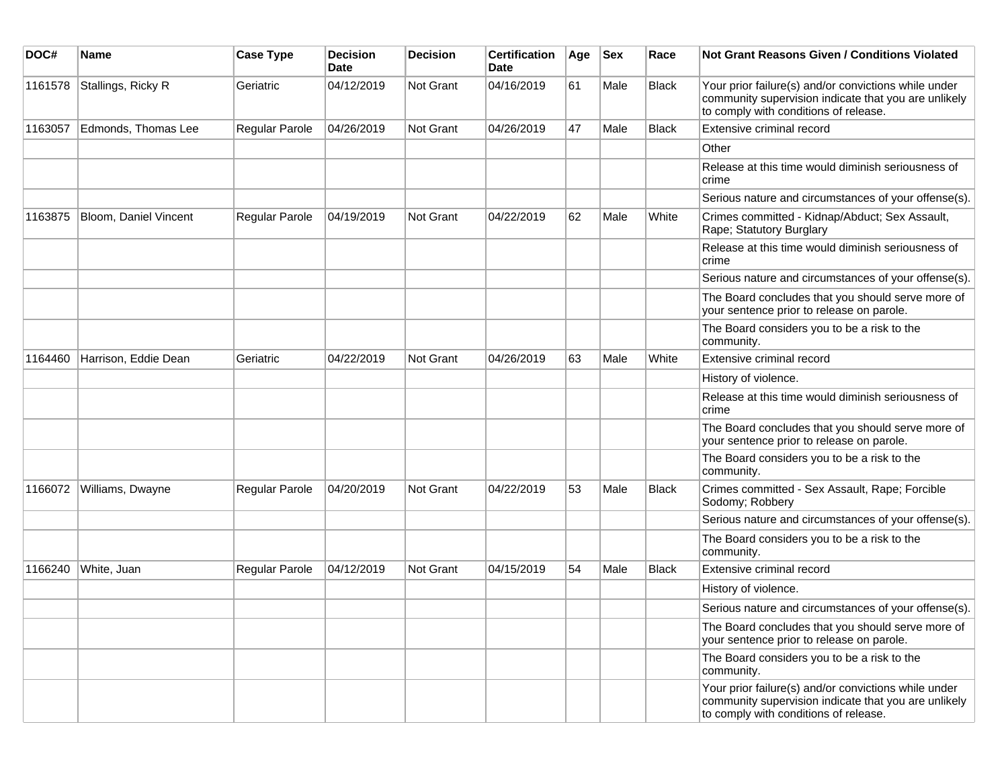| DOC#    | <b>Name</b>           | <b>Case Type</b> | <b>Decision</b><br>Date | <b>Decision</b>  | <b>Certification</b><br>Date | Age | <b>Sex</b> | Race         | Not Grant Reasons Given / Conditions Violated                                                                                                         |
|---------|-----------------------|------------------|-------------------------|------------------|------------------------------|-----|------------|--------------|-------------------------------------------------------------------------------------------------------------------------------------------------------|
| 1161578 | Stallings, Ricky R    | Geriatric        | 04/12/2019              | Not Grant        | 04/16/2019                   | 61  | Male       | Black        | Your prior failure(s) and/or convictions while under<br>community supervision indicate that you are unlikely<br>to comply with conditions of release. |
| 1163057 | Edmonds, Thomas Lee   | Regular Parole   | 04/26/2019              | Not Grant        | 04/26/2019                   | 47  | Male       | <b>Black</b> | Extensive criminal record                                                                                                                             |
|         |                       |                  |                         |                  |                              |     |            |              | Other                                                                                                                                                 |
|         |                       |                  |                         |                  |                              |     |            |              | Release at this time would diminish seriousness of<br>crime                                                                                           |
|         |                       |                  |                         |                  |                              |     |            |              | Serious nature and circumstances of your offense(s).                                                                                                  |
| 1163875 | Bloom, Daniel Vincent | Regular Parole   | 04/19/2019              | Not Grant        | 04/22/2019                   | 62  | Male       | White        | Crimes committed - Kidnap/Abduct; Sex Assault,<br>Rape; Statutory Burglary                                                                            |
|         |                       |                  |                         |                  |                              |     |            |              | Release at this time would diminish seriousness of<br>crime                                                                                           |
|         |                       |                  |                         |                  |                              |     |            |              | Serious nature and circumstances of your offense(s).                                                                                                  |
|         |                       |                  |                         |                  |                              |     |            |              | The Board concludes that you should serve more of<br>your sentence prior to release on parole.                                                        |
|         |                       |                  |                         |                  |                              |     |            |              | The Board considers you to be a risk to the<br>community.                                                                                             |
| 1164460 | Harrison, Eddie Dean  | Geriatric        | 04/22/2019              | Not Grant        | 04/26/2019                   | 63  | Male       | White        | Extensive criminal record                                                                                                                             |
|         |                       |                  |                         |                  |                              |     |            |              | History of violence.                                                                                                                                  |
|         |                       |                  |                         |                  |                              |     |            |              | Release at this time would diminish seriousness of<br>crime                                                                                           |
|         |                       |                  |                         |                  |                              |     |            |              | The Board concludes that you should serve more of<br>your sentence prior to release on parole.                                                        |
|         |                       |                  |                         |                  |                              |     |            |              | The Board considers you to be a risk to the<br>community.                                                                                             |
| 1166072 | Williams, Dwayne      | Regular Parole   | 04/20/2019              | Not Grant        | 04/22/2019                   | 53  | Male       | <b>Black</b> | Crimes committed - Sex Assault, Rape; Forcible<br>Sodomy; Robbery                                                                                     |
|         |                       |                  |                         |                  |                              |     |            |              | Serious nature and circumstances of your offense(s).                                                                                                  |
|         |                       |                  |                         |                  |                              |     |            |              | The Board considers you to be a risk to the<br>community.                                                                                             |
| 1166240 | White, Juan           | Regular Parole   | 04/12/2019              | <b>Not Grant</b> | 04/15/2019                   | 54  | Male       | <b>Black</b> | Extensive criminal record                                                                                                                             |
|         |                       |                  |                         |                  |                              |     |            |              | History of violence.                                                                                                                                  |
|         |                       |                  |                         |                  |                              |     |            |              | Serious nature and circumstances of your offense(s).                                                                                                  |
|         |                       |                  |                         |                  |                              |     |            |              | The Board concludes that you should serve more of<br>your sentence prior to release on parole.                                                        |
|         |                       |                  |                         |                  |                              |     |            |              | The Board considers you to be a risk to the<br>community.                                                                                             |
|         |                       |                  |                         |                  |                              |     |            |              | Your prior failure(s) and/or convictions while under<br>community supervision indicate that you are unlikely<br>to comply with conditions of release. |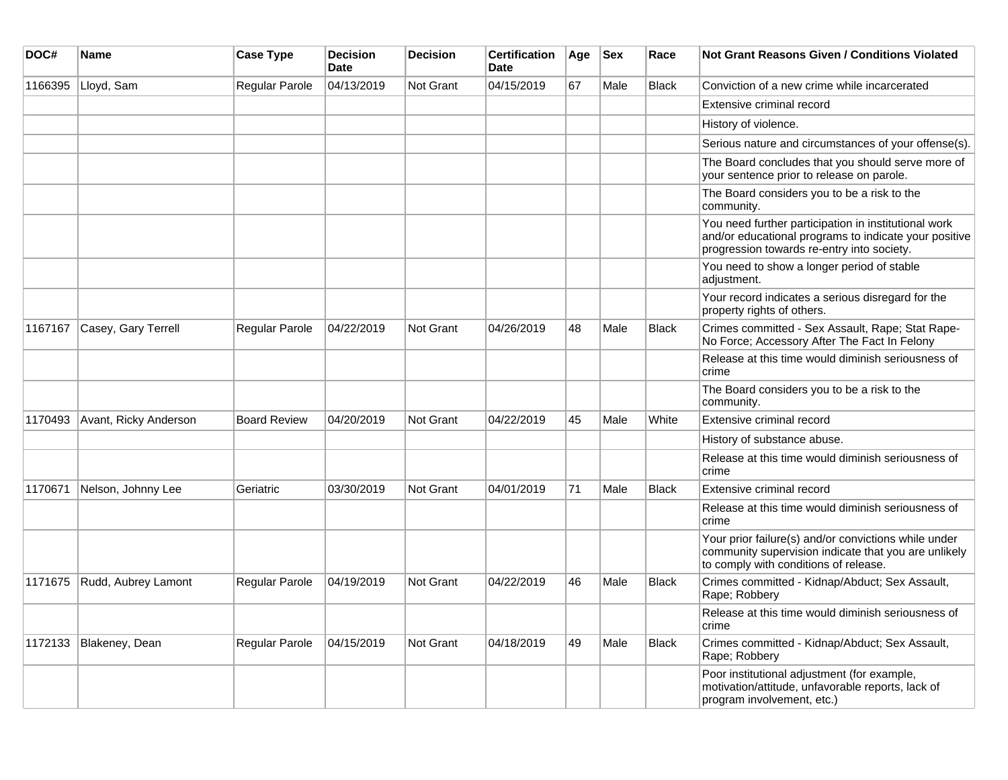| DOC#    | <b>Name</b>           | <b>Case Type</b>    | <b>Decision</b><br><b>Date</b> | <b>Decision</b>  | <b>Certification</b><br><b>Date</b> | Age | <b>Sex</b> | Race         | <b>Not Grant Reasons Given / Conditions Violated</b>                                                                                                        |
|---------|-----------------------|---------------------|--------------------------------|------------------|-------------------------------------|-----|------------|--------------|-------------------------------------------------------------------------------------------------------------------------------------------------------------|
| 1166395 | Lloyd, Sam            | Regular Parole      | 04/13/2019                     | <b>Not Grant</b> | 04/15/2019                          | 67  | Male       | <b>Black</b> | Conviction of a new crime while incarcerated                                                                                                                |
|         |                       |                     |                                |                  |                                     |     |            |              | Extensive criminal record                                                                                                                                   |
|         |                       |                     |                                |                  |                                     |     |            |              | History of violence.                                                                                                                                        |
|         |                       |                     |                                |                  |                                     |     |            |              | Serious nature and circumstances of your offense(s).                                                                                                        |
|         |                       |                     |                                |                  |                                     |     |            |              | The Board concludes that you should serve more of<br>your sentence prior to release on parole.                                                              |
|         |                       |                     |                                |                  |                                     |     |            |              | The Board considers you to be a risk to the<br>community.                                                                                                   |
|         |                       |                     |                                |                  |                                     |     |            |              | You need further participation in institutional work<br>and/or educational programs to indicate your positive<br>progression towards re-entry into society. |
|         |                       |                     |                                |                  |                                     |     |            |              | You need to show a longer period of stable<br>adjustment.                                                                                                   |
|         |                       |                     |                                |                  |                                     |     |            |              | Your record indicates a serious disregard for the<br>property rights of others.                                                                             |
| 1167167 | Casey, Gary Terrell   | Regular Parole      | 04/22/2019                     | <b>Not Grant</b> | 04/26/2019                          | 48  | Male       | <b>Black</b> | Crimes committed - Sex Assault, Rape; Stat Rape-<br>No Force; Accessory After The Fact In Felony                                                            |
|         |                       |                     |                                |                  |                                     |     |            |              | Release at this time would diminish seriousness of<br>crime                                                                                                 |
|         |                       |                     |                                |                  |                                     |     |            |              | The Board considers you to be a risk to the<br>community.                                                                                                   |
| 1170493 | Avant, Ricky Anderson | <b>Board Review</b> | 04/20/2019                     | <b>Not Grant</b> | 04/22/2019                          | 45  | Male       | White        | Extensive criminal record                                                                                                                                   |
|         |                       |                     |                                |                  |                                     |     |            |              | History of substance abuse.                                                                                                                                 |
|         |                       |                     |                                |                  |                                     |     |            |              | Release at this time would diminish seriousness of<br>crime                                                                                                 |
| 1170671 | Nelson, Johnny Lee    | Geriatric           | 03/30/2019                     | <b>Not Grant</b> | 04/01/2019                          | 71  | Male       | <b>Black</b> | Extensive criminal record                                                                                                                                   |
|         |                       |                     |                                |                  |                                     |     |            |              | Release at this time would diminish seriousness of<br>crime                                                                                                 |
|         |                       |                     |                                |                  |                                     |     |            |              | Your prior failure(s) and/or convictions while under<br>community supervision indicate that you are unlikely<br>to comply with conditions of release.       |
| 1171675 | Rudd, Aubrey Lamont   | Regular Parole      | 04/19/2019                     | <b>Not Grant</b> | 04/22/2019                          | 46  | Male       | <b>Black</b> | Crimes committed - Kidnap/Abduct; Sex Assault,<br>Rape; Robbery                                                                                             |
|         |                       |                     |                                |                  |                                     |     |            |              | Release at this time would diminish seriousness of<br>crime                                                                                                 |
| 1172133 | Blakeney, Dean        | Regular Parole      | 04/15/2019                     | <b>Not Grant</b> | 04/18/2019                          | 49  | Male       | <b>Black</b> | Crimes committed - Kidnap/Abduct; Sex Assault,<br>Rape; Robbery                                                                                             |
|         |                       |                     |                                |                  |                                     |     |            |              | Poor institutional adjustment (for example,<br>motivation/attitude, unfavorable reports, lack of<br>program involvement, etc.)                              |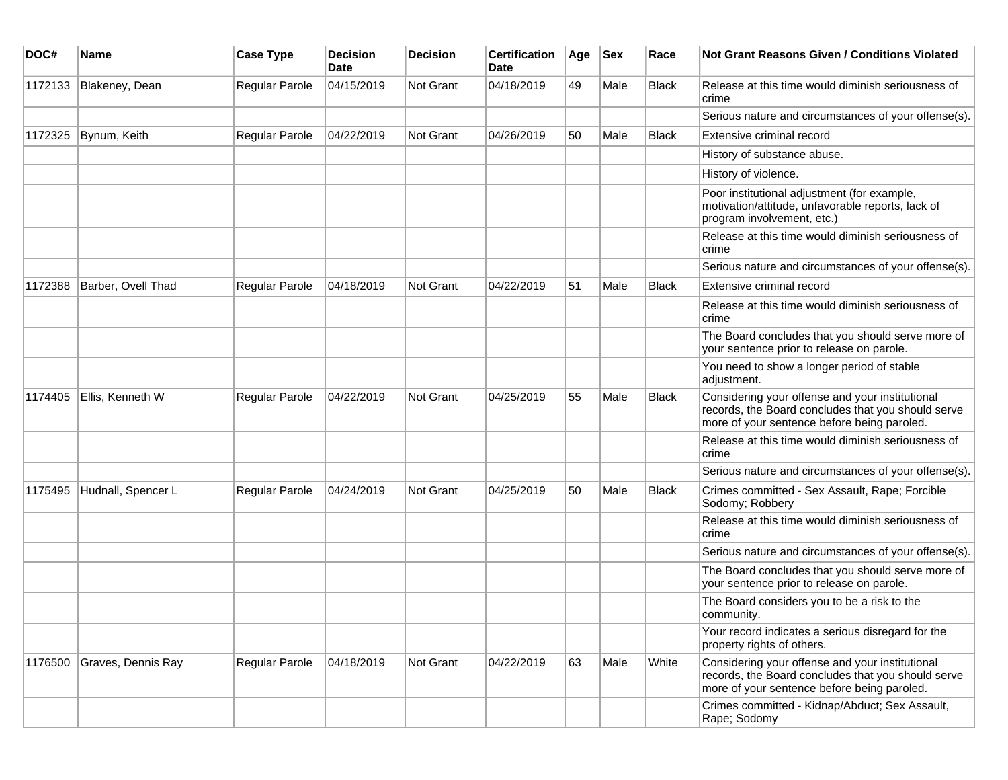| DOC#    | Name               | <b>Case Type</b> | <b>Decision</b><br>Date | <b>Decision</b> | <b>Certification</b><br>Date | Age | <b>Sex</b> | Race         | Not Grant Reasons Given / Conditions Violated                                                                                                        |
|---------|--------------------|------------------|-------------------------|-----------------|------------------------------|-----|------------|--------------|------------------------------------------------------------------------------------------------------------------------------------------------------|
| 1172133 | Blakeney, Dean     | Regular Parole   | 04/15/2019              | Not Grant       | 04/18/2019                   | 49  | Male       | <b>Black</b> | Release at this time would diminish seriousness of<br>crime                                                                                          |
|         |                    |                  |                         |                 |                              |     |            |              | Serious nature and circumstances of your offense(s).                                                                                                 |
| 1172325 | Bynum, Keith       | Regular Parole   | 04/22/2019              | Not Grant       | 04/26/2019                   | 50  | Male       | <b>Black</b> | Extensive criminal record                                                                                                                            |
|         |                    |                  |                         |                 |                              |     |            |              | History of substance abuse.                                                                                                                          |
|         |                    |                  |                         |                 |                              |     |            |              | History of violence.                                                                                                                                 |
|         |                    |                  |                         |                 |                              |     |            |              | Poor institutional adjustment (for example,<br>motivation/attitude, unfavorable reports, lack of<br>program involvement, etc.)                       |
|         |                    |                  |                         |                 |                              |     |            |              | Release at this time would diminish seriousness of<br>crime                                                                                          |
|         |                    |                  |                         |                 |                              |     |            |              | Serious nature and circumstances of your offense(s).                                                                                                 |
| 1172388 | Barber, Ovell Thad | Regular Parole   | 04/18/2019              | Not Grant       | 04/22/2019                   | 51  | Male       | <b>Black</b> | Extensive criminal record                                                                                                                            |
|         |                    |                  |                         |                 |                              |     |            |              | Release at this time would diminish seriousness of<br>crime                                                                                          |
|         |                    |                  |                         |                 |                              |     |            |              | The Board concludes that you should serve more of<br>your sentence prior to release on parole.                                                       |
|         |                    |                  |                         |                 |                              |     |            |              | You need to show a longer period of stable<br>adjustment.                                                                                            |
| 1174405 | Ellis, Kenneth W   | Regular Parole   | 04/22/2019              | Not Grant       | 04/25/2019                   | 55  | Male       | Black        | Considering your offense and your institutional<br>records, the Board concludes that you should serve<br>more of your sentence before being paroled. |
|         |                    |                  |                         |                 |                              |     |            |              | Release at this time would diminish seriousness of<br>crime                                                                                          |
|         |                    |                  |                         |                 |                              |     |            |              | Serious nature and circumstances of your offense(s).                                                                                                 |
| 1175495 | Hudnall, Spencer L | Regular Parole   | 04/24/2019              | Not Grant       | 04/25/2019                   | 50  | Male       | Black        | Crimes committed - Sex Assault, Rape; Forcible<br>Sodomy; Robbery                                                                                    |
|         |                    |                  |                         |                 |                              |     |            |              | Release at this time would diminish seriousness of<br>crime                                                                                          |
|         |                    |                  |                         |                 |                              |     |            |              | Serious nature and circumstances of your offense(s).                                                                                                 |
|         |                    |                  |                         |                 |                              |     |            |              | The Board concludes that you should serve more of<br>your sentence prior to release on parole.                                                       |
|         |                    |                  |                         |                 |                              |     |            |              | The Board considers you to be a risk to the<br>community.                                                                                            |
|         |                    |                  |                         |                 |                              |     |            |              | Your record indicates a serious disregard for the<br>property rights of others.                                                                      |
| 1176500 | Graves, Dennis Ray | Regular Parole   | 04/18/2019              | Not Grant       | 04/22/2019                   | 63  | Male       | White        | Considering your offense and your institutional<br>records, the Board concludes that you should serve<br>more of your sentence before being paroled. |
|         |                    |                  |                         |                 |                              |     |            |              | Crimes committed - Kidnap/Abduct; Sex Assault,<br>Rape; Sodomy                                                                                       |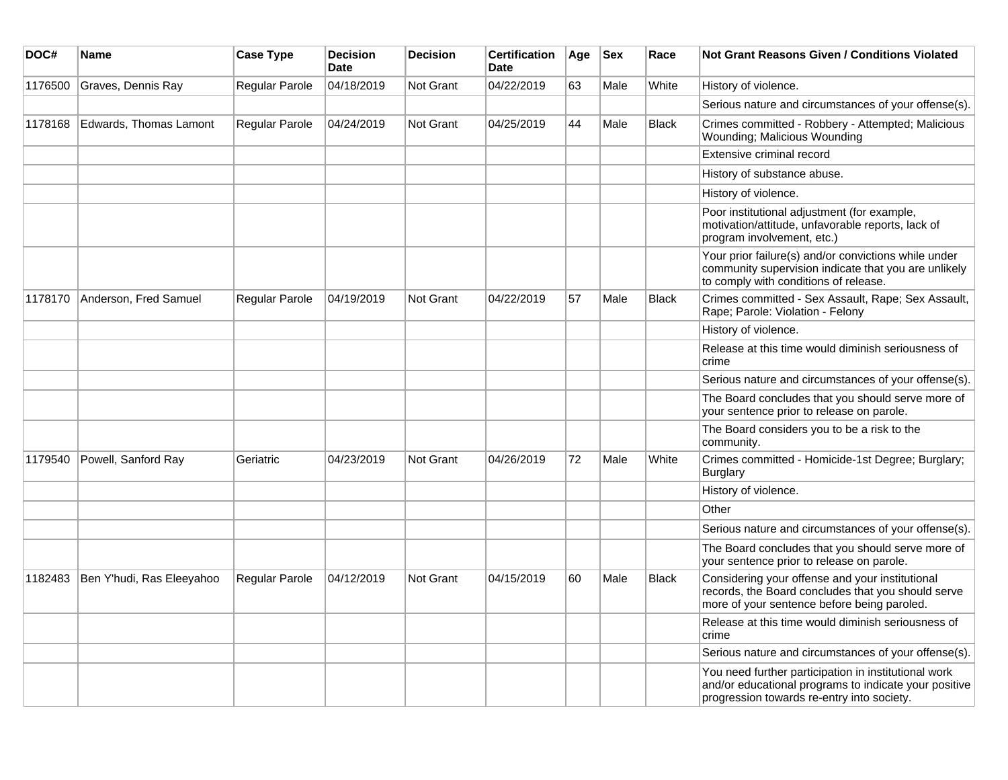| DOC#    | <b>Name</b>               | <b>Case Type</b>      | <b>Decision</b><br><b>Date</b> | <b>Decision</b> | <b>Certification</b><br>Date | Age | <b>Sex</b> | Race         | <b>Not Grant Reasons Given / Conditions Violated</b>                                                                                                        |
|---------|---------------------------|-----------------------|--------------------------------|-----------------|------------------------------|-----|------------|--------------|-------------------------------------------------------------------------------------------------------------------------------------------------------------|
| 1176500 | Graves, Dennis Ray        | Regular Parole        | 04/18/2019                     | Not Grant       | 04/22/2019                   | 63  | Male       | White        | History of violence.                                                                                                                                        |
|         |                           |                       |                                |                 |                              |     |            |              | Serious nature and circumstances of your offense(s).                                                                                                        |
| 1178168 | Edwards, Thomas Lamont    | Regular Parole        | 04/24/2019                     | Not Grant       | 04/25/2019                   | 44  | Male       | <b>Black</b> | Crimes committed - Robbery - Attempted; Malicious<br>Wounding; Malicious Wounding                                                                           |
|         |                           |                       |                                |                 |                              |     |            |              | Extensive criminal record                                                                                                                                   |
|         |                           |                       |                                |                 |                              |     |            |              | History of substance abuse.                                                                                                                                 |
|         |                           |                       |                                |                 |                              |     |            |              | History of violence.                                                                                                                                        |
|         |                           |                       |                                |                 |                              |     |            |              | Poor institutional adjustment (for example,<br>motivation/attitude, unfavorable reports, lack of<br>program involvement, etc.)                              |
|         |                           |                       |                                |                 |                              |     |            |              | Your prior failure(s) and/or convictions while under<br>community supervision indicate that you are unlikely<br>to comply with conditions of release.       |
| 1178170 | Anderson, Fred Samuel     | <b>Regular Parole</b> | 04/19/2019                     | Not Grant       | 04/22/2019                   | 57  | Male       | Black        | Crimes committed - Sex Assault, Rape; Sex Assault,<br>Rape; Parole: Violation - Felony                                                                      |
|         |                           |                       |                                |                 |                              |     |            |              | History of violence.                                                                                                                                        |
|         |                           |                       |                                |                 |                              |     |            |              | Release at this time would diminish seriousness of<br>crime                                                                                                 |
|         |                           |                       |                                |                 |                              |     |            |              | Serious nature and circumstances of your offense(s).                                                                                                        |
|         |                           |                       |                                |                 |                              |     |            |              | The Board concludes that you should serve more of<br>your sentence prior to release on parole.                                                              |
|         |                           |                       |                                |                 |                              |     |            |              | The Board considers you to be a risk to the<br>community.                                                                                                   |
| 1179540 | Powell, Sanford Ray       | Geriatric             | 04/23/2019                     | Not Grant       | 04/26/2019                   | 72  | Male       | White        | Crimes committed - Homicide-1st Degree; Burglary;<br>Burglary                                                                                               |
|         |                           |                       |                                |                 |                              |     |            |              | History of violence.                                                                                                                                        |
|         |                           |                       |                                |                 |                              |     |            |              | Other                                                                                                                                                       |
|         |                           |                       |                                |                 |                              |     |            |              | Serious nature and circumstances of your offense(s).                                                                                                        |
|         |                           |                       |                                |                 |                              |     |            |              | The Board concludes that you should serve more of<br>your sentence prior to release on parole.                                                              |
| 1182483 | Ben Y'hudi, Ras Eleeyahoo | Regular Parole        | 04/12/2019                     | Not Grant       | 04/15/2019                   | 60  | Male       | Black        | Considering your offense and your institutional<br>records, the Board concludes that you should serve<br>more of your sentence before being paroled.        |
|         |                           |                       |                                |                 |                              |     |            |              | Release at this time would diminish seriousness of<br>crime                                                                                                 |
|         |                           |                       |                                |                 |                              |     |            |              | Serious nature and circumstances of your offense(s).                                                                                                        |
|         |                           |                       |                                |                 |                              |     |            |              | You need further participation in institutional work<br>and/or educational programs to indicate your positive<br>progression towards re-entry into society. |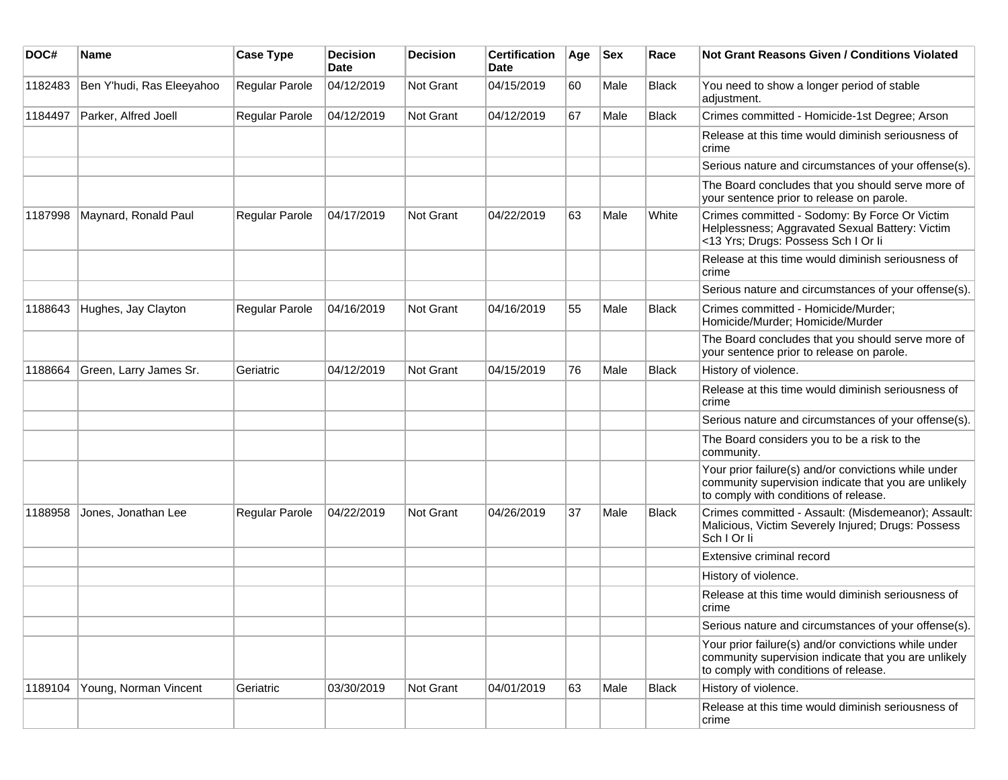| DOC#    | <b>Name</b>               | <b>Case Type</b>      | <b>Decision</b><br><b>Date</b> | <b>Decision</b> | <b>Certification</b><br>Date | Age | <b>Sex</b> | Race  | <b>Not Grant Reasons Given / Conditions Violated</b>                                                                                                  |
|---------|---------------------------|-----------------------|--------------------------------|-----------------|------------------------------|-----|------------|-------|-------------------------------------------------------------------------------------------------------------------------------------------------------|
| 1182483 | Ben Y'hudi, Ras Eleeyahoo | Regular Parole        | 04/12/2019                     | Not Grant       | 04/15/2019                   | 60  | Male       | Black | You need to show a longer period of stable<br>adjustment.                                                                                             |
| 1184497 | Parker, Alfred Joell      | Regular Parole        | 04/12/2019                     | Not Grant       | 04/12/2019                   | 67  | Male       | Black | Crimes committed - Homicide-1st Degree; Arson                                                                                                         |
|         |                           |                       |                                |                 |                              |     |            |       | Release at this time would diminish seriousness of<br>crime                                                                                           |
|         |                           |                       |                                |                 |                              |     |            |       | Serious nature and circumstances of your offense(s).                                                                                                  |
|         |                           |                       |                                |                 |                              |     |            |       | The Board concludes that you should serve more of<br>your sentence prior to release on parole.                                                        |
| 1187998 | Maynard, Ronald Paul      | Regular Parole        | 04/17/2019                     | Not Grant       | 04/22/2019                   | 63  | Male       | White | Crimes committed - Sodomy: By Force Or Victim<br>Helplessness; Aggravated Sexual Battery: Victim<br><13 Yrs; Drugs: Possess Sch I Or Ii               |
|         |                           |                       |                                |                 |                              |     |            |       | Release at this time would diminish seriousness of<br>crime                                                                                           |
|         |                           |                       |                                |                 |                              |     |            |       | Serious nature and circumstances of your offense(s).                                                                                                  |
| 1188643 | Hughes, Jay Clayton       | <b>Regular Parole</b> | 04/16/2019                     | Not Grant       | 04/16/2019                   | 55  | Male       | Black | Crimes committed - Homicide/Murder;<br>Homicide/Murder; Homicide/Murder                                                                               |
|         |                           |                       |                                |                 |                              |     |            |       | The Board concludes that you should serve more of<br>your sentence prior to release on parole.                                                        |
| 1188664 | Green, Larry James Sr.    | Geriatric             | 04/12/2019                     | Not Grant       | 04/15/2019                   | 76  | Male       | Black | History of violence.                                                                                                                                  |
|         |                           |                       |                                |                 |                              |     |            |       | Release at this time would diminish seriousness of<br>crime                                                                                           |
|         |                           |                       |                                |                 |                              |     |            |       | Serious nature and circumstances of your offense(s).                                                                                                  |
|         |                           |                       |                                |                 |                              |     |            |       | The Board considers you to be a risk to the<br>community.                                                                                             |
|         |                           |                       |                                |                 |                              |     |            |       | Your prior failure(s) and/or convictions while under<br>community supervision indicate that you are unlikely<br>to comply with conditions of release. |
| 1188958 | Jones, Jonathan Lee       | <b>Regular Parole</b> | 04/22/2019                     | Not Grant       | 04/26/2019                   | 37  | Male       | Black | Crimes committed - Assault: (Misdemeanor); Assault:<br>Malicious, Victim Severely Injured; Drugs: Possess<br>Sch I Or li                              |
|         |                           |                       |                                |                 |                              |     |            |       | Extensive criminal record                                                                                                                             |
|         |                           |                       |                                |                 |                              |     |            |       | History of violence.                                                                                                                                  |
|         |                           |                       |                                |                 |                              |     |            |       | Release at this time would diminish seriousness of<br>crime                                                                                           |
|         |                           |                       |                                |                 |                              |     |            |       | Serious nature and circumstances of your offense(s).                                                                                                  |
|         |                           |                       |                                |                 |                              |     |            |       | Your prior failure(s) and/or convictions while under<br>community supervision indicate that you are unlikely<br>to comply with conditions of release. |
| 1189104 | Young, Norman Vincent     | Geriatric             | 03/30/2019                     | Not Grant       | 04/01/2019                   | 63  | Male       | Black | History of violence.                                                                                                                                  |
|         |                           |                       |                                |                 |                              |     |            |       | Release at this time would diminish seriousness of<br>crime                                                                                           |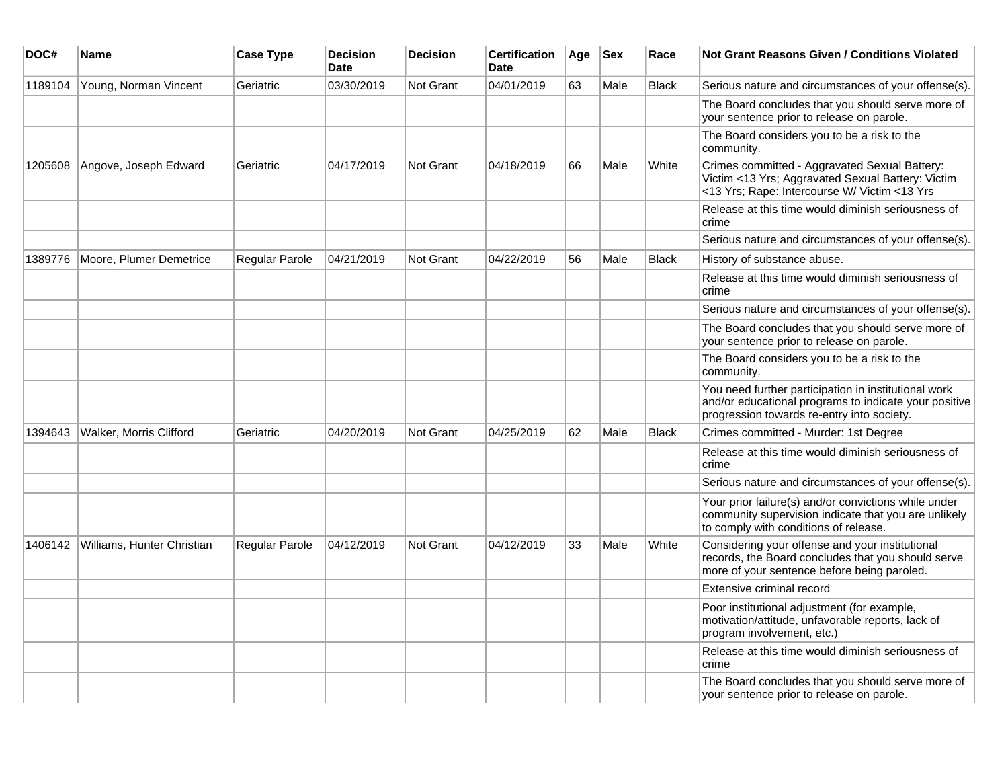| DOC#    | Name                       | <b>Case Type</b> | <b>Decision</b><br><b>Date</b> | <b>Decision</b>  | <b>Certification</b><br>Date | Age | <b>Sex</b> | Race         | Not Grant Reasons Given / Conditions Violated                                                                                                               |
|---------|----------------------------|------------------|--------------------------------|------------------|------------------------------|-----|------------|--------------|-------------------------------------------------------------------------------------------------------------------------------------------------------------|
| 1189104 | Young, Norman Vincent      | Geriatric        | 03/30/2019                     | Not Grant        | 04/01/2019                   | 63  | Male       | <b>Black</b> | Serious nature and circumstances of your offense(s).                                                                                                        |
|         |                            |                  |                                |                  |                              |     |            |              | The Board concludes that you should serve more of<br>your sentence prior to release on parole.                                                              |
|         |                            |                  |                                |                  |                              |     |            |              | The Board considers you to be a risk to the<br>community.                                                                                                   |
| 1205608 | Angove, Joseph Edward      | Geriatric        | 04/17/2019                     | Not Grant        | 04/18/2019                   | 66  | Male       | White        | Crimes committed - Aggravated Sexual Battery:<br>Victim <13 Yrs; Aggravated Sexual Battery: Victim<br><13 Yrs; Rape: Intercourse W/ Victim <13 Yrs          |
|         |                            |                  |                                |                  |                              |     |            |              | Release at this time would diminish seriousness of<br>crime                                                                                                 |
|         |                            |                  |                                |                  |                              |     |            |              | Serious nature and circumstances of your offense(s).                                                                                                        |
| 1389776 | Moore, Plumer Demetrice    | Regular Parole   | 04/21/2019                     | <b>Not Grant</b> | 04/22/2019                   | 56  | Male       | <b>Black</b> | History of substance abuse.                                                                                                                                 |
|         |                            |                  |                                |                  |                              |     |            |              | Release at this time would diminish seriousness of<br>crime                                                                                                 |
|         |                            |                  |                                |                  |                              |     |            |              | Serious nature and circumstances of your offense(s).                                                                                                        |
|         |                            |                  |                                |                  |                              |     |            |              | The Board concludes that you should serve more of<br>your sentence prior to release on parole.                                                              |
|         |                            |                  |                                |                  |                              |     |            |              | The Board considers you to be a risk to the<br>community.                                                                                                   |
|         |                            |                  |                                |                  |                              |     |            |              | You need further participation in institutional work<br>and/or educational programs to indicate your positive<br>progression towards re-entry into society. |
| 1394643 | Walker, Morris Clifford    | Geriatric        | 04/20/2019                     | <b>Not Grant</b> | 04/25/2019                   | 62  | Male       | <b>Black</b> | Crimes committed - Murder: 1st Degree                                                                                                                       |
|         |                            |                  |                                |                  |                              |     |            |              | Release at this time would diminish seriousness of<br>crime                                                                                                 |
|         |                            |                  |                                |                  |                              |     |            |              | Serious nature and circumstances of your offense(s).                                                                                                        |
|         |                            |                  |                                |                  |                              |     |            |              | Your prior failure(s) and/or convictions while under<br>community supervision indicate that you are unlikely<br>to comply with conditions of release.       |
| 1406142 | Williams, Hunter Christian | Regular Parole   | 04/12/2019                     | Not Grant        | 04/12/2019                   | 33  | Male       | White        | Considering your offense and your institutional<br>records, the Board concludes that you should serve<br>more of your sentence before being paroled.        |
|         |                            |                  |                                |                  |                              |     |            |              | Extensive criminal record                                                                                                                                   |
|         |                            |                  |                                |                  |                              |     |            |              | Poor institutional adjustment (for example,<br>motivation/attitude, unfavorable reports, lack of<br>program involvement, etc.)                              |
|         |                            |                  |                                |                  |                              |     |            |              | Release at this time would diminish seriousness of<br>crime                                                                                                 |
|         |                            |                  |                                |                  |                              |     |            |              | The Board concludes that you should serve more of<br>your sentence prior to release on parole.                                                              |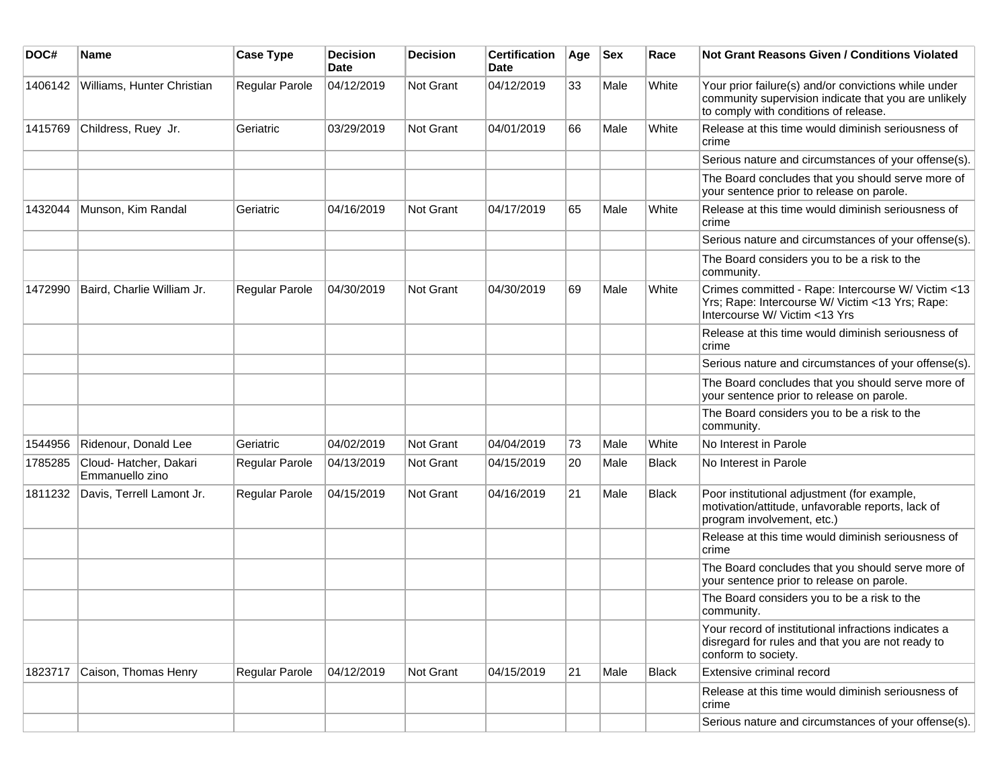| DOC#    | <b>Name</b>                               | <b>Case Type</b> | <b>Decision</b><br>Date | <b>Decision</b> | <b>Certification</b><br>Date | Age | <b>Sex</b> | Race         | Not Grant Reasons Given / Conditions Violated                                                                                                         |
|---------|-------------------------------------------|------------------|-------------------------|-----------------|------------------------------|-----|------------|--------------|-------------------------------------------------------------------------------------------------------------------------------------------------------|
| 1406142 | Williams, Hunter Christian                | Regular Parole   | 04/12/2019              | Not Grant       | 04/12/2019                   | 33  | Male       | White        | Your prior failure(s) and/or convictions while under<br>community supervision indicate that you are unlikely<br>to comply with conditions of release. |
| 1415769 | Childress, Ruey Jr.                       | Geriatric        | 03/29/2019              | Not Grant       | 04/01/2019                   | 66  | Male       | White        | Release at this time would diminish seriousness of<br>crime                                                                                           |
|         |                                           |                  |                         |                 |                              |     |            |              | Serious nature and circumstances of your offense(s).                                                                                                  |
|         |                                           |                  |                         |                 |                              |     |            |              | The Board concludes that you should serve more of<br>your sentence prior to release on parole.                                                        |
| 1432044 | Munson, Kim Randal                        | Geriatric        | 04/16/2019              | Not Grant       | 04/17/2019                   | 65  | Male       | White        | Release at this time would diminish seriousness of<br>crime                                                                                           |
|         |                                           |                  |                         |                 |                              |     |            |              | Serious nature and circumstances of your offense(s).                                                                                                  |
|         |                                           |                  |                         |                 |                              |     |            |              | The Board considers you to be a risk to the<br>community.                                                                                             |
| 1472990 | Baird, Charlie William Jr.                | Regular Parole   | 04/30/2019              | Not Grant       | 04/30/2019                   | 69  | Male       | White        | Crimes committed - Rape: Intercourse W/ Victim <13<br>Yrs; Rape: Intercourse W/ Victim <13 Yrs; Rape:<br>Intercourse W/ Victim <13 Yrs                |
|         |                                           |                  |                         |                 |                              |     |            |              | Release at this time would diminish seriousness of<br>crime                                                                                           |
|         |                                           |                  |                         |                 |                              |     |            |              | Serious nature and circumstances of your offense(s).                                                                                                  |
|         |                                           |                  |                         |                 |                              |     |            |              | The Board concludes that you should serve more of<br>your sentence prior to release on parole.                                                        |
|         |                                           |                  |                         |                 |                              |     |            |              | The Board considers you to be a risk to the<br>community.                                                                                             |
| 1544956 | Ridenour, Donald Lee                      | Geriatric        | 04/02/2019              | Not Grant       | 04/04/2019                   | 73  | Male       | White        | No Interest in Parole                                                                                                                                 |
| 1785285 | Cloud- Hatcher, Dakari<br>Emmanuello zino | Regular Parole   | 04/13/2019              | Not Grant       | 04/15/2019                   | 20  | Male       | <b>Black</b> | No Interest in Parole                                                                                                                                 |
| 1811232 | Davis, Terrell Lamont Jr.                 | Regular Parole   | 04/15/2019              | Not Grant       | 04/16/2019                   | 21  | Male       | <b>Black</b> | Poor institutional adjustment (for example,<br>motivation/attitude, unfavorable reports, lack of<br>program involvement, etc.)                        |
|         |                                           |                  |                         |                 |                              |     |            |              | Release at this time would diminish seriousness of<br>crime                                                                                           |
|         |                                           |                  |                         |                 |                              |     |            |              | The Board concludes that you should serve more of<br>your sentence prior to release on parole.                                                        |
|         |                                           |                  |                         |                 |                              |     |            |              | The Board considers you to be a risk to the<br>community.                                                                                             |
|         |                                           |                  |                         |                 |                              |     |            |              | Your record of institutional infractions indicates a<br>disregard for rules and that you are not ready to<br>conform to society.                      |
| 1823717 | Caison, Thomas Henry                      | Regular Parole   | 04/12/2019              | Not Grant       | 04/15/2019                   | 21  | Male       | <b>Black</b> | Extensive criminal record                                                                                                                             |
|         |                                           |                  |                         |                 |                              |     |            |              | Release at this time would diminish seriousness of<br>crime                                                                                           |
|         |                                           |                  |                         |                 |                              |     |            |              | Serious nature and circumstances of your offense(s).                                                                                                  |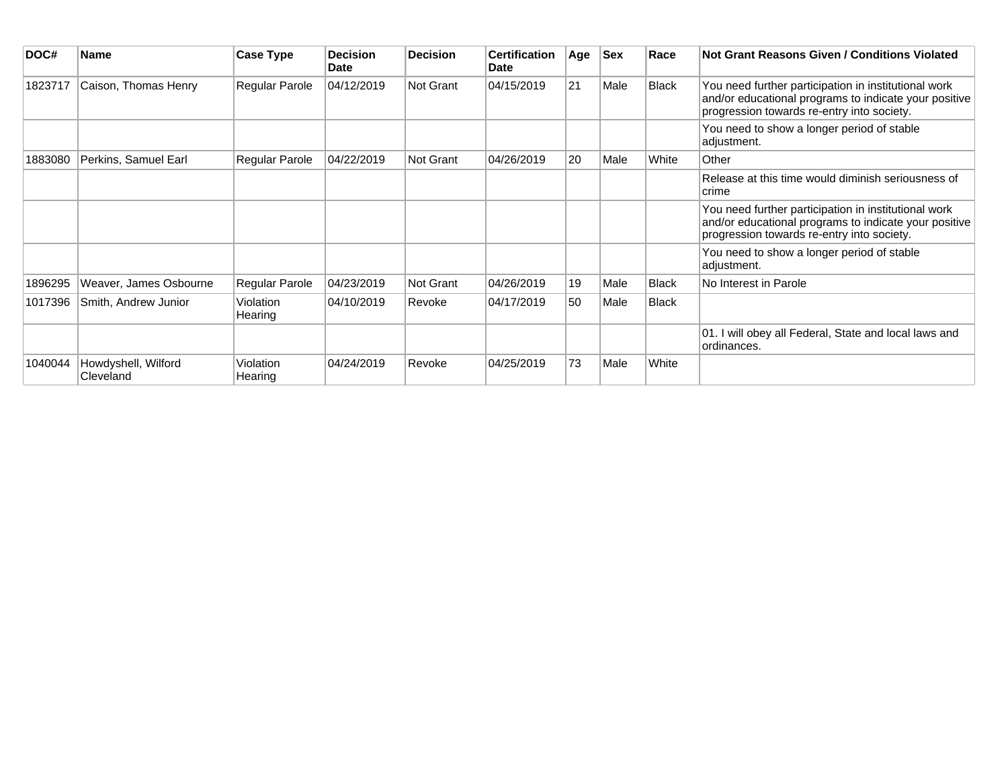| DOC#    | <b>Name</b>                      | <b>Case Type</b>     | <b>Decision</b><br><b>Date</b> | <b>Decision</b> | <b>Certification</b><br><b>Date</b> | Age | <b>Sex</b> | Race         | Not Grant Reasons Given / Conditions Violated                                                                                                               |
|---------|----------------------------------|----------------------|--------------------------------|-----------------|-------------------------------------|-----|------------|--------------|-------------------------------------------------------------------------------------------------------------------------------------------------------------|
| 1823717 | Caison, Thomas Henry             | Regular Parole       | 04/12/2019                     | Not Grant       | 04/15/2019                          | 21  | Male       | <b>Black</b> | You need further participation in institutional work<br>and/or educational programs to indicate your positive<br>progression towards re-entry into society. |
|         |                                  |                      |                                |                 |                                     |     |            |              | You need to show a longer period of stable<br>adjustment.                                                                                                   |
| 1883080 | Perkins, Samuel Earl             | Regular Parole       | 04/22/2019                     | Not Grant       | 04/26/2019                          | 20  | Male       | White        | Other                                                                                                                                                       |
|         |                                  |                      |                                |                 |                                     |     |            |              | Release at this time would diminish seriousness of<br>crime                                                                                                 |
|         |                                  |                      |                                |                 |                                     |     |            |              | You need further participation in institutional work<br>and/or educational programs to indicate your positive<br>progression towards re-entry into society. |
|         |                                  |                      |                                |                 |                                     |     |            |              | You need to show a longer period of stable<br>adjustment.                                                                                                   |
| 1896295 | Weaver, James Osbourne           | Regular Parole       | 04/23/2019                     | Not Grant       | 04/26/2019                          | 19  | Male       | <b>Black</b> | No Interest in Parole                                                                                                                                       |
| 1017396 | Smith, Andrew Junior             | Violation<br>Hearing | 04/10/2019                     | Revoke          | 04/17/2019                          | 50  | Male       | <b>Black</b> |                                                                                                                                                             |
|         |                                  |                      |                                |                 |                                     |     |            |              | 01. I will obey all Federal, State and local laws and<br>ordinances.                                                                                        |
| 1040044 | Howdyshell, Wilford<br>Cleveland | Violation<br>Hearing | 04/24/2019                     | Revoke          | 04/25/2019                          | 73  | Male       | White        |                                                                                                                                                             |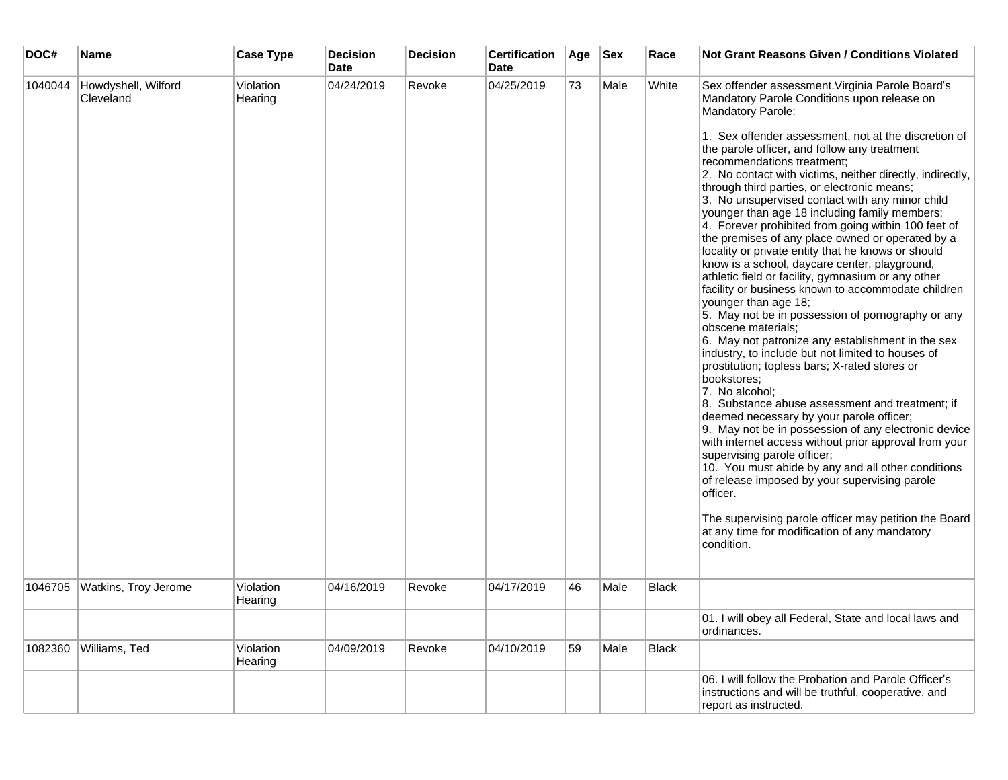| DOC#    | Name                             | <b>Case Type</b>     | <b>Decision</b><br><b>Date</b> | <b>Decision</b> | <b>Certification</b><br><b>Date</b> | Age | <b>Sex</b> | Race  | <b>Not Grant Reasons Given / Conditions Violated</b>                                                                                                                                                                                                                                                                                                                                                                                                                                                                                                                                                                                                                                                                                                                                                                                                                                                                                                                                                                                                                                                                                                                                                                                                                                                                                                                                                                                                                                                                                                                                              |
|---------|----------------------------------|----------------------|--------------------------------|-----------------|-------------------------------------|-----|------------|-------|---------------------------------------------------------------------------------------------------------------------------------------------------------------------------------------------------------------------------------------------------------------------------------------------------------------------------------------------------------------------------------------------------------------------------------------------------------------------------------------------------------------------------------------------------------------------------------------------------------------------------------------------------------------------------------------------------------------------------------------------------------------------------------------------------------------------------------------------------------------------------------------------------------------------------------------------------------------------------------------------------------------------------------------------------------------------------------------------------------------------------------------------------------------------------------------------------------------------------------------------------------------------------------------------------------------------------------------------------------------------------------------------------------------------------------------------------------------------------------------------------------------------------------------------------------------------------------------------------|
| 1040044 | Howdyshell, Wilford<br>Cleveland | Violation<br>Hearing | 04/24/2019                     | Revoke          | 04/25/2019                          | 73  | Male       | White | Sex offender assessment. Virginia Parole Board's<br>Mandatory Parole Conditions upon release on<br>Mandatory Parole:<br>1. Sex offender assessment, not at the discretion of<br>the parole officer, and follow any treatment<br>recommendations treatment;<br>2. No contact with victims, neither directly, indirectly,<br>through third parties, or electronic means;<br>3. No unsupervised contact with any minor child<br>younger than age 18 including family members;<br>4. Forever prohibited from going within 100 feet of<br>the premises of any place owned or operated by a<br>locality or private entity that he knows or should<br>know is a school, daycare center, playground,<br>athletic field or facility, gymnasium or any other<br>facility or business known to accommodate children<br>younger than age 18;<br>5. May not be in possession of pornography or any<br>obscene materials;<br>6. May not patronize any establishment in the sex<br>industry, to include but not limited to houses of<br>prostitution; topless bars; X-rated stores or<br>bookstores;<br>7. No alcohol;<br>8. Substance abuse assessment and treatment; if<br>deemed necessary by your parole officer;<br>9. May not be in possession of any electronic device<br>with internet access without prior approval from your<br>supervising parole officer;<br>10. You must abide by any and all other conditions<br>of release imposed by your supervising parole<br>officer.<br>The supervising parole officer may petition the Board<br>at any time for modification of any mandatory<br>condition. |
| 1046705 | Watkins, Troy Jerome             | Violation<br>Hearing | 04/16/2019                     | Revoke          | 04/17/2019                          | 46  | Male       | Black |                                                                                                                                                                                                                                                                                                                                                                                                                                                                                                                                                                                                                                                                                                                                                                                                                                                                                                                                                                                                                                                                                                                                                                                                                                                                                                                                                                                                                                                                                                                                                                                                   |
|         |                                  |                      |                                |                 |                                     |     |            |       | 01. I will obey all Federal, State and local laws and<br>ordinances.                                                                                                                                                                                                                                                                                                                                                                                                                                                                                                                                                                                                                                                                                                                                                                                                                                                                                                                                                                                                                                                                                                                                                                                                                                                                                                                                                                                                                                                                                                                              |
| 1082360 | Williams, Ted                    | Violation<br>Hearing | 04/09/2019                     | Revoke          | 04/10/2019                          | 59  | Male       | Black |                                                                                                                                                                                                                                                                                                                                                                                                                                                                                                                                                                                                                                                                                                                                                                                                                                                                                                                                                                                                                                                                                                                                                                                                                                                                                                                                                                                                                                                                                                                                                                                                   |
|         |                                  |                      |                                |                 |                                     |     |            |       | 06. I will follow the Probation and Parole Officer's<br>instructions and will be truthful, cooperative, and<br>report as instructed.                                                                                                                                                                                                                                                                                                                                                                                                                                                                                                                                                                                                                                                                                                                                                                                                                                                                                                                                                                                                                                                                                                                                                                                                                                                                                                                                                                                                                                                              |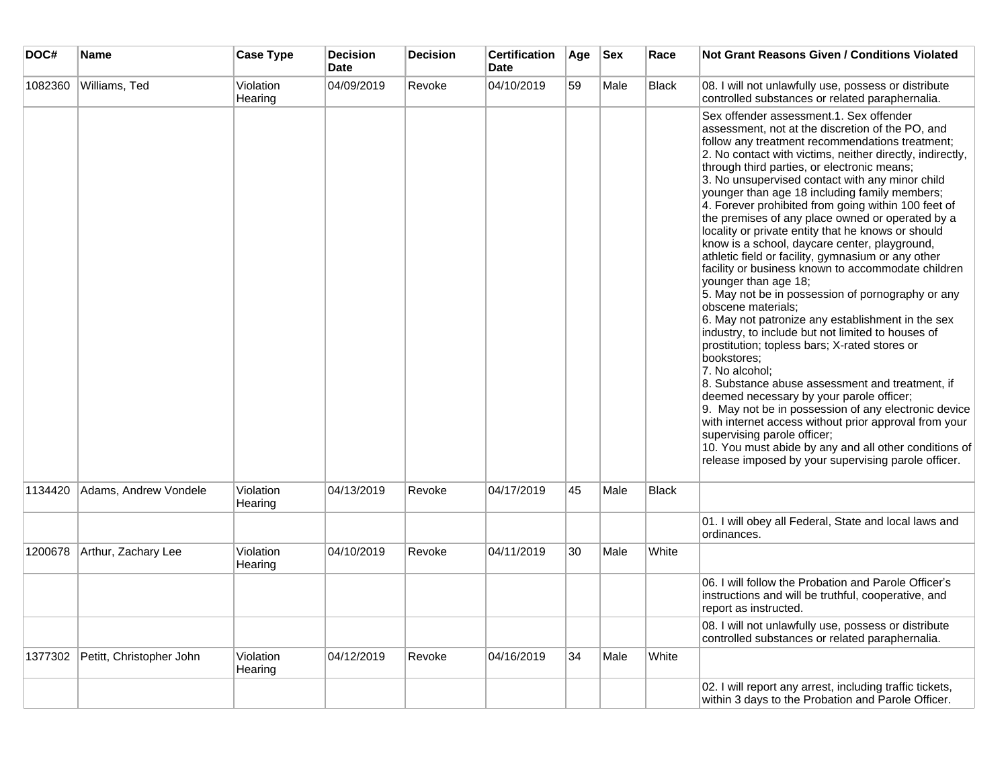| DOC#    | <b>Name</b>              | <b>Case Type</b>     | <b>Decision</b><br><b>Date</b> | <b>Decision</b> | <b>Certification</b><br><b>Date</b> | Age | <b>Sex</b> | Race         | Not Grant Reasons Given / Conditions Violated                                                                                                                                                                                                                                                                                                                                                                                                                                                                                                                                                                                                                                                                                                                                                                                                                                                                                                                                                                                                                                                                                                                                                                                                                                                                                                              |
|---------|--------------------------|----------------------|--------------------------------|-----------------|-------------------------------------|-----|------------|--------------|------------------------------------------------------------------------------------------------------------------------------------------------------------------------------------------------------------------------------------------------------------------------------------------------------------------------------------------------------------------------------------------------------------------------------------------------------------------------------------------------------------------------------------------------------------------------------------------------------------------------------------------------------------------------------------------------------------------------------------------------------------------------------------------------------------------------------------------------------------------------------------------------------------------------------------------------------------------------------------------------------------------------------------------------------------------------------------------------------------------------------------------------------------------------------------------------------------------------------------------------------------------------------------------------------------------------------------------------------------|
| 1082360 | Williams, Ted            | Violation<br>Hearing | 04/09/2019                     | Revoke          | 04/10/2019                          | 59  | Male       | Black        | 08. I will not unlawfully use, possess or distribute<br>controlled substances or related paraphernalia.                                                                                                                                                                                                                                                                                                                                                                                                                                                                                                                                                                                                                                                                                                                                                                                                                                                                                                                                                                                                                                                                                                                                                                                                                                                    |
|         |                          |                      |                                |                 |                                     |     |            |              | Sex offender assessment.1, Sex offender<br>assessment, not at the discretion of the PO, and<br>follow any treatment recommendations treatment;<br>2. No contact with victims, neither directly, indirectly,<br>through third parties, or electronic means;<br>3. No unsupervised contact with any minor child<br>younger than age 18 including family members;<br>4. Forever prohibited from going within 100 feet of<br>the premises of any place owned or operated by a<br>locality or private entity that he knows or should<br>know is a school, daycare center, playground,<br>athletic field or facility, gymnasium or any other<br>facility or business known to accommodate children<br>younger than age 18;<br>5. May not be in possession of pornography or any<br>obscene materials;<br>6. May not patronize any establishment in the sex<br>industry, to include but not limited to houses of<br>prostitution; topless bars; X-rated stores or<br>bookstores;<br>7. No alcohol;<br>8. Substance abuse assessment and treatment, if<br>deemed necessary by your parole officer;<br>9. May not be in possession of any electronic device<br>with internet access without prior approval from your<br>supervising parole officer;<br>10. You must abide by any and all other conditions of<br>release imposed by your supervising parole officer. |
| 1134420 | Adams, Andrew Vondele    | Violation<br>Hearing | 04/13/2019                     | Revoke          | 04/17/2019                          | 45  | Male       | <b>Black</b> |                                                                                                                                                                                                                                                                                                                                                                                                                                                                                                                                                                                                                                                                                                                                                                                                                                                                                                                                                                                                                                                                                                                                                                                                                                                                                                                                                            |
|         |                          |                      |                                |                 |                                     |     |            |              | 01. I will obey all Federal, State and local laws and<br>ordinances.                                                                                                                                                                                                                                                                                                                                                                                                                                                                                                                                                                                                                                                                                                                                                                                                                                                                                                                                                                                                                                                                                                                                                                                                                                                                                       |
| 1200678 | Arthur, Zachary Lee      | Violation<br>Hearing | 04/10/2019                     | Revoke          | 04/11/2019                          | 30  | Male       | White        |                                                                                                                                                                                                                                                                                                                                                                                                                                                                                                                                                                                                                                                                                                                                                                                                                                                                                                                                                                                                                                                                                                                                                                                                                                                                                                                                                            |
|         |                          |                      |                                |                 |                                     |     |            |              | 06. I will follow the Probation and Parole Officer's<br>instructions and will be truthful, cooperative, and<br>report as instructed.                                                                                                                                                                                                                                                                                                                                                                                                                                                                                                                                                                                                                                                                                                                                                                                                                                                                                                                                                                                                                                                                                                                                                                                                                       |
|         |                          |                      |                                |                 |                                     |     |            |              | 08. I will not unlawfully use, possess or distribute<br>controlled substances or related paraphernalia.                                                                                                                                                                                                                                                                                                                                                                                                                                                                                                                                                                                                                                                                                                                                                                                                                                                                                                                                                                                                                                                                                                                                                                                                                                                    |
| 1377302 | Petitt, Christopher John | Violation<br>Hearing | 04/12/2019                     | Revoke          | 04/16/2019                          | 34  | Male       | White        |                                                                                                                                                                                                                                                                                                                                                                                                                                                                                                                                                                                                                                                                                                                                                                                                                                                                                                                                                                                                                                                                                                                                                                                                                                                                                                                                                            |
|         |                          |                      |                                |                 |                                     |     |            |              | 02. I will report any arrest, including traffic tickets,<br>within 3 days to the Probation and Parole Officer.                                                                                                                                                                                                                                                                                                                                                                                                                                                                                                                                                                                                                                                                                                                                                                                                                                                                                                                                                                                                                                                                                                                                                                                                                                             |